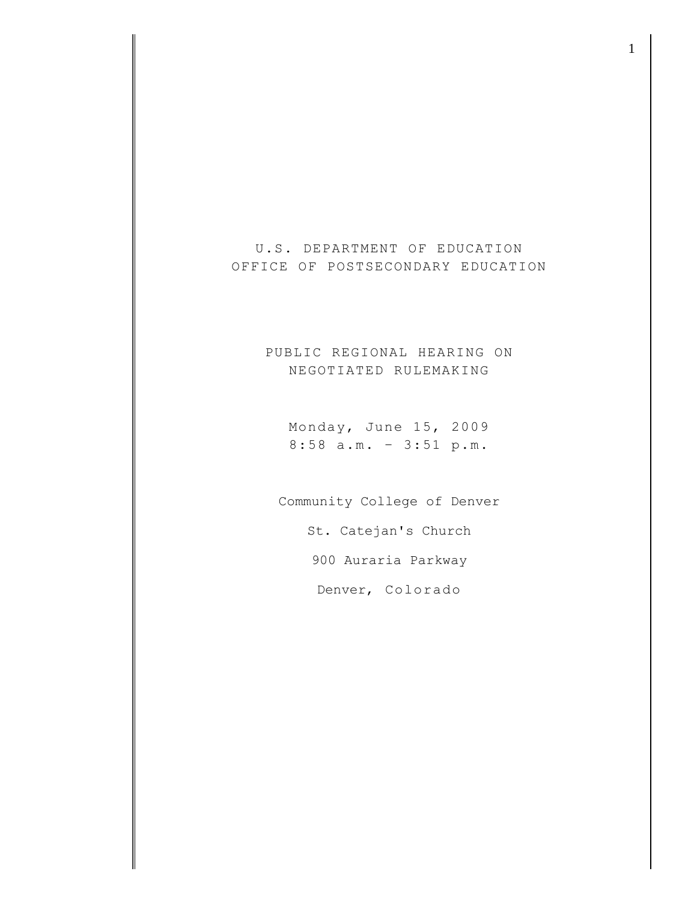U.S. DEPARTMENT OF EDUCATION OFFICE OF POSTSECONDARY EDUCATION

> PUBLIC REGIONAL HEARING ON NEGOTIATED RULEMAKING

Monday, June 15, 2009 8:58 a.m. – 3:51 p.m.

Community College of Denver

St. Catejan's Church

900 Auraria Parkway

Denver, Colorado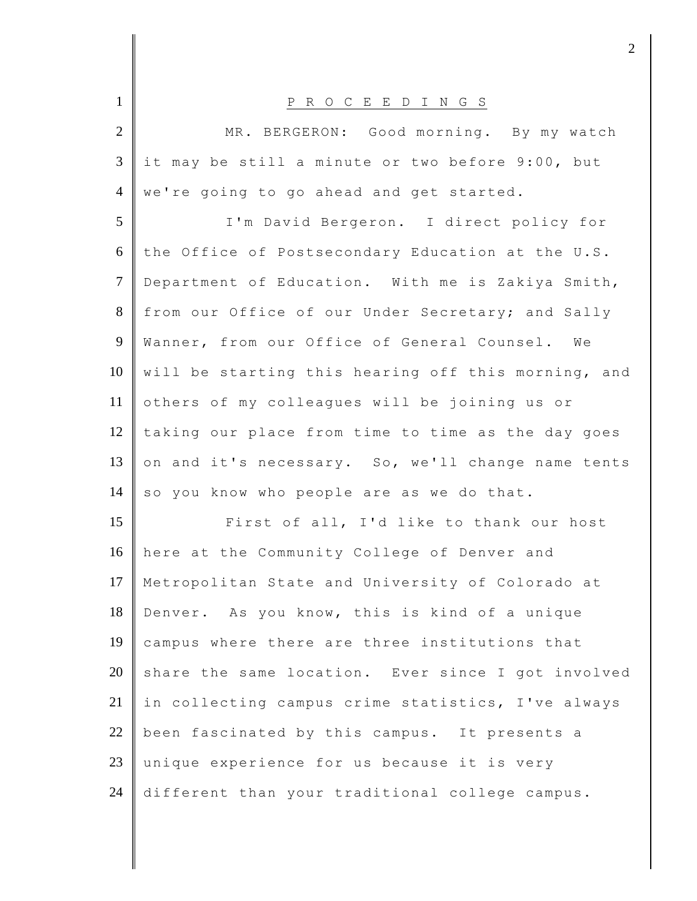| $\mathbf{1}$   | P R O C E E D I N G S                               |
|----------------|-----------------------------------------------------|
| $\overline{2}$ | MR. BERGERON: Good morning. By my watch             |
| 3              | it may be still a minute or two before 9:00, but    |
| $\overline{4}$ | we're going to go ahead and get started.            |
| 5              | I'm David Bergeron. I direct policy for             |
| 6              | the Office of Postsecondary Education at the U.S.   |
| $\tau$         | Department of Education. With me is Zakiya Smith,   |
| 8              | from our Office of our Under Secretary; and Sally   |
| 9              | Wanner, from our Office of General Counsel. We      |
| 10             | will be starting this hearing off this morning, and |
| 11             | others of my colleagues will be joining us or       |
| 12             | taking our place from time to time as the day goes  |
| 13             | on and it's necessary. So, we'll change name tents  |
| 14             | so you know who people are as we do that.           |
| 15             | First of all, I'd like to thank our host            |
| 16             | here at the Community College of Denver and         |
| 17             | Metropolitan State and University of Colorado at    |
| 18             | Denver. As you know, this is kind of a unique       |
| 19             | campus where there are three institutions that      |
| 20             | share the same location. Ever since I got involved  |
| 21             | in collecting campus crime statistics, I've always  |
| 22             | been fascinated by this campus. It presents a       |
| 23             | unique experience for us because it is very         |
| 24             | different than your traditional college campus.     |

 $\frac{1}{2}$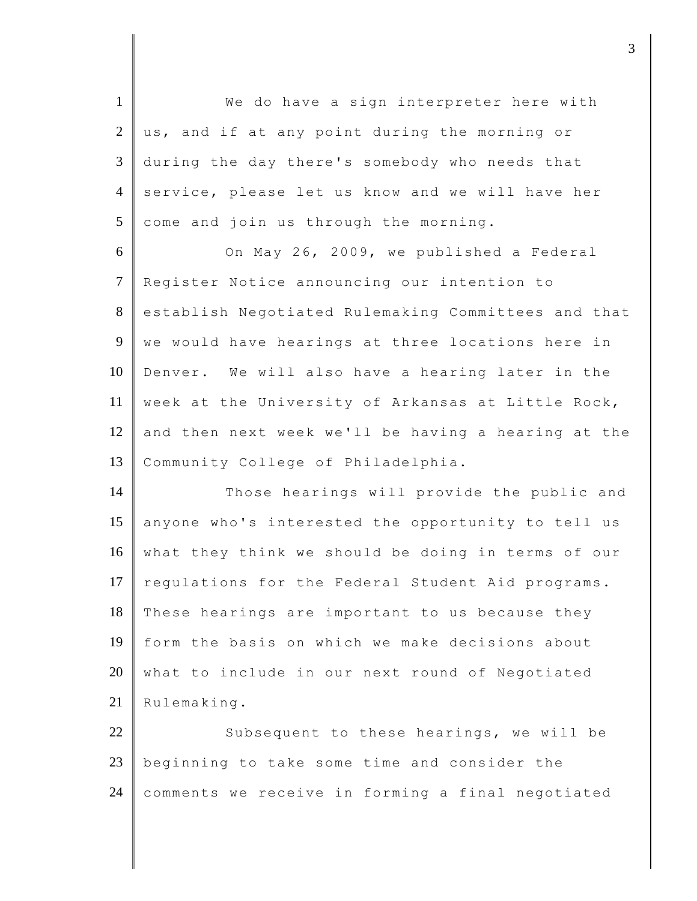| $\mathbf{1}$   | We do have a sign interpreter here with             |
|----------------|-----------------------------------------------------|
| $\overline{2}$ | us, and if at any point during the morning or       |
| $\mathfrak{Z}$ | during the day there's somebody who needs that      |
| $\overline{4}$ | service, please let us know and we will have her    |
| 5              | come and join us through the morning.               |
| 6              | On May 26, 2009, we published a Federal             |
| $\overline{7}$ | Register Notice announcing our intention to         |
| 8              | establish Negotiated Rulemaking Committees and that |
| 9              | we would have hearings at three locations here in   |
| 10             | Denver. We will also have a hearing later in the    |
| 11             | week at the University of Arkansas at Little Rock,  |
| 12             | and then next week we'll be having a hearing at the |
| 13             | Community College of Philadelphia.                  |
| 14             | Those hearings will provide the public and          |
| 15             | anyone who's interested the opportunity to tell us  |
| 16             | what they think we should be doing in terms of our  |
| 17             | regulations for the Federal Student Aid programs.   |
| 18             | These hearings are important to us because they     |
| 19             | form the basis on which we make decisions about     |
| 20             | what to include in our next round of Negotiated     |
| 21             | Rulemaking.                                         |
| 22             | Subsequent to these hearings, we will be            |
| 23             | beginning to take some time and consider the        |
| 24             | comments we receive in forming a final negotiated   |
|                |                                                     |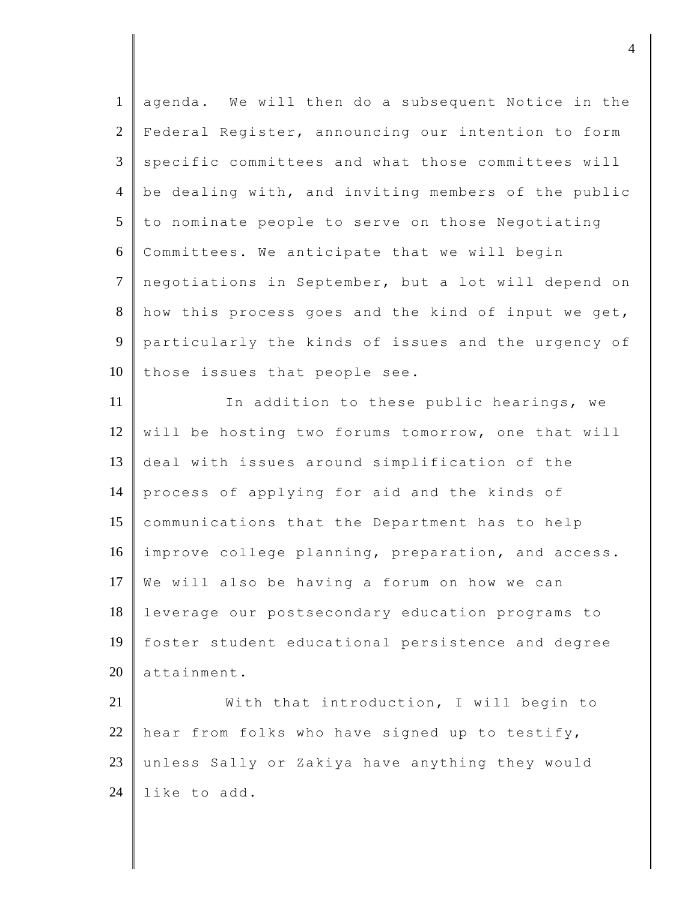| agenda. We will then do a subsequent Notice in the  |
|-----------------------------------------------------|
| Federal Register, announcing our intention to form  |
| specific committees and what those committees will  |
| be dealing with, and inviting members of the public |
| to nominate people to serve on those Negotiating    |
| Committees. We anticipate that we will begin        |
| negotiations in September, but a lot will depend on |
| how this process goes and the kind of input we get, |
| particularly the kinds of issues and the urgency of |
| those issues that people see.                       |
| In addition to these public hearings, we            |
| will be hosting two forums tomorrow, one that will  |
| deal with issues around simplification of the       |
| process of applying for aid and the kinds of        |
| communications that the Department has to help      |
| improve college planning, preparation, and access.  |
| We will also be having a forum on how we can        |
| leverage our postsecondary education programs to    |
| foster student educational persistence and degree   |
| attainment.                                         |
| With that introduction, I will begin to             |
| hear from folks who have signed up to testify,      |
| unless Sally or Zakiya have anything they would     |
| like to add.                                        |
|                                                     |

djective the contract of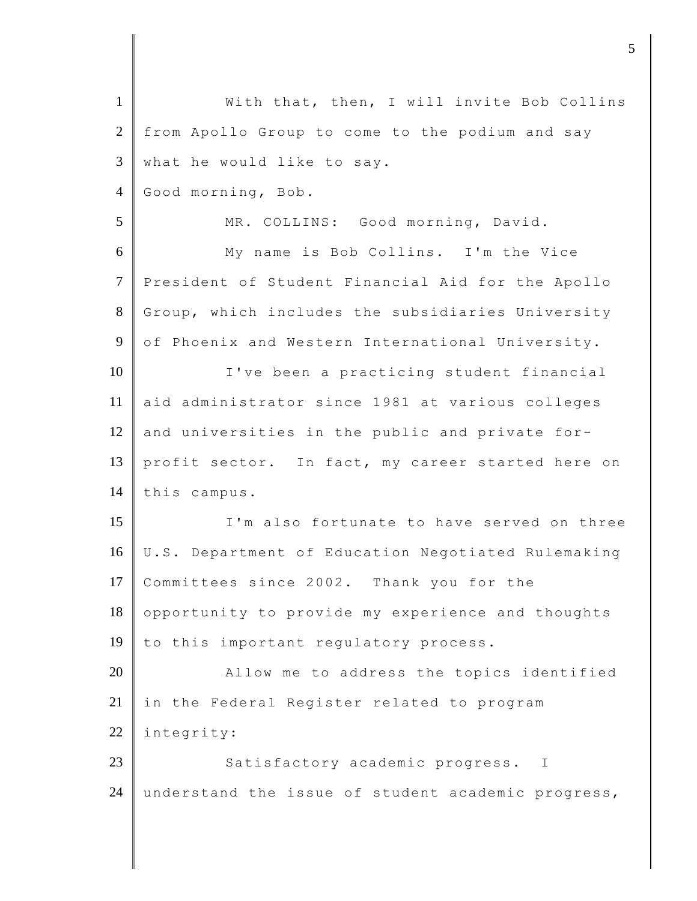| $\mathbf{1}$   | With that, then, I will invite Bob Collins         |
|----------------|----------------------------------------------------|
| $\overline{2}$ | from Apollo Group to come to the podium and say    |
| 3              | what he would like to say.                         |
| $\overline{4}$ | Good morning, Bob.                                 |
| 5              | MR. COLLINS: Good morning, David.                  |
| 6              | My name is Bob Collins. I'm the Vice               |
| $\tau$         | President of Student Financial Aid for the Apollo  |
| 8              | Group, which includes the subsidiaries University  |
| 9              | of Phoenix and Western International University.   |
| 10             | I've been a practicing student financial           |
| 11             | aid administrator since 1981 at various colleges   |
| 12             | and universities in the public and private for-    |
| 13             | profit sector. In fact, my career started here on  |
| 14             | this campus.                                       |
| 15             | I'm also fortunate to have served on three         |
| 16             | U.S. Department of Education Negotiated Rulemaking |
| 17             | Committees since 2002. Thank you for the           |
| 18             | opportunity to provide my experience and thoughts  |
| 19             | to this important regulatory process.              |
| 20             | Allow me to address the topics identified          |
| 21             | in the Federal Register related to program         |
| 22             | integrity:                                         |
| 23             | Satisfactory academic progress.<br>$\mathbb{I}$    |
| 24             | understand the issue of student academic progress, |
|                |                                                    |

djecture to the contract of  $\sim$  5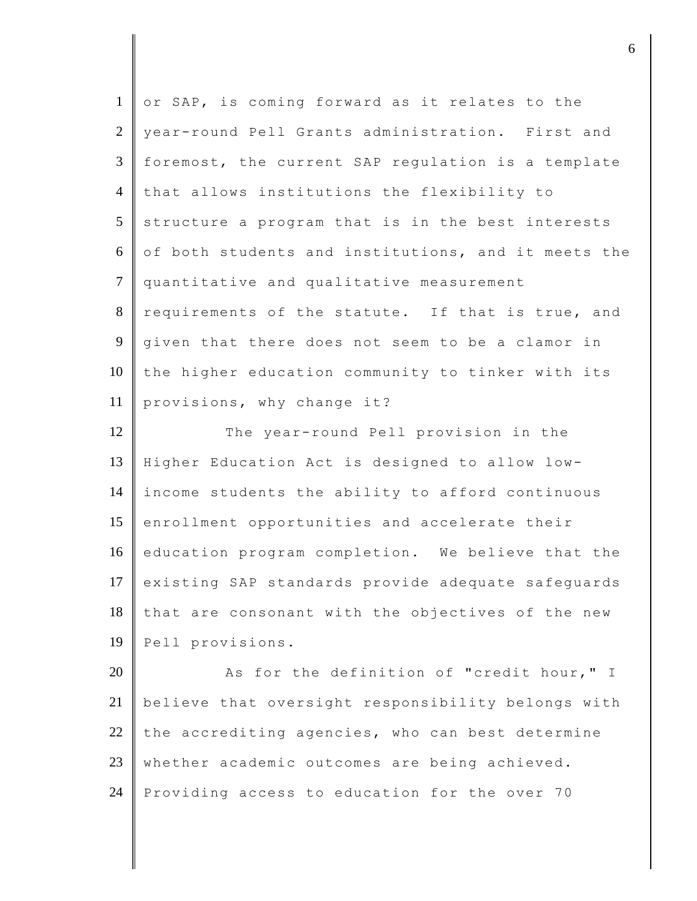| $\mathbf{1}$   | or SAP, is coming forward as it relates to the      |
|----------------|-----------------------------------------------------|
| $\overline{2}$ | year-round Pell Grants administration. First and    |
| 3              | foremost, the current SAP regulation is a template  |
| $\overline{4}$ | that allows institutions the flexibility to         |
| 5              | structure a program that is in the best interests   |
| 6              | of both students and institutions, and it meets the |
| $\overline{7}$ | quantitative and qualitative measurement            |
| $8\,$          | requirements of the statute. If that is true, and   |
| 9              | given that there does not seem to be a clamor in    |
| 10             | the higher education community to tinker with its   |
| 11             | provisions, why change it?                          |
| 12             | The year-round Pell provision in the                |
| 13             | Higher Education Act is designed to allow low-      |
| 14             | income students the ability to afford continuous    |
| 15             | enrollment opportunities and accelerate their       |
| 16             | education program completion. We believe that the   |
| 17             | existing SAP standards provide adequate safeguards  |
| 18             | that are consonant with the objectives of the new   |
| 19             | Pell provisions.                                    |
| 20             | As for the definition of "credit hour," I           |
| 21             | believe that oversight responsibility belongs with  |
| 22             | the accrediting agencies, who can best determine    |
| 23             | whether academic outcomes are being achieved.       |
| 24             | Providing access to education for the over 70       |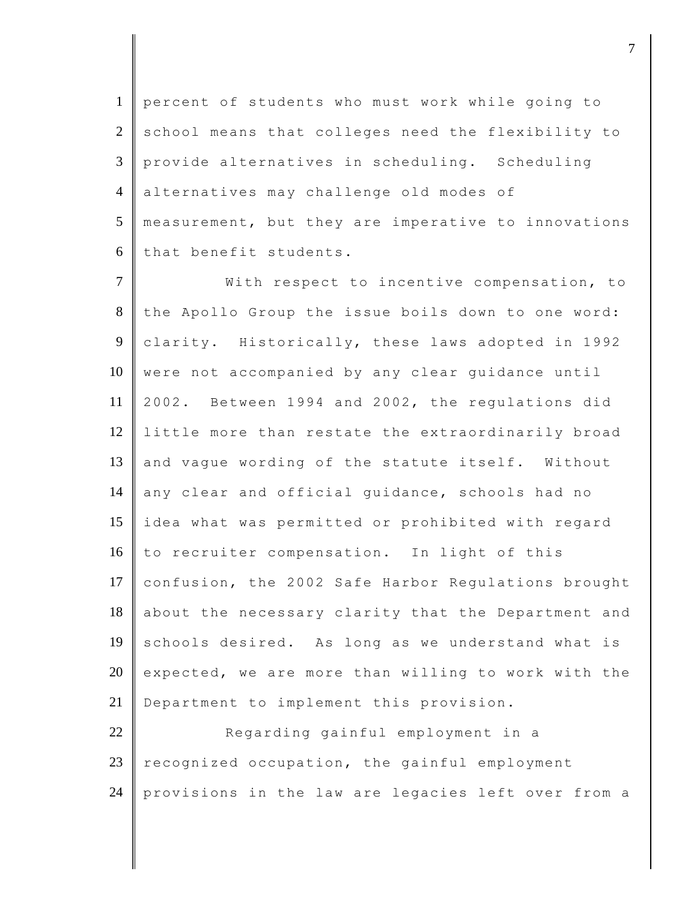percent of students who must work while going to 2 school means that colleges need the flexibility to provide alternatives in scheduling. Scheduling alternatives may challenge old modes of measurement, but they are imperative to innovations 6 that benefit students.

7 | With respect to incentive compensation, to 8 the Apollo Group the issue boils down to one word: 9 clarity. Historically, these laws adopted in 1992 10 were not accompanied by any clear guidance until 11 2002. Between 1994 and 2002, the regulations did 12 little more than restate the extraordinarily broad 13 and vaque wording of the statute itself. Without 14 any clear and official guidance, schools had no 15 idea what was permitted or prohibited with regard 16 to recruiter compensation. In light of this 17 confusion, the 2002 Safe Harbor Regulations brought 18 about the necessary clarity that the Department and 19 schools desired. As long as we understand what is 20 expected, we are more than willing to work with the 21 | Department to implement this provision.

22 Regarding gainful employment in a  $23$  recognized occupation, the gainful employment 24 provisions in the law are legacies left over from a

djective terms of  $\overline{a}$  7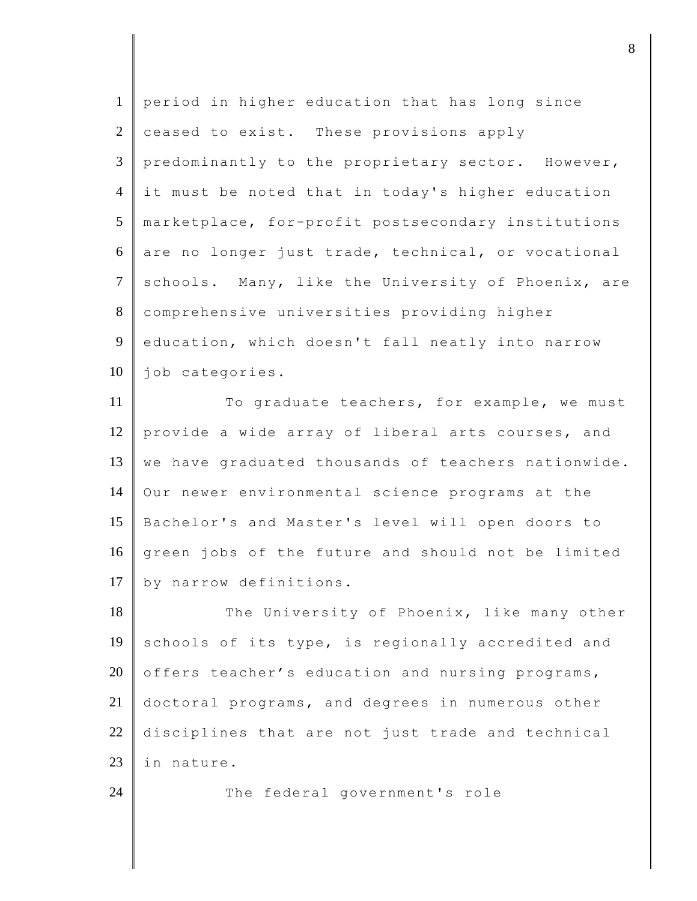| $\mathbf{1}$   | period in higher education that has long since      |
|----------------|-----------------------------------------------------|
| $\mathfrak{2}$ | ceased to exist. These provisions apply             |
| 3              | predominantly to the proprietary sector. However,   |
| $\overline{4}$ | it must be noted that in today's higher education   |
| 5              | marketplace, for-profit postsecondary institutions  |
| 6              | are no longer just trade, technical, or vocational  |
| $\overline{7}$ | schools. Many, like the University of Phoenix, are  |
| $8\,$          | comprehensive universities providing higher         |
| 9              | education, which doesn't fall neatly into narrow    |
| 10             | job categories.                                     |
| 11             | To graduate teachers, for example, we must          |
| 12             | provide a wide array of liberal arts courses, and   |
| 13             | we have graduated thousands of teachers nationwide. |
| 14             | Our newer environmental science programs at the     |
| 15             | Bachelor's and Master's level will open doors to    |
| 16             | green jobs of the future and should not be limited  |
| 17             | by narrow definitions.                              |
| 18             | The University of Phoenix, like many other          |
| 19             | schools of its type, is regionally accredited and   |
| 20             | offers teacher's education and nursing programs,    |
| 21             | doctoral programs, and degrees in numerous other    |
| 22             | disciplines that are not just trade and technical   |
| 23             | in nature.                                          |
| 24             | The federal government's role                       |
|                |                                                     |

djecter and the set of  $\mathbf{8}$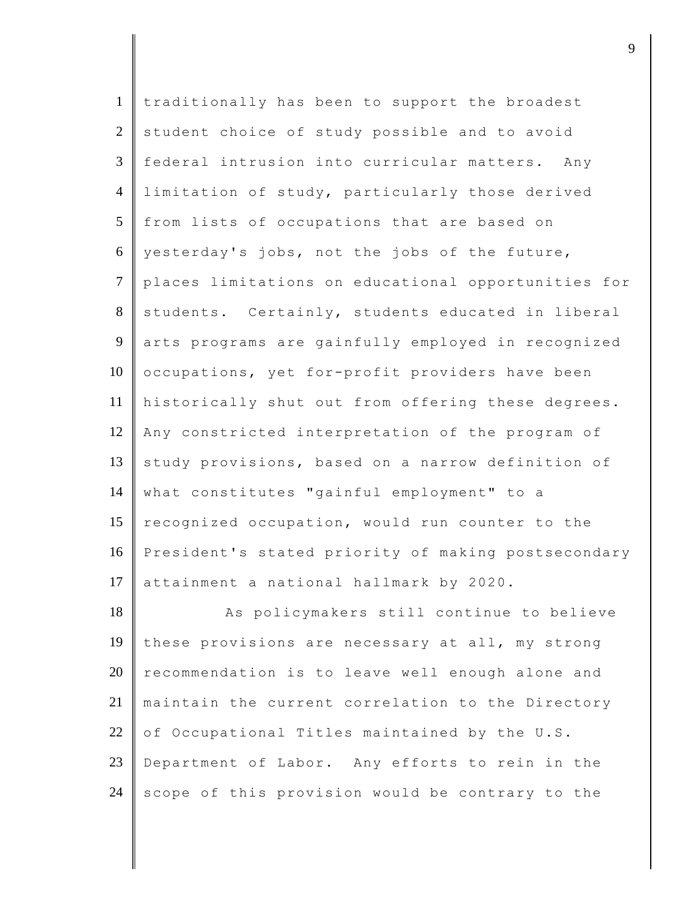| traditionally has been to support the broadest      |
|-----------------------------------------------------|
| student choice of study possible and to avoid       |
| federal intrusion into curricular matters. Any      |
| limitation of study, particularly those derived     |
| from lists of occupations that are based on         |
| yesterday's jobs, not the jobs of the future,       |
| places limitations on educational opportunities for |
| students. Certainly, students educated in liberal   |
| arts programs are gainfully employed in recognized  |
| occupations, yet for-profit providers have been     |
| historically shut out from offering these degrees.  |
| Any constricted interpretation of the program of    |
| study provisions, based on a narrow definition of   |
| what constitutes "gainful employment" to a          |
| recognized occupation, would run counter to the     |
| President's stated priority of making postsecondary |
| attainment a national hallmark by 2020.             |
| As policymakers still continue to believe           |
| these provisions are necessary at all, my strong    |
| recommendation is to leave well enough alone and    |
| maintain the current correlation to the Directory   |
| of Occupational Titles maintained by the U.S.       |
| Department of Labor. Any efforts to rein in the     |
| scope of this provision would be contrary to the    |
|                                                     |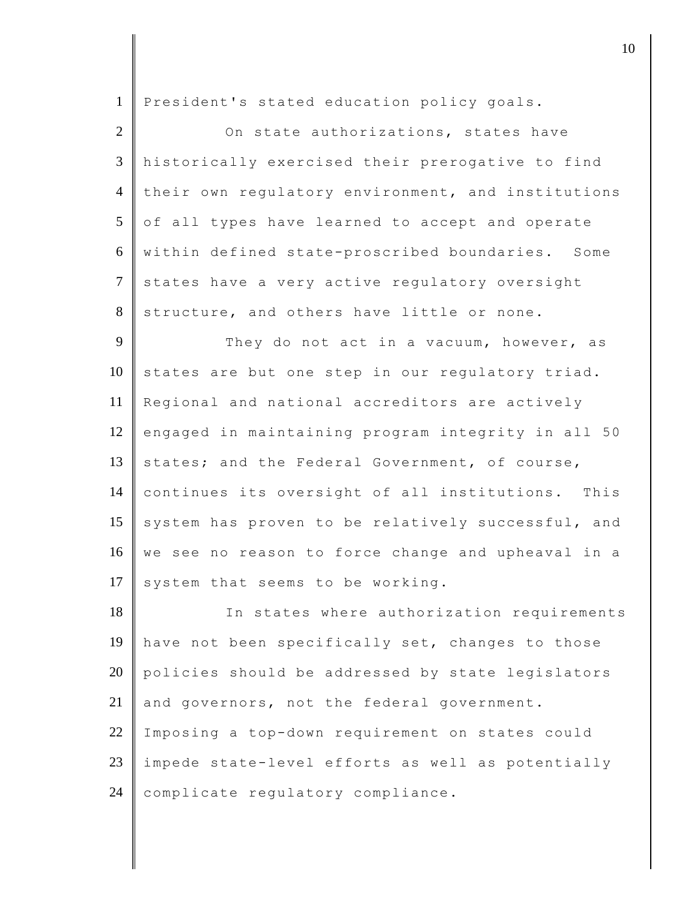| $\mathbf{1}$   | President's stated education policy goals.         |
|----------------|----------------------------------------------------|
| $\overline{2}$ | On state authorizations, states have               |
| 3              | historically exercised their prerogative to find   |
| $\overline{4}$ | their own regulatory environment, and institutions |
| 5              | of all types have learned to accept and operate    |
| 6              | within defined state-proscribed boundaries. Some   |
| $\tau$         | states have a very active regulatory oversight     |
| 8              | structure, and others have little or none.         |
| 9              | They do not act in a vacuum, however, as           |
| 10             | states are but one step in our regulatory triad.   |
| 11             | Regional and national accreditors are actively     |
| 12             | engaged in maintaining program integrity in all 50 |
| 13             | states; and the Federal Government, of course,     |
| 14             | continues its oversight of all institutions. This  |
| 15             | system has proven to be relatively successful, and |
| 16             | we see no reason to force change and upheaval in a |
| 17             | system that seems to be working.                   |
| 18             | In states where authorization requirements         |
| 19             | have not been specifically set, changes to those   |
| 20             | policies should be addressed by state legislators  |
| 21             | and governors, not the federal government.         |
| 22             | Imposing a top-down requirement on states could    |
| 23             | impede state-level efforts as well as potentially  |
| 24             | complicate regulatory compliance.                  |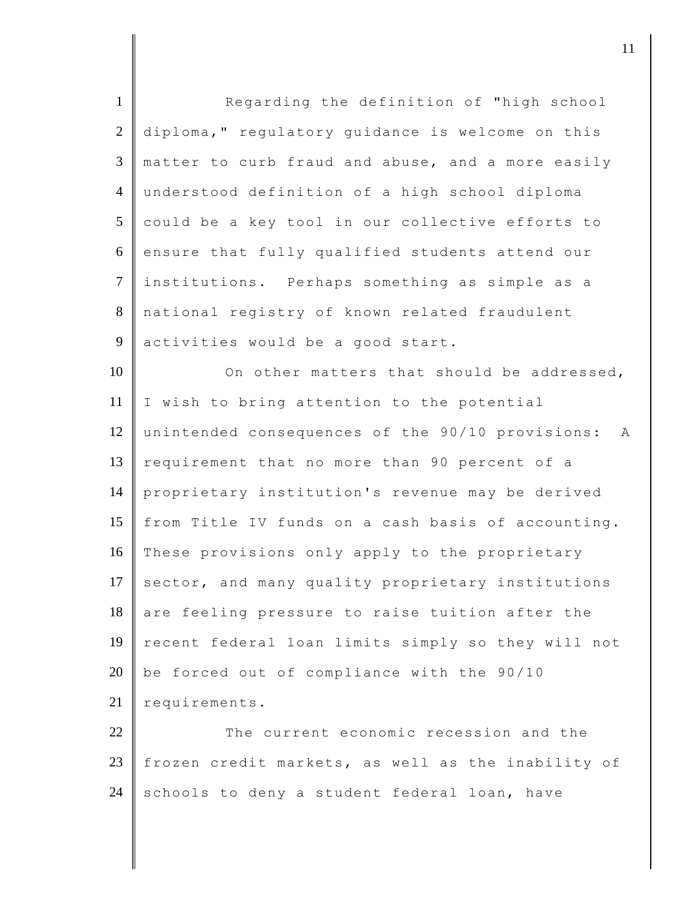| $\mathbf{1}$   | Regarding the definition of "high school              |
|----------------|-------------------------------------------------------|
| $\overline{2}$ | diploma," regulatory guidance is welcome on this      |
| 3              | matter to curb fraud and abuse, and a more easily     |
| $\overline{4}$ | understood definition of a high school diploma        |
| 5              | could be a key tool in our collective efforts to      |
| 6              | ensure that fully qualified students attend our       |
| $\tau$         | institutions. Perhaps something as simple as a        |
| 8              | national registry of known related fraudulent         |
| 9              | activities would be a good start.                     |
| 10             | On other matters that should be addressed,            |
| 11             | I wish to bring attention to the potential            |
| 12             | unintended consequences of the 90/10 provisions:<br>A |
| 13             | requirement that no more than 90 percent of a         |
| 14             | proprietary institution's revenue may be derived      |
| 15             | from Title IV funds on a cash basis of accounting.    |
| 16             | These provisions only apply to the proprietary        |
| 17             | sector, and many quality proprietary institutions     |
| 18             | are feeling pressure to raise tuition after the       |
| 19             | recent federal loan limits simply so they will not    |
| 20             | be forced out of compliance with the 90/10            |
| 21             | requirements.                                         |
| 22             | The current economic recession and the                |
| 23             | frozen credit markets, as well as the inability of    |
| 24             | schools to deny a student federal loan, have          |

djecamental in the contract of  $\mathbf{11}$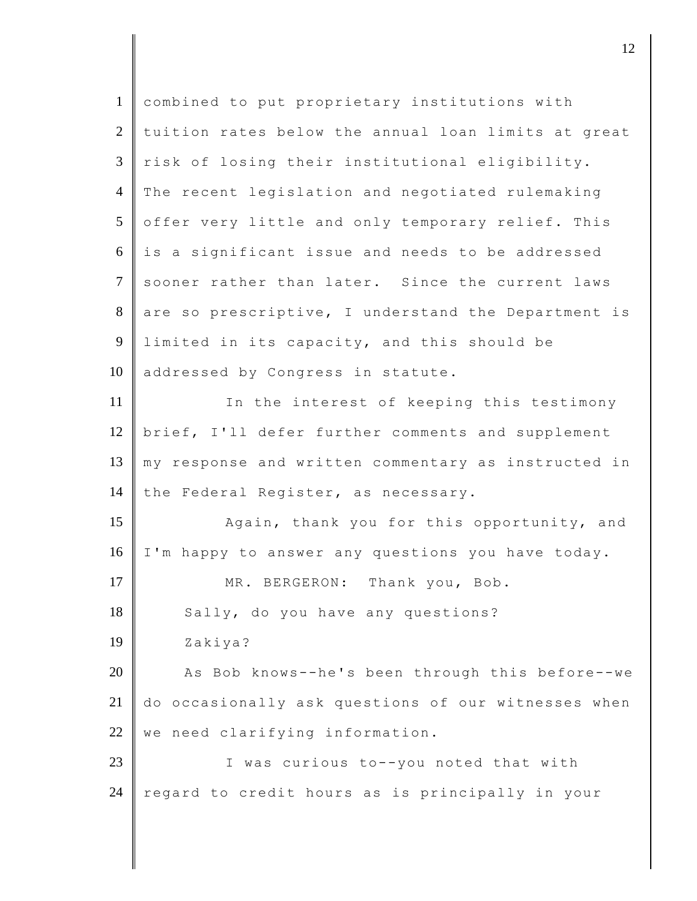| $\mathbf{1}$    | combined to put proprietary institutions with       |
|-----------------|-----------------------------------------------------|
| 2               | tuition rates below the annual loan limits at great |
| 3               | risk of losing their institutional eligibility.     |
| $\overline{4}$  | The recent legislation and negotiated rulemaking    |
| $5\overline{)}$ | offer very little and only temporary relief. This   |
| 6               | is a significant issue and needs to be addressed    |
| $\tau$          | sooner rather than later. Since the current laws    |
| 8               | are so prescriptive, I understand the Department is |
| 9               | limited in its capacity, and this should be         |
| 10              | addressed by Congress in statute.                   |
| 11              | In the interest of keeping this testimony           |
| 12              | brief, I'll defer further comments and supplement   |
| 13              | my response and written commentary as instructed in |
| 14              | the Federal Register, as necessary.                 |
| 15              | Again, thank you for this opportunity, and          |
| 16              | I'm happy to answer any questions you have today.   |
| 17              | Thank you, Bob.<br>MR. BERGERON:                    |
| 18              | Sally, do you have any questions?                   |
| 19              | Zakiya?                                             |
| 20              | As Bob knows--he's been through this before--we     |
| 21              | do occasionally ask questions of our witnesses when |
| 22              | we need clarifying information.                     |
| 23              | I was curious to--you noted that with               |
| 24              | regard to credit hours as is principally in your    |
|                 |                                                     |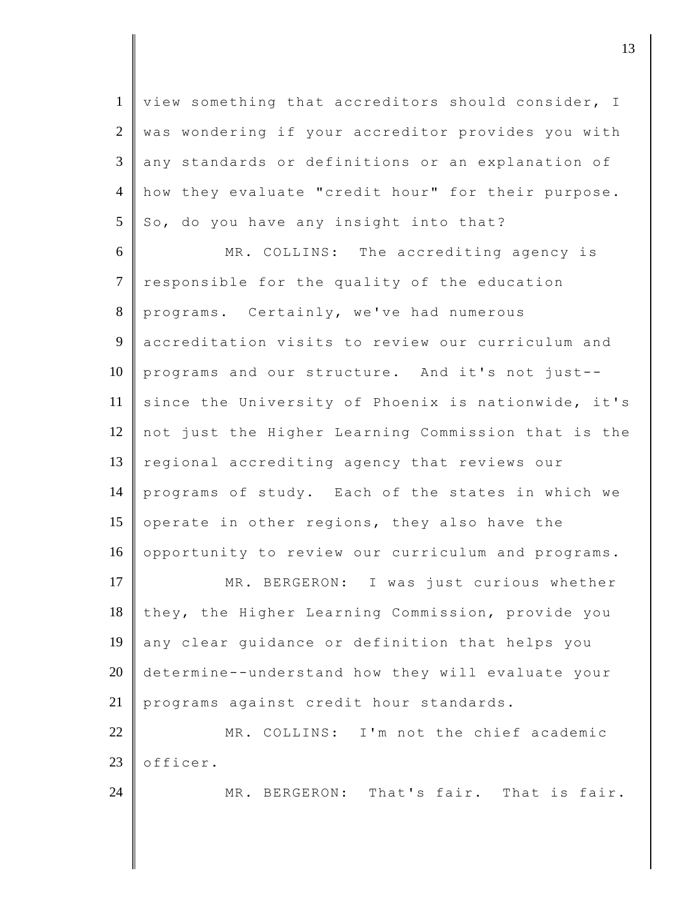1 view something that accreditors should consider, I 2 was wondering if your accreditor provides you with 3 any standards or definitions or an explanation of 4 how they evaluate "credit hour" for their purpose.  $5 \parallel$  So, do you have any insight into that?

6 MR. COLLINS: The accrediting agency is 7 responsible for the quality of the education 8 programs. Certainly, we've had numerous 9 accreditation visits to review our curriculum and 10 programs and our structure. And it's not just-- 11 since the University of Phoenix is nationwide, it's 12 not just the Higher Learning Commission that is the 13 regional accrediting agency that reviews our 14 programs of study. Each of the states in which we 15 operate in other regions, they also have the 16 opportunity to review our curriculum and programs.

17 MR. BERGERON: I was just curious whether 18 they, the Higher Learning Commission, provide you 19 any clear guidance or definition that helps you 20 determine--understand how they will evaluate your 21 programs against credit hour standards.

22 MR. COLLINS: I'm not the chief academic  $23$  | officer.

24 MR. BERGERON: That's fair. That is fair.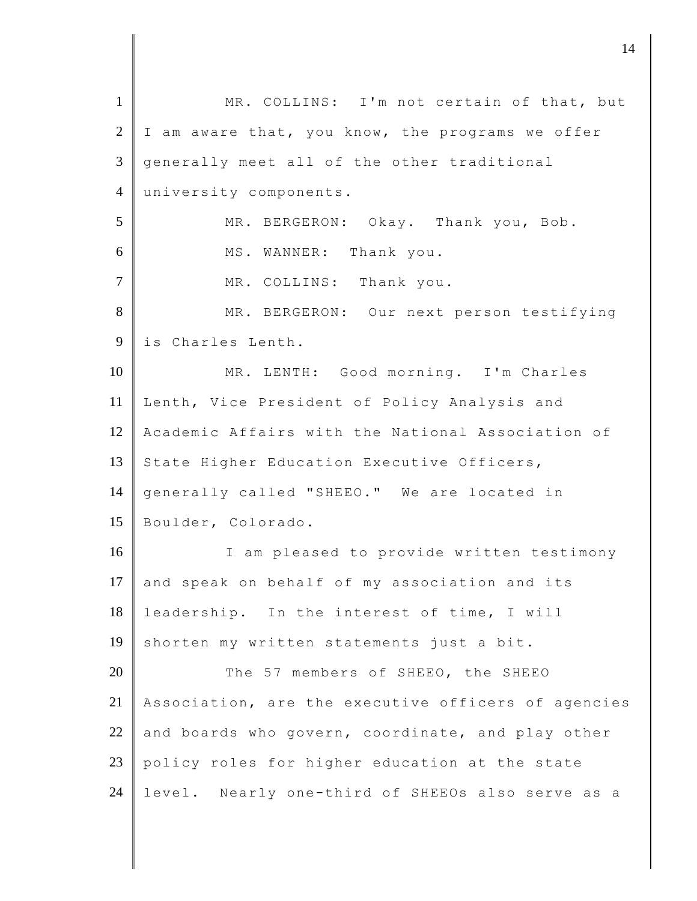1 | MR. COLLINS: I'm not certain of that, but  $2 \parallel$  I am aware that, you know, the programs we offer 3 generally meet all of the other traditional 4 university components. 5 MR. BERGERON: Okay. Thank you, Bob. 6 MS. WANNER: Thank you. 7 MR. COLLINS: Thank you. 8 MR. BERGERON: Our next person testifying 9 is Charles Lenth. 10 MR. LENTH: Good morning. I'm Charles 11 Lenth, Vice President of Policy Analysis and 12 Academic Affairs with the National Association of 13 State Higher Education Executive Officers, 14 generally called "SHEEO." We are located in 15 Boulder, Colorado. 16 I am pleased to provide written testimony  $17$  and speak on behalf of my association and its 18 leadership. In the interest of time, I will 19 shorten my written statements just a bit. 20 The 57 members of SHEEO, the SHEEO 21 Association, are the executive officers of agencies 22 and boards who govern, coordinate, and play other 23 policy roles for higher education at the state 24 level. Nearly one-third of SHEEOs also serve as a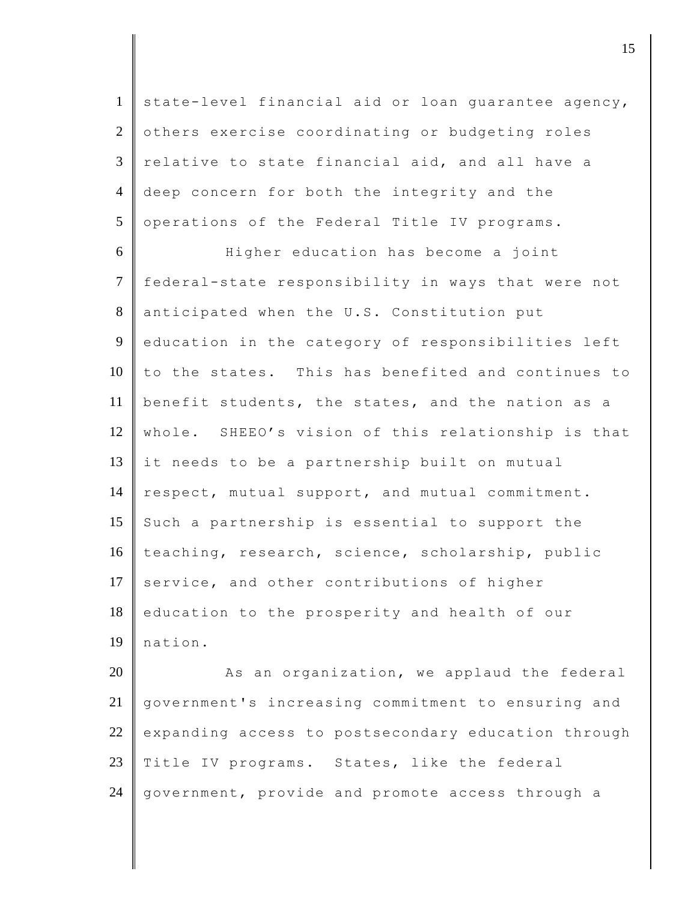1 state-level financial aid or loan quarantee agency, 2 others exercise coordinating or budgeting roles  $3$   $\parallel$  relative to state financial aid, and all have a 4 deep concern for both the integrity and the 5 operations of the Federal Title IV programs.

6 Higher education has become a joint 7 federal-state responsibility in ways that were not 8 anticipated when the U.S. Constitution put 9 education in the category of responsibilities left  $10$   $\parallel$  to the states. This has benefited and continues to 11 benefit students, the states, and the nation as a 12 whole. SHEEO's vision of this relationship is that 13 it needs to be a partnership built on mutual 14 respect, mutual support, and mutual commitment. 15 Such a partnership is essential to support the 16 teaching, research, science, scholarship, public 17 service, and other contributions of higher 18 education to the prosperity and health of our 19 nation.

20 As an organization, we applaud the federal 21 government's increasing commitment to ensuring and  $22$  expanding access to postsecondary education through 23 Title IV programs. States, like the federal 24 | government, provide and promote access through a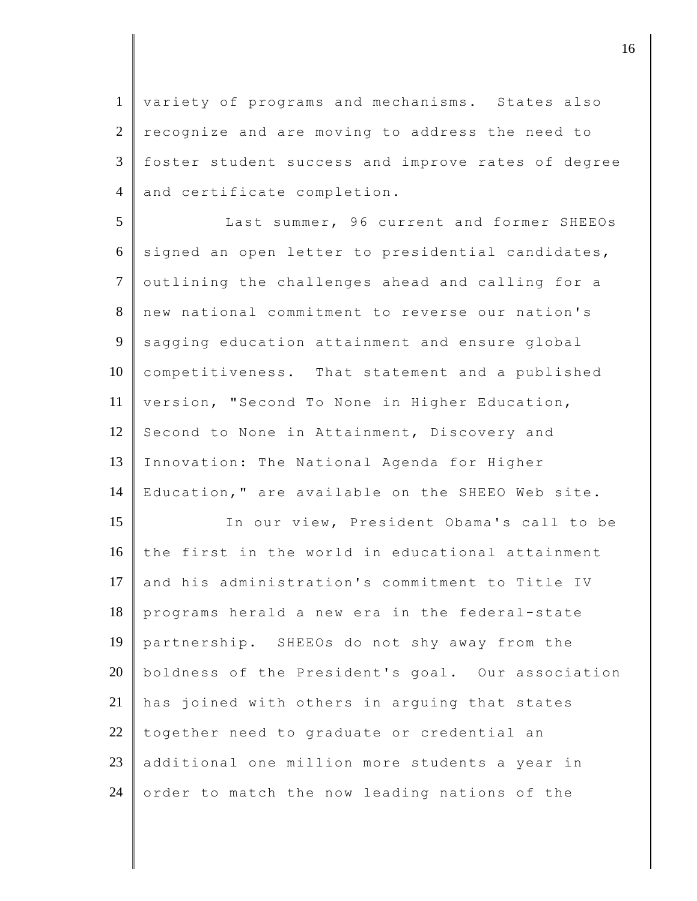1 variety of programs and mechanisms. States also  $2 \parallel$  recognize and are moving to address the need to 3 foster student success and improve rates of degree 4 and certificate completion.

5 Last summer, 96 current and former SHEEOs 6 signed an open letter to presidential candidates, 7 outlining the challenges ahead and calling for a 8 new national commitment to reverse our nation's 9 sagging education attainment and ensure global 10 competitiveness. That statement and a published 11 version, "Second To None in Higher Education, 12 Second to None in Attainment, Discovery and 13 Innovation: The National Agenda for Higher 14 Education," are available on the SHEEO Web site.

15 In our view, President Obama's call to be 16 the first in the world in educational attainment 17 and his administration's commitment to Title IV 18 programs herald a new era in the federal-state 19 partnership. SHEEOs do not shy away from the 20 boldness of the President's goal. Our association 21 has joined with others in arguing that states  $22$  together need to graduate or credential an 23 additional one million more students a year in 24 order to match the now leading nations of the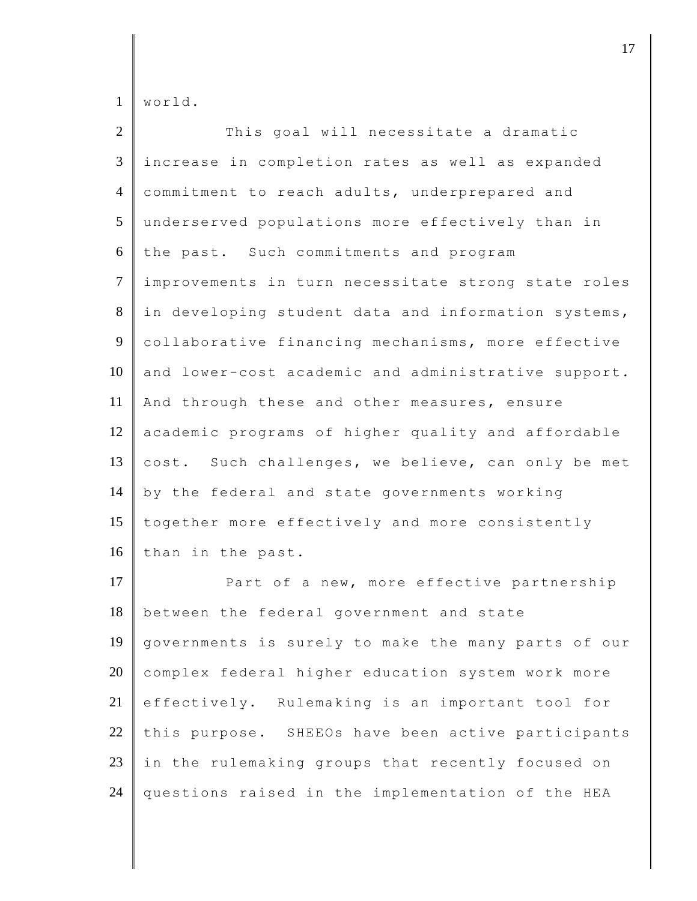world.

| $\overline{2}$ | This goal will necessitate a dramatic               |
|----------------|-----------------------------------------------------|
| 3              | increase in completion rates as well as expanded    |
| $\overline{4}$ | commitment to reach adults, underprepared and       |
| 5              | underserved populations more effectively than in    |
| 6              | the past. Such commitments and program              |
| $\overline{7}$ | improvements in turn necessitate strong state roles |
| $8\,$          | in developing student data and information systems, |
| 9              | collaborative financing mechanisms, more effective  |
| 10             | and lower-cost academic and administrative support. |
| 11             | And through these and other measures, ensure        |
| 12             | academic programs of higher quality and affordable  |
| 13             | cost. Such challenges, we believe, can only be met  |
| 14             | by the federal and state governments working        |
| 15             | together more effectively and more consistently     |
| 16             | than in the past.                                   |
| 17             | Part of a new, more effective partnership           |
| 18             | between the federal government and state            |
| 19             | governments is surely to make the many parts of our |
| 20             | complex federal higher education system work more   |
| 21             | effectively. Rulemaking is an important tool for    |
| $22\,$         | this purpose. SHEEOs have been active participants  |
| $23\,$         | in the rulemaking groups that recently focused on   |
| 24             | questions raised in the implementation of the HEA   |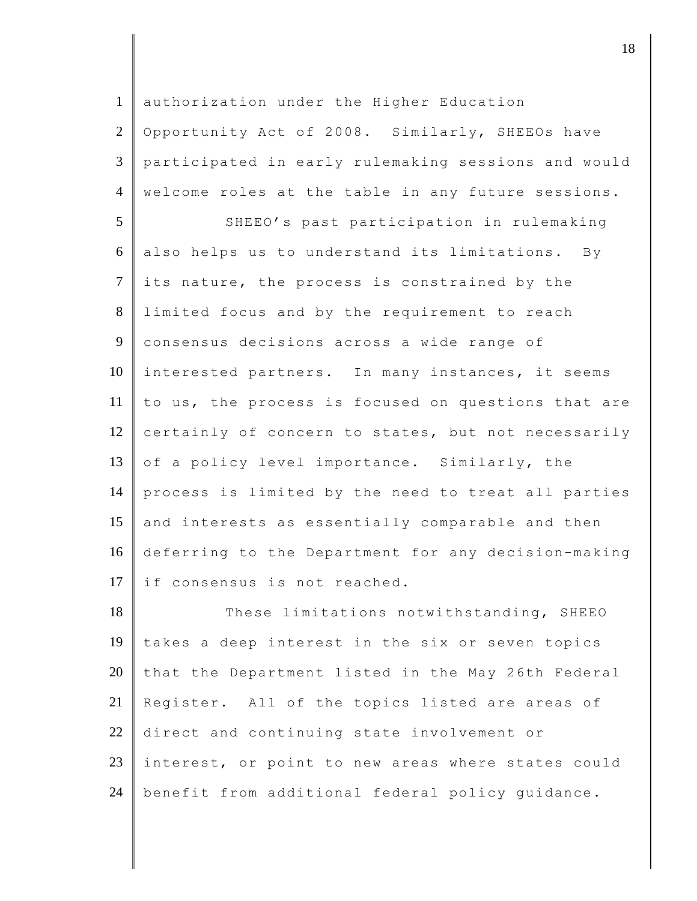1 | authorization under the Higher Education 2 Opportunity Act of 2008. Similarly, SHEEOs have 3 participated in early rulemaking sessions and would 4 welcome roles at the table in any future sessions. 5 SHEEO's past participation in rulemaking  $6$  also helps us to understand its limitations. By  $7$  its nature, the process is constrained by the 8 limited focus and by the requirement to reach 9 consensus decisions across a wide range of 10 interested partners. In many instances, it seems 11 to us, the process is focused on questions that are 12 certainly of concern to states, but not necessarily 13 of a policy level importance. Similarly, the 14 process is limited by the need to treat all parties 15 and interests as essentially comparable and then 16 deferring to the Department for any decision-making 17 if consensus is not reached. 18 These limitations notwithstanding, SHEEO 19 takes a deep interest in the six or seven topics 20 that the Department listed in the May 26th Federal 21 Register. All of the topics listed are areas of 22 direct and continuing state involvement or 23 interest, or point to new areas where states could

24 | benefit from additional federal policy guidance.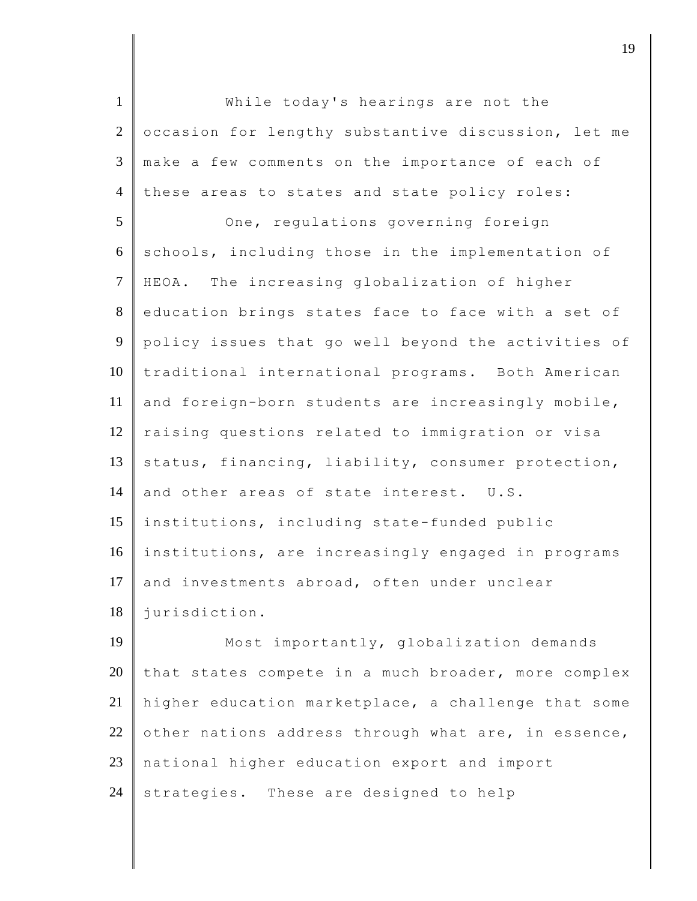1 **While today's hearings are not the** 2 cccasion for lengthy substantive discussion, let me 3 make a few comments on the importance of each of 4 these areas to states and state policy roles: 5 One, regulations governing foreign  $6$  schools, including those in the implementation of 7 HEOA. The increasing globalization of higher 8 education brings states face to face with a set of 9 policy issues that go well beyond the activities of 10 traditional international programs. Both American 11  $\parallel$  and foreign-born students are increasingly mobile, 12 raising questions related to immigration or visa 13 status, financing, liability, consumer protection, 14 and other areas of state interest. U.S. 15 institutions, including state-funded public 16 institutions, are increasingly engaged in programs 17 and investments abroad, often under unclear 18 jurisdiction. 19 | Most importantly, globalization demands

20 that states compete in a much broader, more complex 21 higher education marketplace, a challenge that some 22 other nations address through what are, in essence, 23 national higher education export and import  $24$  strategies. These are designed to help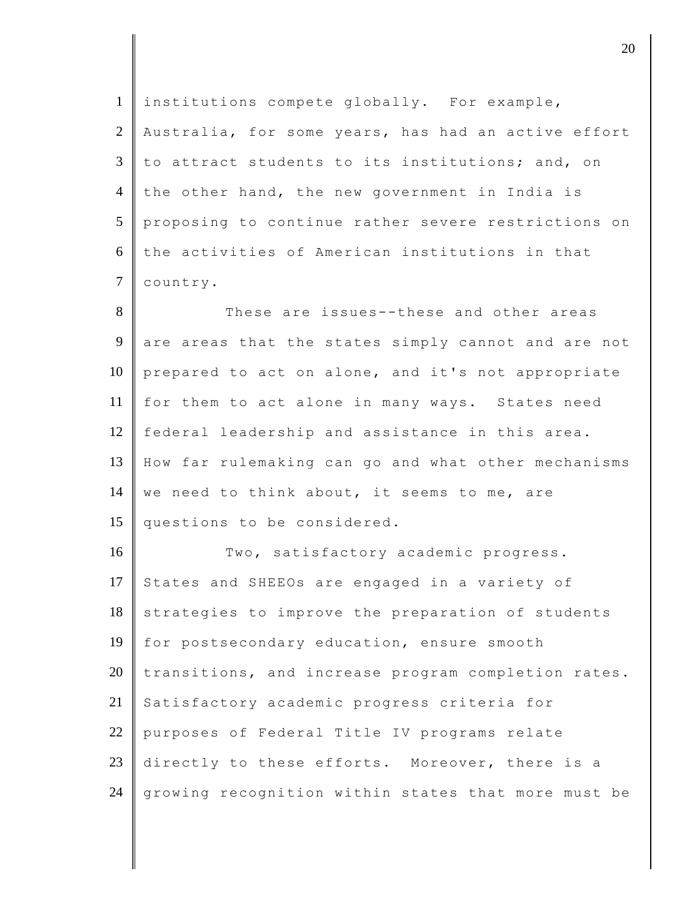| institutions compete globally. For example,         |
|-----------------------------------------------------|
| Australia, for some years, has had an active effort |
| to attract students to its institutions; and, on    |
| the other hand, the new government in India is      |
| proposing to continue rather severe restrictions on |
| the activities of American institutions in that     |
| country.                                            |
| These are issues--these and other areas             |
| are areas that the states simply cannot and are not |
| prepared to act on alone, and it's not appropriate  |
| for them to act alone in many ways. States need     |
| federal leadership and assistance in this area.     |
| How far rulemaking can go and what other mechanisms |
| we need to think about, it seems to me, are         |
| questions to be considered.                         |
| Two, satisfactory academic progress.                |
| States and SHEEOs are engaged in a variety of       |
| strategies to improve the preparation of students   |
| for postsecondary education, ensure smooth          |
| transitions, and increase program completion rates. |
| Satisfactory academic progress criteria for         |
| purposes of Federal Title IV programs relate        |
| directly to these efforts. Moreover, there is a     |
| growing recognition within states that more must be |
|                                                     |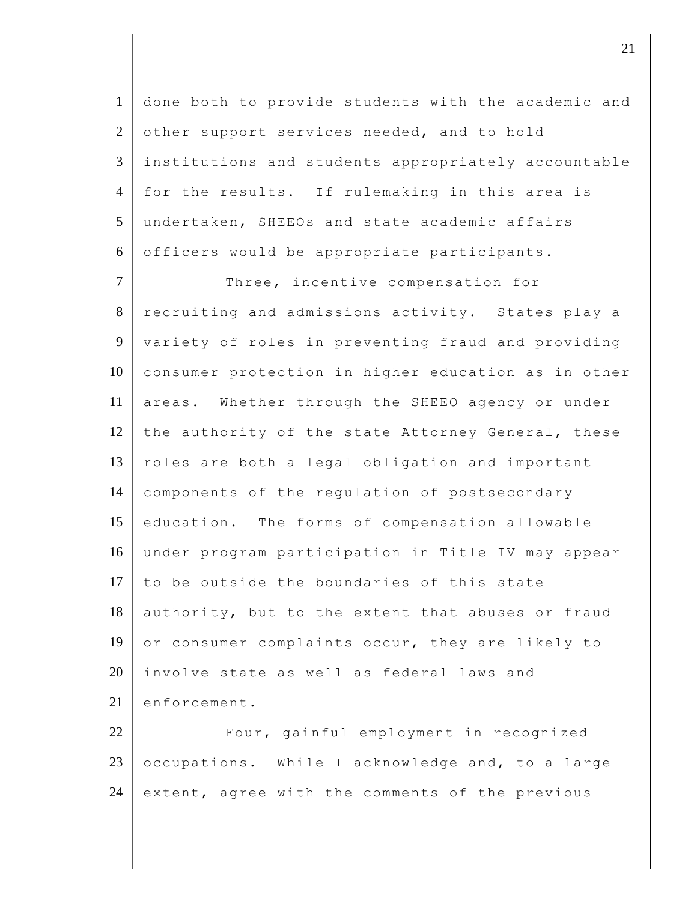done both to provide students with the academic and 2 other support services needed, and to hold institutions and students appropriately accountable for the results. If rulemaking in this area is undertaken, SHEEOs and state academic affairs  $6 \parallel$  officers would be appropriate participants.

7 Three, incentive compensation for 8 recruiting and admissions activity. States play a 9 variety of roles in preventing fraud and providing 10 consumer protection in higher education as in other 11 areas. Whether through the SHEEO agency or under 12 the authority of the state Attorney General, these  $13$  roles are both a legal obligation and important 14 components of the regulation of postsecondary 15 education. The forms of compensation allowable 16 under program participation in Title IV may appear 17  $\|$  to be outside the boundaries of this state  $18$  authority, but to the extent that abuses or fraud 19 or consumer complaints occur, they are likely to 20 involve state as well as federal laws and 21 enforcement.

22 **Four,** gainful employment in recognized 23 occupations. While I acknowledge and, to a large 24 extent, agree with the comments of the previous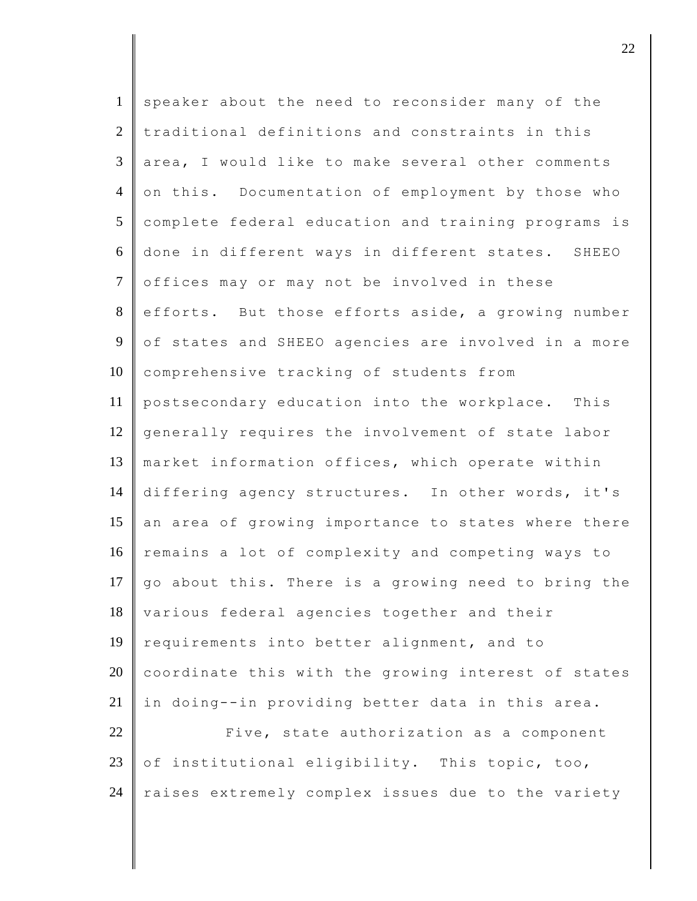| $\mathbf{1}$    | speaker about the need to reconsider many of the    |
|-----------------|-----------------------------------------------------|
| $\overline{2}$  | traditional definitions and constraints in this     |
| 3               | area, I would like to make several other comments   |
| $\overline{4}$  | on this. Documentation of employment by those who   |
| $5\overline{)}$ | complete federal education and training programs is |
| 6               | done in different ways in different states. SHEEO   |
| $\tau$          | offices may or may not be involved in these         |
| 8               | efforts. But those efforts aside, a growing number  |
| 9               | of states and SHEEO agencies are involved in a more |
| 10              | comprehensive tracking of students from             |
| 11              | postsecondary education into the workplace. This    |
| 12              | generally requires the involvement of state labor   |
| 13              | market information offices, which operate within    |
| 14              | differing agency structures. In other words, it's   |
| 15              | an area of growing importance to states where there |
| 16              | remains a lot of complexity and competing ways to   |
| 17              | go about this. There is a growing need to bring the |
| 18              | various federal agencies together and their         |
| 19              | requirements into better alignment, and to          |
| 20              | coordinate this with the growing interest of states |
| 21              | in doing--in providing better data in this area.    |
| 22              | Five, state authorization as a component            |
| 23              | of institutional eligibility. This topic, too,      |
| 24              | raises extremely complex issues due to the variety  |
|                 |                                                     |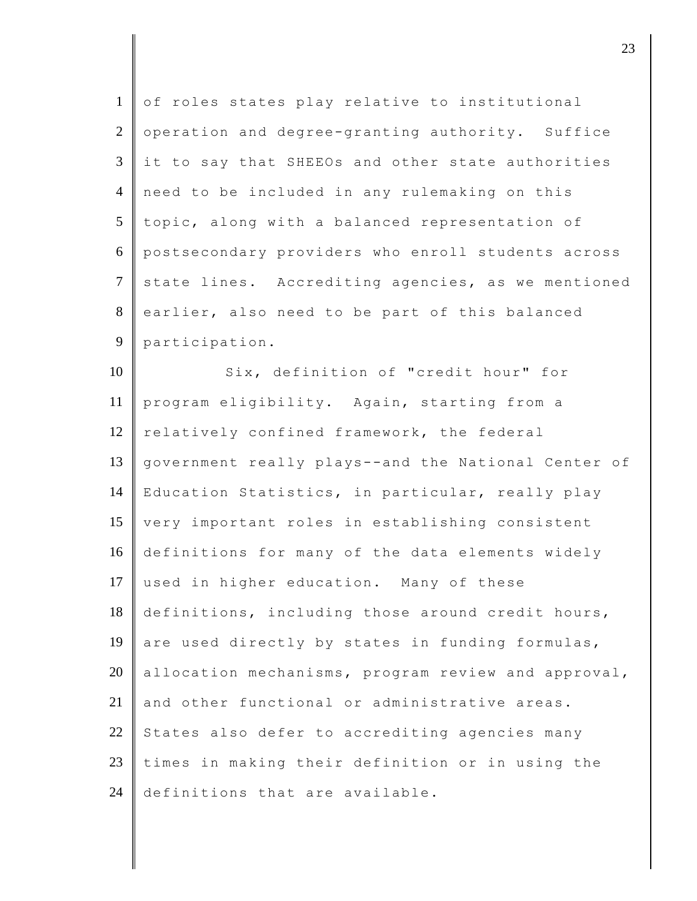| $\mathbf{1}$   | of roles states play relative to institutional      |
|----------------|-----------------------------------------------------|
| $\overline{2}$ | operation and degree-granting authority. Suffice    |
| 3              | it to say that SHEEOs and other state authorities   |
| $\overline{4}$ | need to be included in any rulemaking on this       |
| 5              | topic, along with a balanced representation of      |
| 6              | postsecondary providers who enroll students across  |
| $\tau$         | state lines. Accrediting agencies, as we mentioned  |
| 8              | earlier, also need to be part of this balanced      |
| 9              | participation.                                      |
| 10             | Six, definition of "credit hour" for                |
| 11             | program eligibility. Again, starting from a         |
| 12             | relatively confined framework, the federal          |
| 13             | government really plays--and the National Center of |
| 14             | Education Statistics, in particular, really play    |
| 15             | very important roles in establishing consistent     |
| 16             | definitions for many of the data elements widely    |
| 17             | used in higher education. Many of these             |
| 18             | definitions, including those around credit hours,   |
| 19             | are used directly by states in funding formulas,    |
| 20             | allocation mechanisms, program review and approval, |
| 21             | and other functional or administrative areas.       |
| 22             | States also defer to accrediting agencies many      |
| 23             | times in making their definition or in using the    |
| 24             | definitions that are available.                     |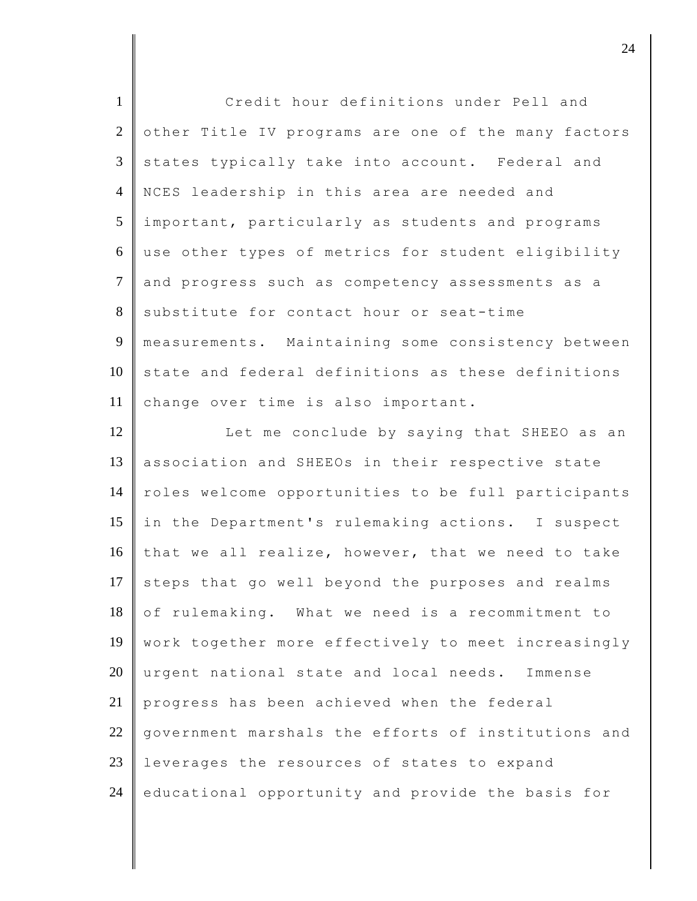| $\mathbf{1}$    | Credit hour definitions under Pell and              |
|-----------------|-----------------------------------------------------|
| $\overline{2}$  | other Title IV programs are one of the many factors |
| $\mathfrak{Z}$  | states typically take into account. Federal and     |
| $\overline{4}$  | NCES leadership in this area are needed and         |
| $5\overline{)}$ | important, particularly as students and programs    |
| 6               | use other types of metrics for student eligibility  |
| $\overline{7}$  | and progress such as competency assessments as a    |
| 8               | substitute for contact hour or seat-time            |
| 9               | measurements. Maintaining some consistency between  |
| 10              | state and federal definitions as these definitions  |
| 11              | change over time is also important.                 |
| 12              | Let me conclude by saying that SHEEO as an          |
| 13              | association and SHEEOs in their respective state    |
| 14              | roles welcome opportunities to be full participants |
| 15              | in the Department's rulemaking actions. I suspect   |
| 16              | that we all realize, however, that we need to take  |
| 17              | steps that go well beyond the purposes and realms   |
| 18              | of rulemaking. What we need is a recommitment to    |
| 19              | work together more effectively to meet increasingly |
| 20              | urgent national state and local needs. Immense      |
| 21              | progress has been achieved when the federal         |
| 22              | government marshals the efforts of institutions and |
| 23              | leverages the resources of states to expand         |
| 24              | educational opportunity and provide the basis for   |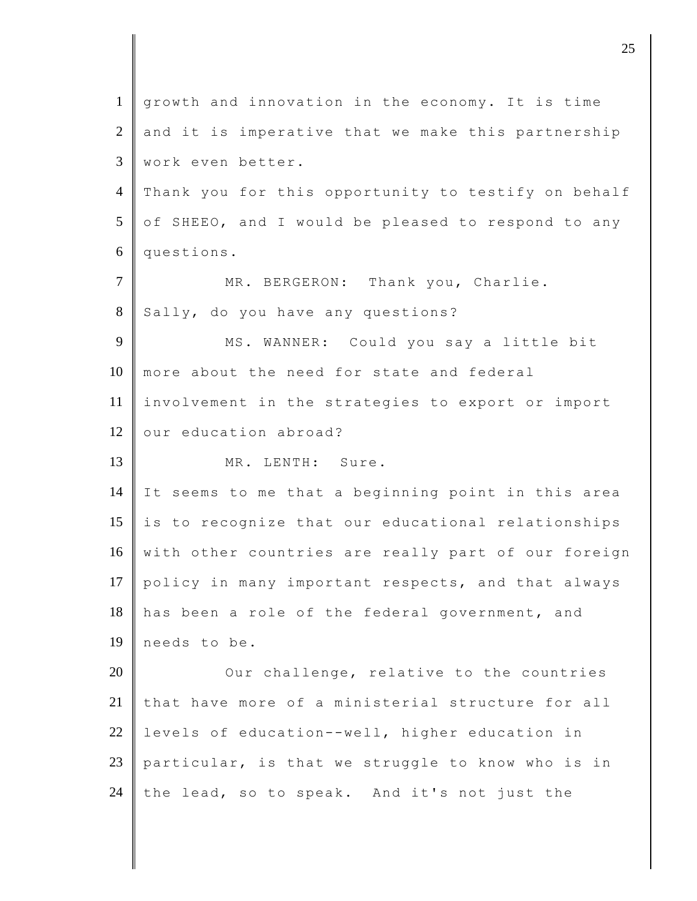| $\mathbf{1}$   | growth and innovation in the economy. It is time    |
|----------------|-----------------------------------------------------|
| $\overline{2}$ | and it is imperative that we make this partnership  |
| 3              | work even better.                                   |
| $\overline{4}$ | Thank you for this opportunity to testify on behalf |
| $\mathfrak{S}$ | of SHEEO, and I would be pleased to respond to any  |
| 6              | questions.                                          |
| $\tau$         | MR. BERGERON: Thank you, Charlie.                   |
| 8              | Sally, do you have any questions?                   |
| 9              | MS. WANNER: Could you say a little bit              |
| 10             | more about the need for state and federal           |
| 11             | involvement in the strategies to export or import   |
| 12             | our education abroad?                               |
| 13             | MR. LENTH: Sure.                                    |
| 14             | It seems to me that a beginning point in this area  |
| 15             | is to recognize that our educational relationships  |
| 16             | with other countries are really part of our foreign |
| 17             | policy in many important respects, and that always  |
| 18             | has been a role of the federal government, and      |
| 19             | needs to be.                                        |
| 20             | Our challenge, relative to the countries            |
| 21             | that have more of a ministerial structure for all   |
| 22             | levels of education--well, higher education in      |
| 23             | particular, is that we struggle to know who is in   |
| 24             | the lead, so to speak. And it's not just the        |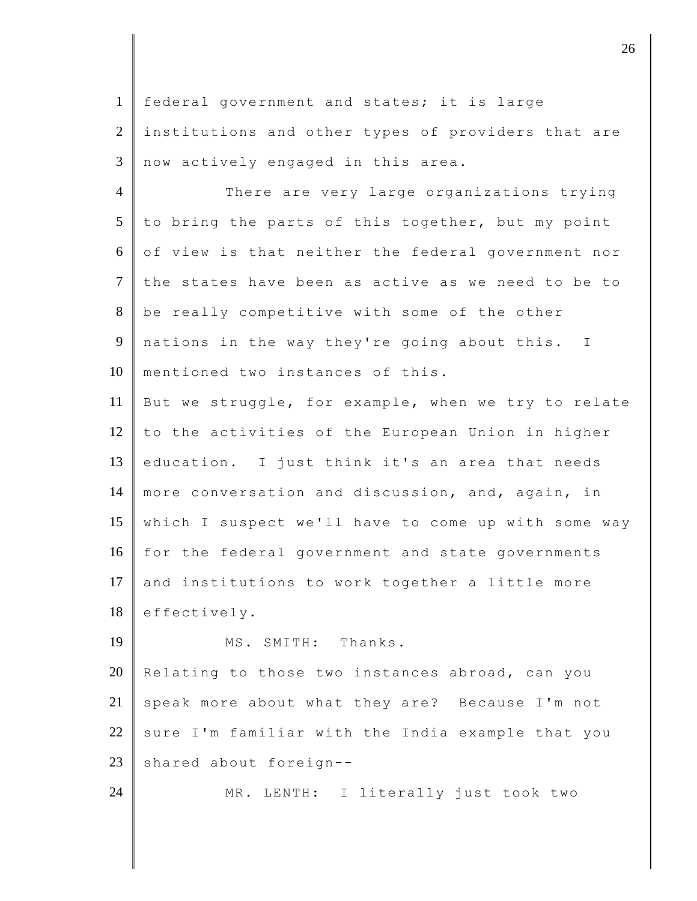1 federal government and states; it is large 2 | institutions and other types of providers that are 3 now actively engaged in this area.

4 There are very large organizations trying 5 to bring the parts of this together, but my point  $6 \parallel$  of view is that neither the federal government nor 7 the states have been as active as we need to be to 8 be really competitive with some of the other 9 nations in the way they're going about this. I 10 mentioned two instances of this. 11 But we struggle, for example, when we try to relate  $12$  to the activities of the European Union in higher 13 education. I just think it's an area that needs 14 more conversation and discussion, and, again, in 15 which I suspect we'll have to come up with some way 16 for the federal government and state governments 17 and institutions to work together a little more 18 effectively. 19 || MS. SMITH: Thanks.

20 Relating to those two instances abroad, can you 21 speak more about what they are? Because I'm not  $22$  sure I'm familiar with the India example that you 23 shared about foreign--

24 MR. LENTH: I literally just took two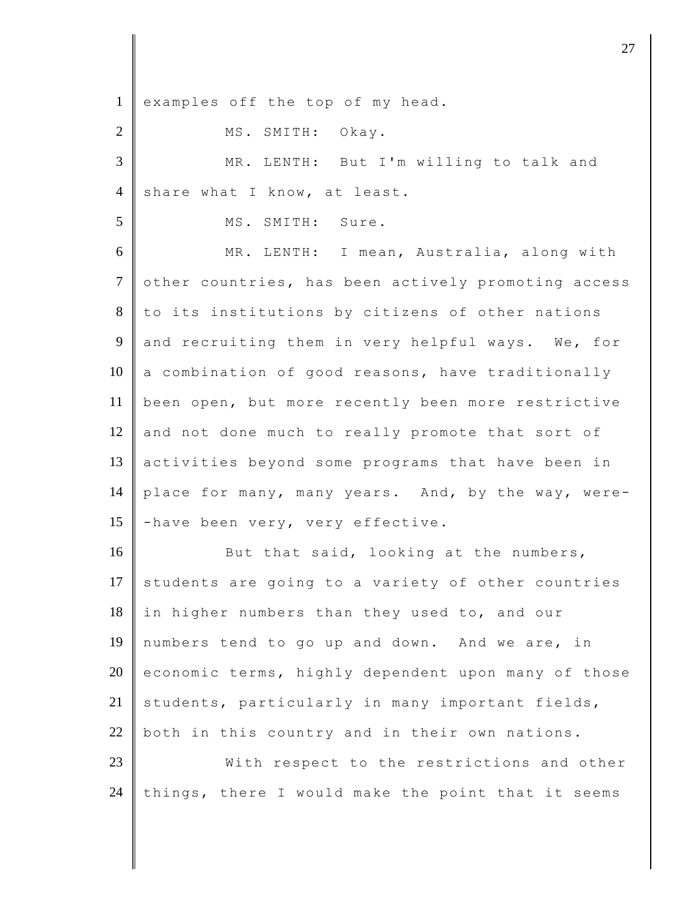| $\mathbf{1}$   | examples off the top of my head.                    |
|----------------|-----------------------------------------------------|
| $\overline{2}$ | MS. SMITH: Okay.                                    |
| 3              | MR. LENTH: But I'm willing to talk and              |
| $\overline{4}$ | share what I know, at least.                        |
| 5              | MS. SMITH: Sure.                                    |
| 6              | MR. LENTH: I mean, Australia, along with            |
| $\tau$         | other countries, has been actively promoting access |
| $8\,$          | to its institutions by citizens of other nations    |
| 9              | and recruiting them in very helpful ways. We, for   |
| 10             | a combination of good reasons, have traditionally   |
| 11             | been open, but more recently been more restrictive  |
| 12             | and not done much to really promote that sort of    |
| 13             | activities beyond some programs that have been in   |
| 14             | place for many, many years. And, by the way, were-  |
| 15             | -have been very, very effective.                    |
| 16             | But that said, looking at the numbers,              |
| 17             | students are going to a variety of other countries  |
| 18             | in higher numbers than they used to, and our        |
| 19             | numbers tend to go up and down. And we are, in      |
| 20             | economic terms, highly dependent upon many of those |
| 21             | students, particularly in many important fields,    |
| 22             | both in this country and in their own nations.      |
| 23             | With respect to the restrictions and other          |
| 24             | things, there I would make the point that it seems  |
|                |                                                     |

 $\overline{\phantom{a}}$  27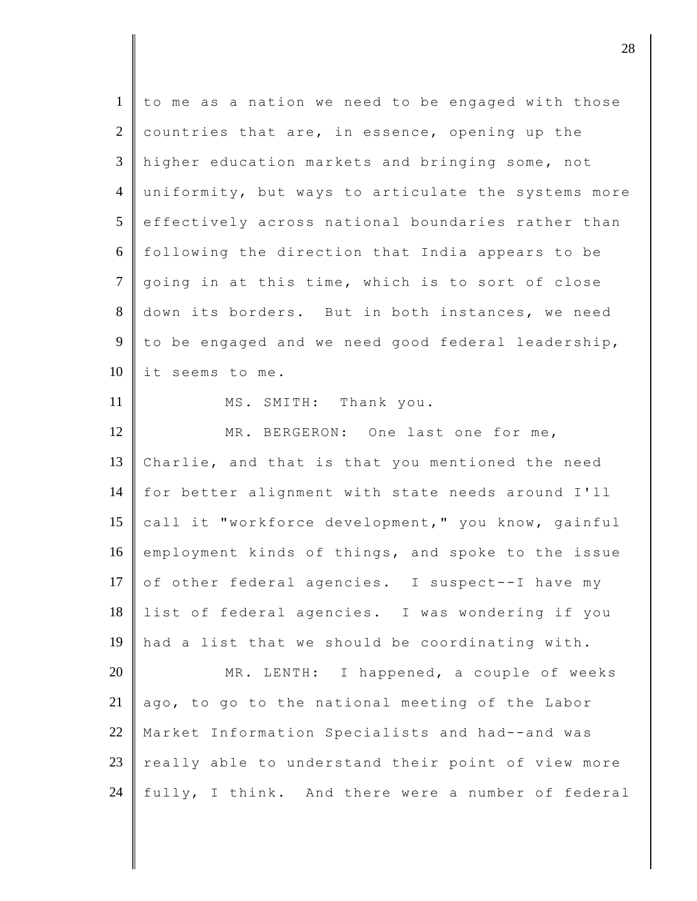| to me as a nation we need to be engaged with those<br>countries that are, in essence, opening up the<br>higher education markets and bringing some, not<br>uniformity, but ways to articulate the systems more<br>effectively across national boundaries rather than<br>following the direction that India appears to be<br>going in at this time, which is to sort of close<br>down its borders. But in both instances, we need<br>to be engaged and we need good federal leadership, |
|----------------------------------------------------------------------------------------------------------------------------------------------------------------------------------------------------------------------------------------------------------------------------------------------------------------------------------------------------------------------------------------------------------------------------------------------------------------------------------------|
|                                                                                                                                                                                                                                                                                                                                                                                                                                                                                        |
|                                                                                                                                                                                                                                                                                                                                                                                                                                                                                        |
|                                                                                                                                                                                                                                                                                                                                                                                                                                                                                        |
|                                                                                                                                                                                                                                                                                                                                                                                                                                                                                        |
|                                                                                                                                                                                                                                                                                                                                                                                                                                                                                        |
|                                                                                                                                                                                                                                                                                                                                                                                                                                                                                        |
|                                                                                                                                                                                                                                                                                                                                                                                                                                                                                        |
|                                                                                                                                                                                                                                                                                                                                                                                                                                                                                        |
|                                                                                                                                                                                                                                                                                                                                                                                                                                                                                        |
|                                                                                                                                                                                                                                                                                                                                                                                                                                                                                        |
|                                                                                                                                                                                                                                                                                                                                                                                                                                                                                        |
| MR. BERGERON: One last one for me,                                                                                                                                                                                                                                                                                                                                                                                                                                                     |
| Charlie, and that is that you mentioned the need                                                                                                                                                                                                                                                                                                                                                                                                                                       |
| for better alignment with state needs around I'll                                                                                                                                                                                                                                                                                                                                                                                                                                      |
| call it "workforce development," you know, gainful                                                                                                                                                                                                                                                                                                                                                                                                                                     |
| employment kinds of things, and spoke to the issue                                                                                                                                                                                                                                                                                                                                                                                                                                     |
| of other federal agencies. I suspect--I have my                                                                                                                                                                                                                                                                                                                                                                                                                                        |
| list of federal agencies. I was wondering if you                                                                                                                                                                                                                                                                                                                                                                                                                                       |
| had a list that we should be coordinating with.                                                                                                                                                                                                                                                                                                                                                                                                                                        |
| MR. LENTH: I happened, a couple of weeks                                                                                                                                                                                                                                                                                                                                                                                                                                               |
| ago, to go to the national meeting of the Labor                                                                                                                                                                                                                                                                                                                                                                                                                                        |
|                                                                                                                                                                                                                                                                                                                                                                                                                                                                                        |
| Market Information Specialists and had--and was                                                                                                                                                                                                                                                                                                                                                                                                                                        |
| really able to understand their point of view more                                                                                                                                                                                                                                                                                                                                                                                                                                     |
|                                                                                                                                                                                                                                                                                                                                                                                                                                                                                        |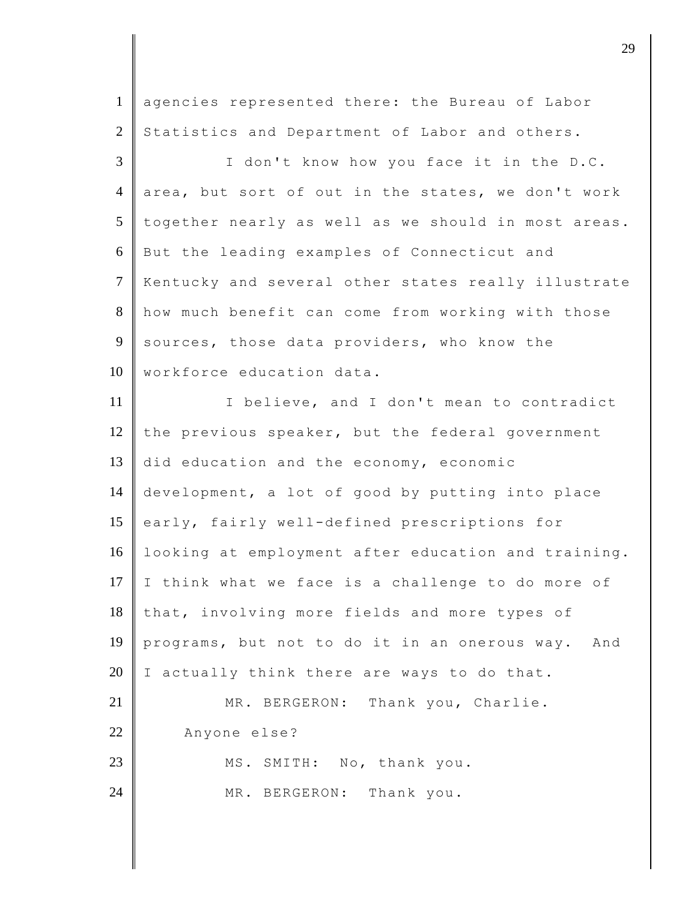| $\mathbf{1}$   | agencies represented there: the Bureau of Labor     |
|----------------|-----------------------------------------------------|
| $\overline{2}$ | Statistics and Department of Labor and others.      |
| 3              | I don't know how you face it in the D.C.            |
| $\overline{4}$ | area, but sort of out in the states, we don't work  |
| 5              | together nearly as well as we should in most areas. |
| 6              | But the leading examples of Connecticut and         |
| $\overline{7}$ | Kentucky and several other states really illustrate |
| 8              | how much benefit can come from working with those   |
| 9              | sources, those data providers, who know the         |
| 10             | workforce education data.                           |
| 11             | I believe, and I don't mean to contradict           |
| 12             | the previous speaker, but the federal government    |
| 13             | did education and the economy, economic             |
| 14             | development, a lot of good by putting into place    |
| 15             | early, fairly well-defined prescriptions for        |
| 16             | looking at employment after education and training. |
| 17             | I think what we face is a challenge to do more of   |
| 18             | that, involving more fields and more types of       |
| 19             | programs, but not to do it in an onerous way. And   |
| 20             | I actually think there are ways to do that.         |
| 21             | MR. BERGERON: Thank you, Charlie.                   |
| 22             | Anyone else?                                        |
| 23             | MS. SMITH: No, thank you.                           |
| 24             | MR. BERGERON: Thank you.                            |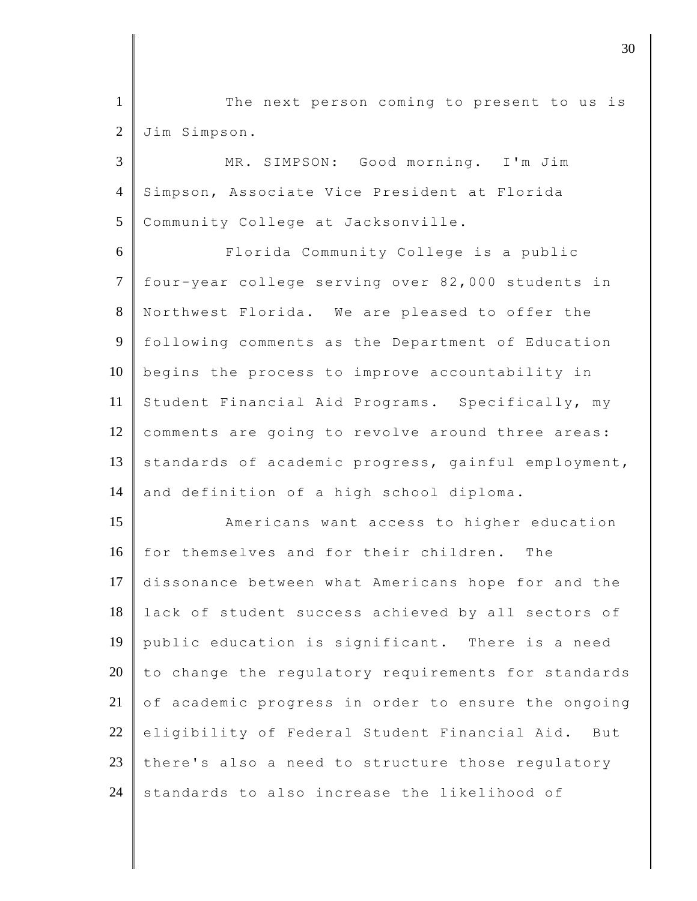1 The next person coming to present to us is 2 Jim Simpson.

3 MR. SIMPSON: Good morning. I'm Jim 4 Simpson, Associate Vice President at Florida 5 Community College at Jacksonville.

6 Florida Community College is a public 7 four-year college serving over 82,000 students in 8 Northwest Florida. We are pleased to offer the 9 following comments as the Department of Education 10 begins the process to improve accountability in 11 Student Financial Aid Programs. Specifically, my 12 comments are going to revolve around three areas: 13 standards of academic progress, gainful employment, 14 and definition of a high school diploma.

**Americans want access to higher education**  for themselves and for their children. The dissonance between what Americans hope for and the lack of student success achieved by all sectors of public education is significant. There is a need to change the regulatory requirements for standards  $\circ$  of academic progress in order to ensure the ongoing eligibility of Federal Student Financial Aid. But 23 there's also a need to structure those regulatory standards to also increase the likelihood of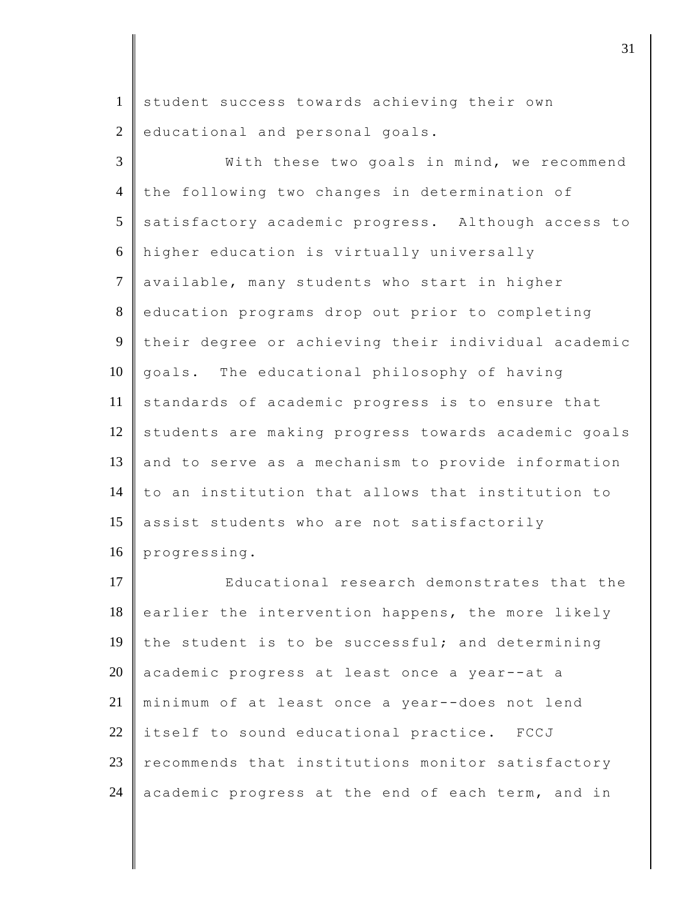1 student success towards achieving their own 2 educational and personal goals.

3 With these two goals in mind, we recommend 4 the following two changes in determination of 5 satisfactory academic progress. Although access to 6 higher education is virtually universally 7 available, many students who start in higher 8 education programs drop out prior to completing 9 their degree or achieving their individual academic 10 goals. The educational philosophy of having 11 standards of academic progress is to ensure that 12 students are making progress towards academic goals 13 and to serve as a mechanism to provide information 14 to an institution that allows that institution to 15 assist students who are not satisfactorily 16 progressing.

**Number** Educational research demonstrates that the earlier the intervention happens, the more likely 19 the student is to be successful; and determining 20 academic progress at least once a year--at a minimum of at least once a year--does not lend 22 itself to sound educational practice. FCCJ recommends that institutions monitor satisfactory academic progress at the end of each term, and in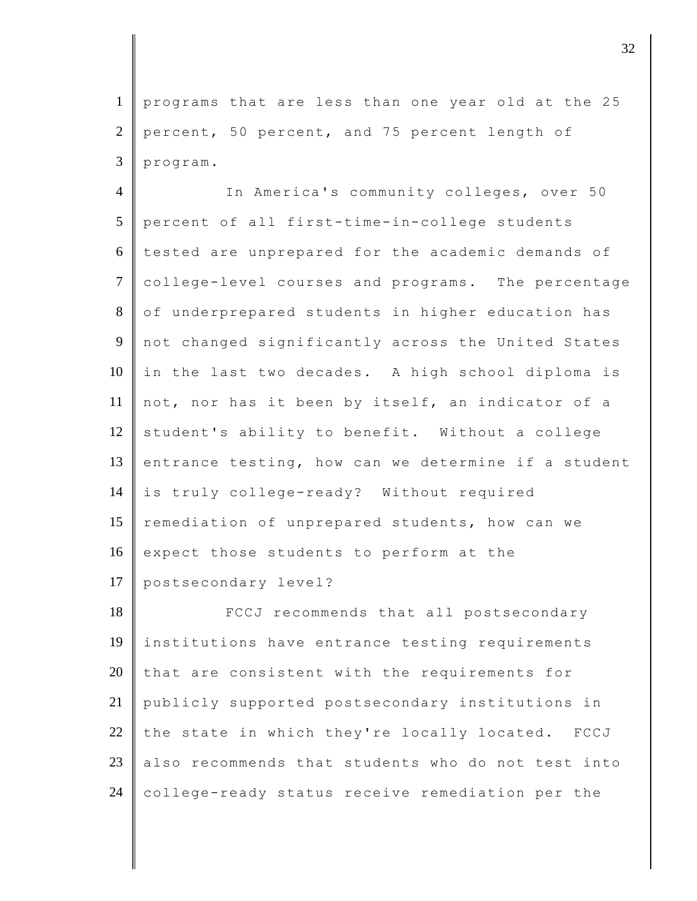1 programs that are less than one year old at the 25 2 percent, 50 percent, and 75 percent length of  $3$  program.

4 In America's community colleges, over 50 5 percent of all first-time-in-college students 6 tested are unprepared for the academic demands of 7 college-level courses and programs. The percentage 8 of underprepared students in higher education has 9 not changed significantly across the United States 10 in the last two decades. A high school diploma is 11 not, nor has it been by itself, an indicator of a  $12$  student's ability to benefit. Without a college 13 entrance testing, how can we determine if a student 14 is truly college-ready? Without required 15 remediation of unprepared students, how can we 16 expect those students to perform at the 17 postsecondary level?

**FCCJ** recommends that all postsecondary 19 institutions have entrance testing requirements that are consistent with the requirements for publicly supported postsecondary institutions in 22 the state in which they're locally located. FCCJ also recommends that students who do not test into college-ready status receive remediation per the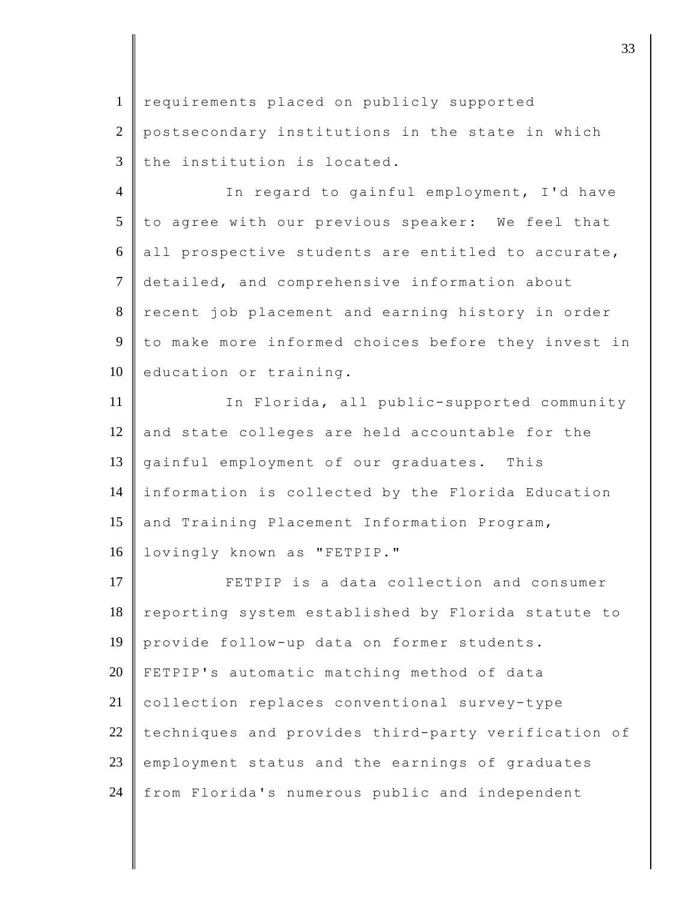1 requirements placed on publicly supported 2 postsecondary institutions in the state in which  $3$  the institution is located.

4 In regard to gainful employment, I'd have  $5$  to agree with our previous speaker: We feel that  $6$  all prospective students are entitled to accurate, 7 detailed, and comprehensive information about 8 recent job placement and earning history in order 9 to make more informed choices before they invest in 10 education or training.

11 In Florida, all public-supported community  $12$  and state colleges are held accountable for the 13 gainful employment of our graduates. This 14 information is collected by the Florida Education 15 and Training Placement Information Program, 16 | lovingly known as "FETPIP."

17 **FETPIP** is a data collection and consumer 18 reporting system established by Florida statute to 19 provide follow-up data on former students. 20 FETPIP's automatic matching method of data 21 collection replaces conventional survey-type  $22$  techniques and provides third-party verification of 23 employment status and the earnings of graduates 24 from Florida's numerous public and independent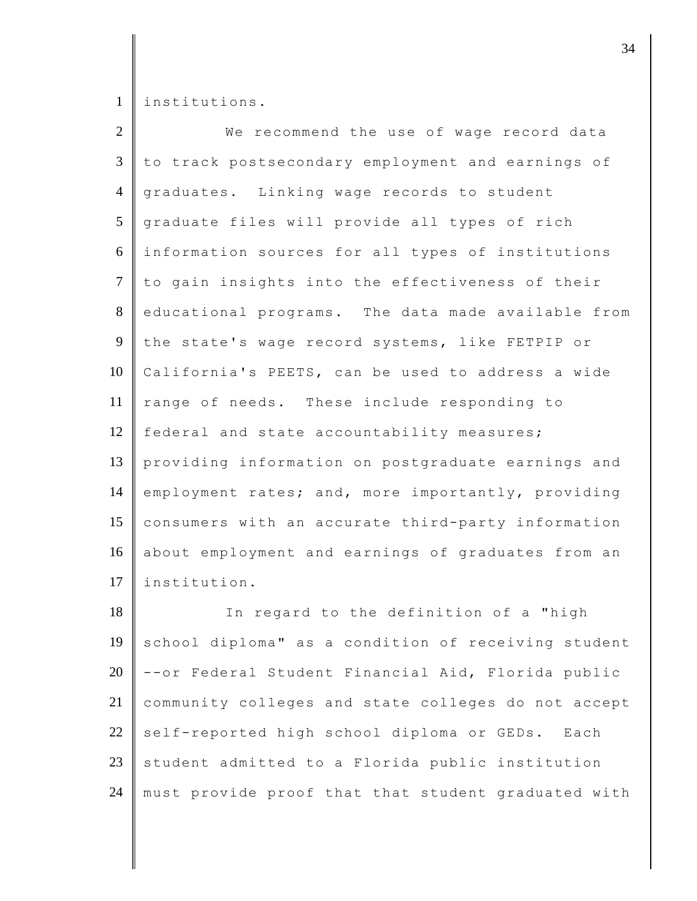1 | institutions.

| $\overline{2}$ | We recommend the use of wage record data            |
|----------------|-----------------------------------------------------|
| 3              | to track postsecondary employment and earnings of   |
| $\overline{4}$ | graduates. Linking wage records to student          |
| 5              | graduate files will provide all types of rich       |
| 6              | information sources for all types of institutions   |
| $\tau$         | to gain insights into the effectiveness of their    |
| 8              | educational programs. The data made available from  |
| 9              | the state's wage record systems, like FETPIP or     |
| 10             | California's PEETS, can be used to address a wide   |
| 11             | range of needs. These include responding to         |
| 12             | federal and state accountability measures;          |
| 13             | providing information on postgraduate earnings and  |
| 14             | employment rates; and, more importantly, providing  |
| 15             | consumers with an accurate third-party information  |
| 16             | about employment and earnings of graduates from an  |
| 17             | institution.                                        |
| 18             | In regard to the definition of a "high              |
| 19             | school diploma" as a condition of receiving student |
| $20\,$         | --or Federal Student Financial Aid, Florida public  |
| 21             | community colleges and state colleges do not accept |
| 22             | self-reported high school diploma or GEDs.<br>Each  |

23 student admitted to a Florida public institution 24 must provide proof that that student graduated with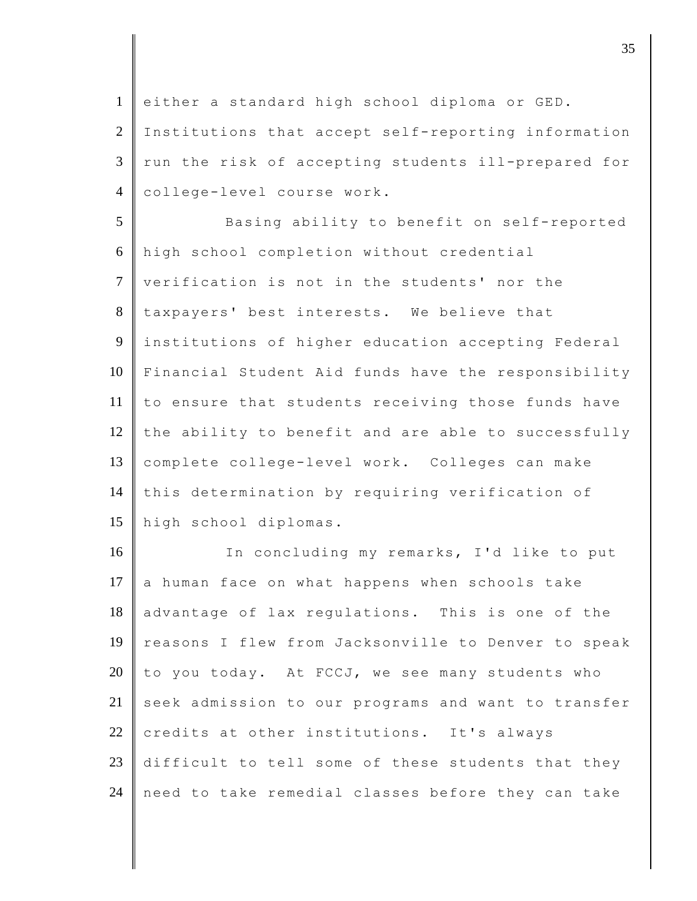1 either a standard high school diploma or GED. 2 Institutions that accept self-reporting information  $3 \parallel$  run the risk of accepting students ill-prepared for 4 college-level course work.

5 Basing ability to benefit on self-reported 6 high school completion without credential 7 verification is not in the students' nor the 8 taxpayers' best interests. We believe that 9 institutions of higher education accepting Federal 10 Financial Student Aid funds have the responsibility 11 to ensure that students receiving those funds have 12 the ability to benefit and are able to successfully 13 complete college-level work. Colleges can make 14 this determination by requiring verification of 15 high school diplomas.

16 In concluding my remarks, I'd like to put 17  $\|$  a human face on what happens when schools take 18 advantage of lax regulations. This is one of the 19 reasons I flew from Jacksonville to Denver to speak 20  $\parallel$  to you today. At FCCJ, we see many students who 21 seek admission to our programs and want to transfer 22 credits at other institutions. It's always 23 difficult to tell some of these students that they 24 need to take remedial classes before they can take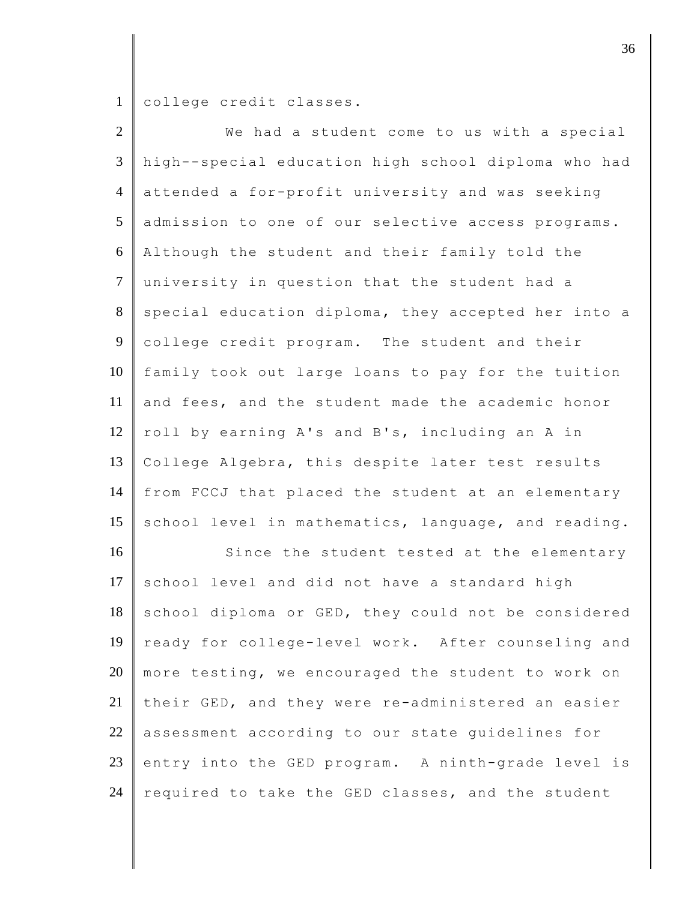college credit classes.

| $\overline{2}$ | We had a student come to us with a special          |
|----------------|-----------------------------------------------------|
| 3              | high--special education high school diploma who had |
| $\overline{4}$ | attended a for-profit university and was seeking    |
| 5              | admission to one of our selective access programs.  |
| 6              | Although the student and their family told the      |
| $\tau$         | university in question that the student had a       |
| $8\,$          | special education diploma, they accepted her into a |
| 9              | college credit program. The student and their       |
| 10             | family took out large loans to pay for the tuition  |
| 11             | and fees, and the student made the academic honor   |
| 12             | roll by earning A's and B's, including an A in      |
| 13             | College Algebra, this despite later test results    |
| 14             | from FCCJ that placed the student at an elementary  |
| 15             | school level in mathematics, language, and reading. |
| 16             | Since the student tested at the elementary          |
| 17             | school level and did not have a standard high       |
| 18             | school diploma or GED, they could not be considered |
| 19             | ready for college-level work. After counseling and  |
| 20             | more testing, we encouraged the student to work on  |
| 21             | their GED, and they were re-administered an easier  |
| 22             | assessment according to our state guidelines for    |
| 23             | entry into the GED program. A ninth-grade level is  |
| 24             | required to take the GED classes, and the student   |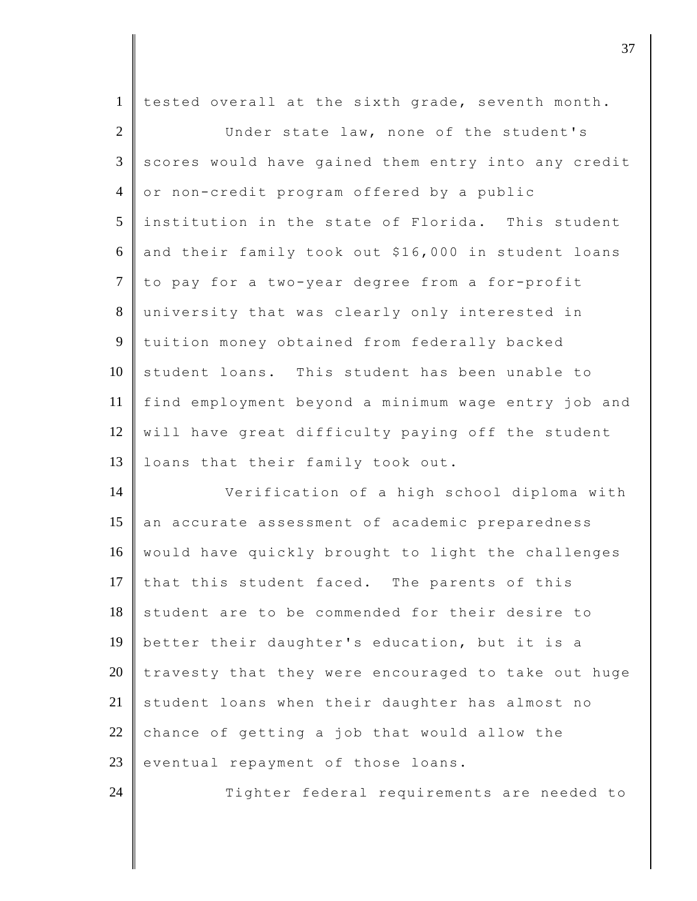| $\mathbf{1}$   | tested overall at the sixth grade, seventh month.   |
|----------------|-----------------------------------------------------|
| $\overline{2}$ | Under state law, none of the student's              |
| $\mathfrak{Z}$ | scores would have gained them entry into any credit |
| $\overline{4}$ | or non-credit program offered by a public           |
| 5              | institution in the state of Florida. This student   |
| 6              | and their family took out \$16,000 in student loans |
| $\tau$         | to pay for a two-year degree from a for-profit      |
| 8              | university that was clearly only interested in      |
| 9              | tuition money obtained from federally backed        |
| 10             | student loans. This student has been unable to      |
| 11             | find employment beyond a minimum wage entry job and |
| 12             | will have great difficulty paying off the student   |
| 13             | loans that their family took out.                   |
|                |                                                     |
| 14             | Verification of a high school diploma with          |
| 15             | an accurate assessment of academic preparedness     |
| 16             | would have quickly brought to light the challenges  |
| 17             | that this student faced. The parents of this        |
| 18             | student are to be commended for their desire to     |
| 19             | better their daughter's education, but it is a      |
| 20             | travesty that they were encouraged to take out huge |
| 21             | student loans when their daughter has almost no     |
| 22             | chance of getting a job that would allow the        |
| 23             | eventual repayment of those loans.                  |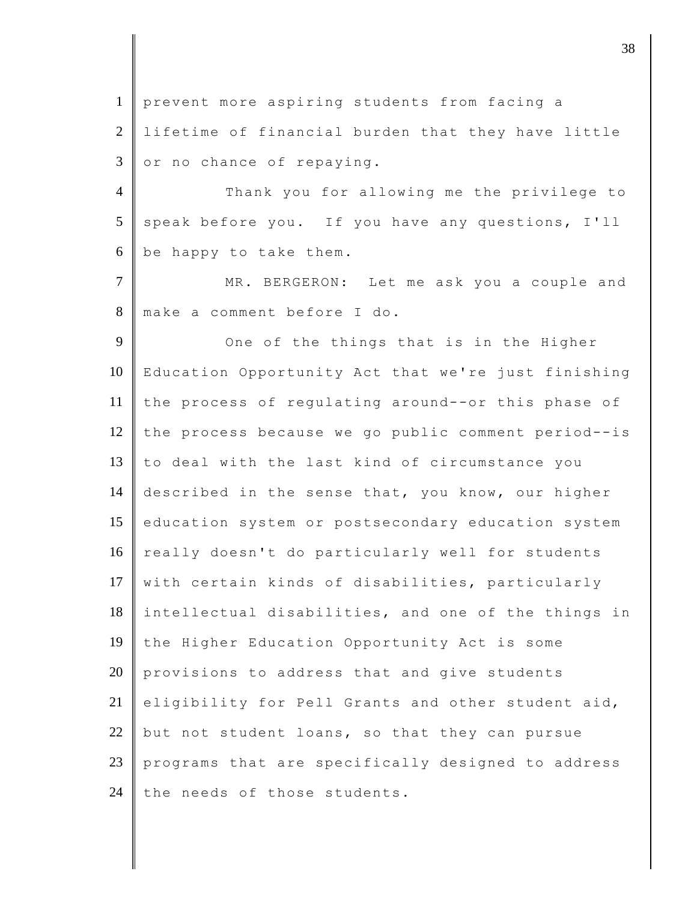1 prevent more aspiring students from facing a 2 lifetime of financial burden that they have little  $3 \parallel$  or no chance of repaying.

4 Thank you for allowing me the privilege to 5 speak before you. If you have any questions, I'll  $6$  be happy to take them.

7 MR. BERGERON: Let me ask you a couple and 8 make a comment before I do.

9 One of the things that is in the Higher 10 Education Opportunity Act that we're just finishing 11 the process of regulating around--or this phase of 12 the process because we go public comment period--is 13  $\parallel$  to deal with the last kind of circumstance you 14 described in the sense that, you know, our higher 15 education system or postsecondary education system 16 really doesn't do particularly well for students 17 with certain kinds of disabilities, particularly 18 intellectual disabilities, and one of the things in 19 the Higher Education Opportunity Act is some  $20$  provisions to address that and give students 21 eligibility for Pell Grants and other student aid, 22 but not student loans, so that they can pursue 23 programs that are specifically designed to address 24 the needs of those students.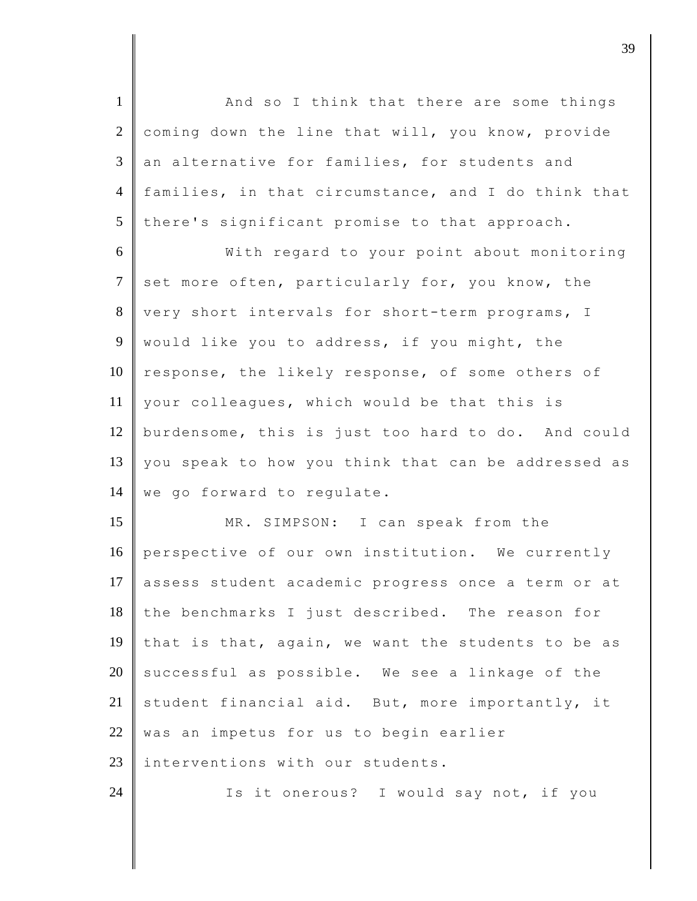1 | And so I think that there are some things  $2$  coming down the line that will, you know, provide  $3$  an alternative for families, for students and 4 families, in that circumstance, and I do think that  $5$  there's significant promise to that approach.

6 With regard to your point about monitoring 7 set more often, particularly for, you know, the 8 very short intervals for short-term programs, I 9 would like you to address, if you might, the  $10$  response, the likely response, of some others of 11 your colleagues, which would be that this is 12 burdensome, this is just too hard to do. And could 13 you speak to how you think that can be addressed as 14 | we go forward to regulate.

15 MR. SIMPSON: I can speak from the 16 perspective of our own institution. We currently 17 assess student academic progress once a term or at 18 the benchmarks I just described. The reason for 19 that is that, again, we want the students to be as  $20$  successful as possible. We see a linkage of the 21 student financial aid. But, more importantly, it  $22$  was an impetus for us to begin earlier 23 Interventions with our students. 24 Is it onerous? I would say not, if you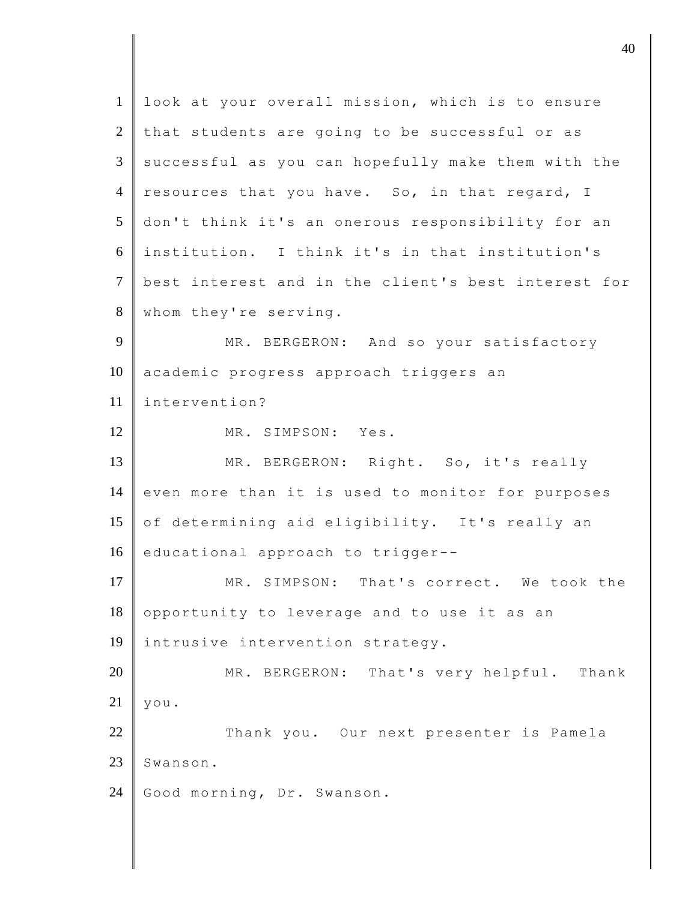1 look at your overall mission, which is to ensure  $2$  that students are going to be successful or as  $3 \parallel$  successful as you can hopefully make them with the 4 resources that you have. So, in that regard, I 5 don't think it's an onerous responsibility for an 6 institution. I think it's in that institution's 7 best interest and in the client's best interest for 8 whom they're serving. 9 MR. BERGERON: And so your satisfactory 10 academic progress approach triggers an 11 intervention? 12 MR. SIMPSON: Yes. 13 MR. BERGERON: Right. So, it's really 14 even more than it is used to monitor for purposes 15 of determining aid eligibility. It's really an 16 educational approach to trigger--17 MR. SIMPSON: That's correct. We took the  $18$  opportunity to leverage and to use it as an 19 intrusive intervention strategy. 20 MR. BERGERON: That's very helpful. Thank  $21 \parallel \text{you.}$ 22 Thank you. Our next presenter is Pamela 23 Swanson. 24 Good morning, Dr. Swanson.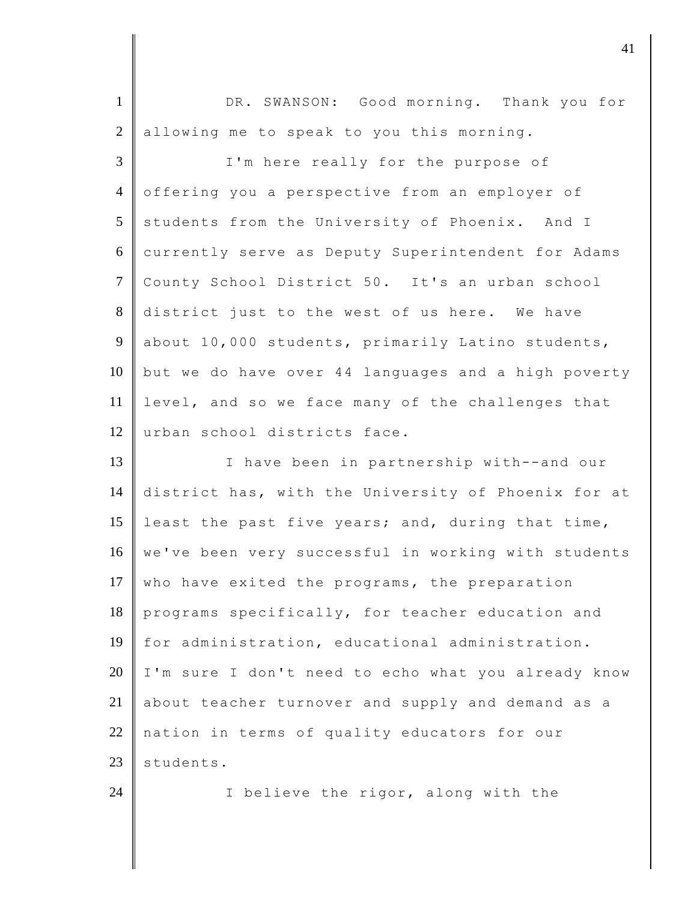1 DR. SWANSON: Good morning. Thank you for 2 allowing me to speak to you this morning. 3 I'm here really for the purpose of 4 offering you a perspective from an employer of  $5$  students from the University of Phoenix. And I 6 currently serve as Deputy Superintendent for Adams 7 County School District 50. It's an urban school 8 district just to the west of us here. We have 9 about 10,000 students, primarily Latino students,  $10$  but we do have over 44 languages and a high poverty 11 level, and so we face many of the challenges that 12 urban school districts face. 13 I have been in partnership with--and our 14 district has, with the University of Phoenix for at 15 least the past five years; and, during that time,

16 we've been very successful in working with students 17 who have exited the programs, the preparation  $18$  programs specifically, for teacher education and 19 for administration, educational administration. 20 I'm sure I don't need to echo what you already know 21 about teacher turnover and supply and demand as a 22 nation in terms of quality educators for our  $23$  students.

24 I believe the rigor, along with the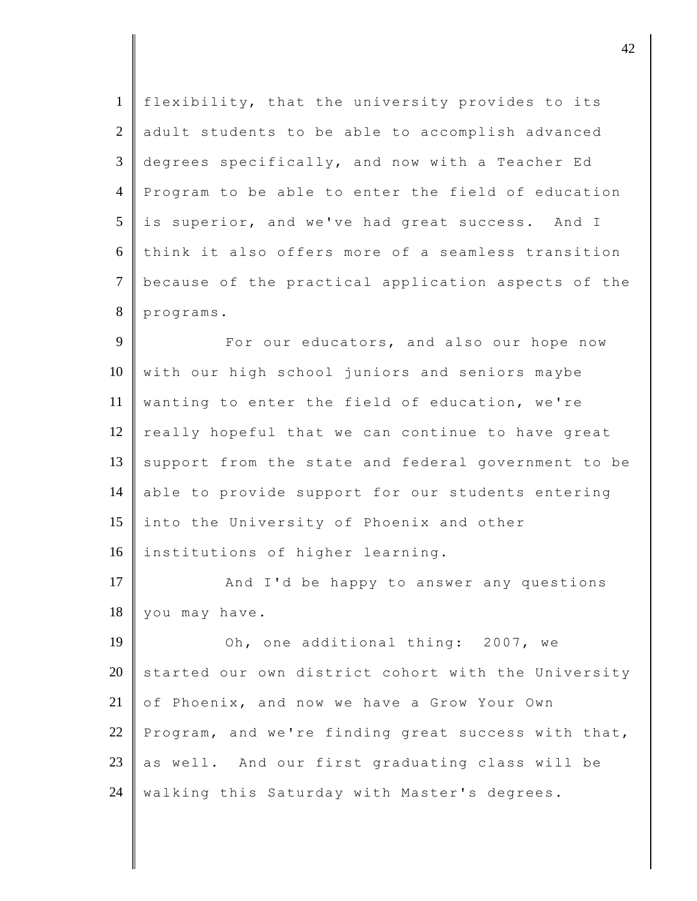| $\mathbf{1}$   | flexibility, that the university provides to its    |
|----------------|-----------------------------------------------------|
| 2              | adult students to be able to accomplish advanced    |
| 3              | degrees specifically, and now with a Teacher Ed     |
| $\overline{4}$ | Program to be able to enter the field of education  |
| 5              | is superior, and we've had great success. And I     |
| 6              | think it also offers more of a seamless transition  |
| $\overline{7}$ | because of the practical application aspects of the |
| 8              | programs.                                           |
| 9              | For our educators, and also our hope now            |
| 10             | with our high school juniors and seniors maybe      |
| 11             | wanting to enter the field of education, we're      |
| 12             | really hopeful that we can continue to have great   |
| 13             | support from the state and federal government to be |
| 14             | able to provide support for our students entering   |
| 15             | into the University of Phoenix and other            |
| 16             | institutions of higher learning.                    |
| 17             | And I'd be happy to answer any questions            |
| 18             | you may have.                                       |
| 19             | Oh, one additional thing: 2007, we                  |
| 20             | started our own district cohort with the University |
| 21             | of Phoenix, and now we have a Grow Your Own         |
| 22             | Program, and we're finding great success with that, |
| 23             | as well. And our first graduating class will be     |
| 24             | walking this Saturday with Master's degrees.        |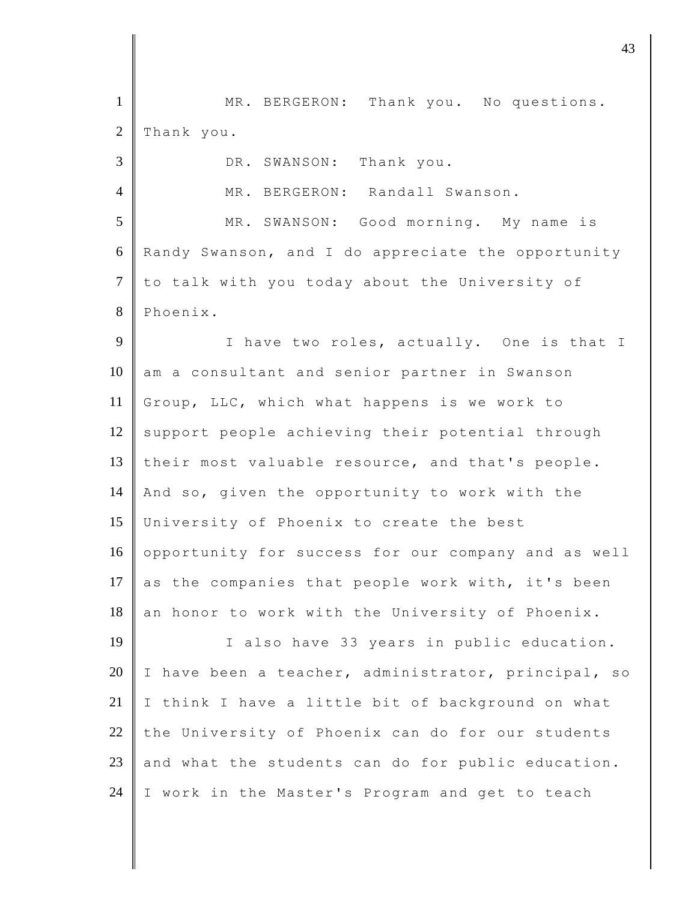1 | MR. BERGERON: Thank you. No questions.  $2$  Thank you. 3 DR. SWANSON: Thank you. 4 MR. BERGERON: Randall Swanson. 5 MR. SWANSON: Good morning. My name is 6 Randy Swanson, and I do appreciate the opportunity 7 to talk with you today about the University of 8 Phoenix. 9 I have two roles, actually. One is that I 10 am a consultant and senior partner in Swanson 11 Group, LLC, which what happens is we work to  $12$  support people achieving their potential through 13 their most valuable resource, and that's people. 14 And so, given the opportunity to work with the 15 University of Phoenix to create the best 16 opportunity for success for our company and as well 17 as the companies that people work with, it's been  $18$  an honor to work with the University of Phoenix. 19 | I also have 33 years in public education. 20 I have been a teacher, administrator, principal, so  $21$  | I think I have a little bit of background on what 22 the University of Phoenix can do for our students 23 and what the students can do for public education. 24 I work in the Master's Program and get to teach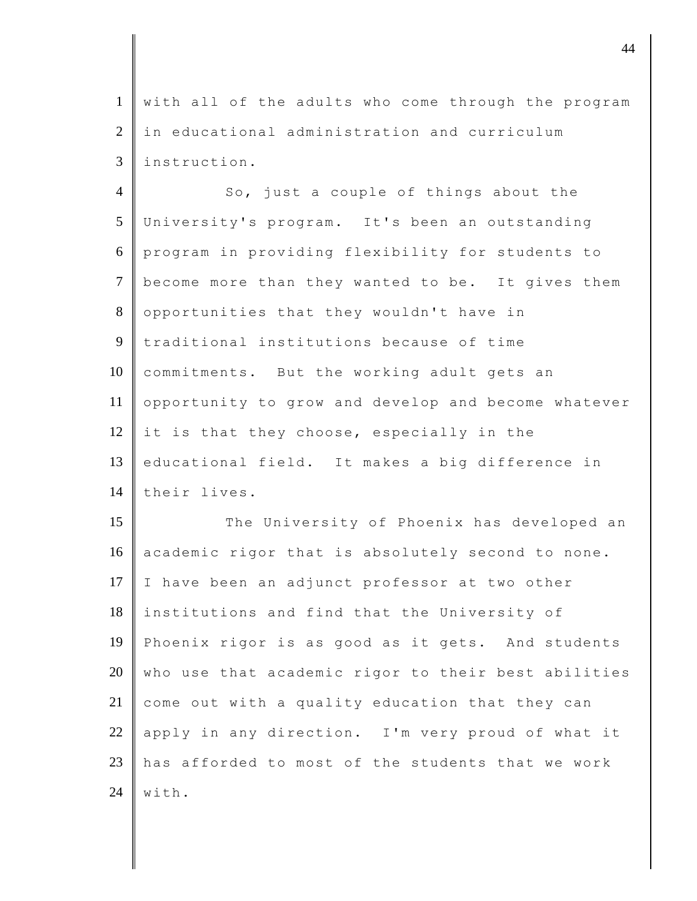1 with all of the adults who come through the program 2 in educational administration and curriculum 3 instruction.

4 So, just a couple of things about the 5 University's program. It's been an outstanding 6 program in providing flexibility for students to 7 become more than they wanted to be. It gives them 8 opportunities that they wouldn't have in 9 traditional institutions because of time 10 commitments. But the working adult gets an 11 opportunity to grow and develop and become whatever 12 it is that they choose, especially in the 13 educational field. It makes a big difference in 14 their lives.

15 The University of Phoenix has developed an 16 academic rigor that is absolutely second to none. 17 I have been an adjunct professor at two other 18 institutions and find that the University of 19 Phoenix rigor is as good as it gets. And students 20 who use that academic rigor to their best abilities 21 come out with a quality education that they can 22 apply in any direction. I'm very proud of what it 23  $\parallel$  has afforded to most of the students that we work  $24$  with.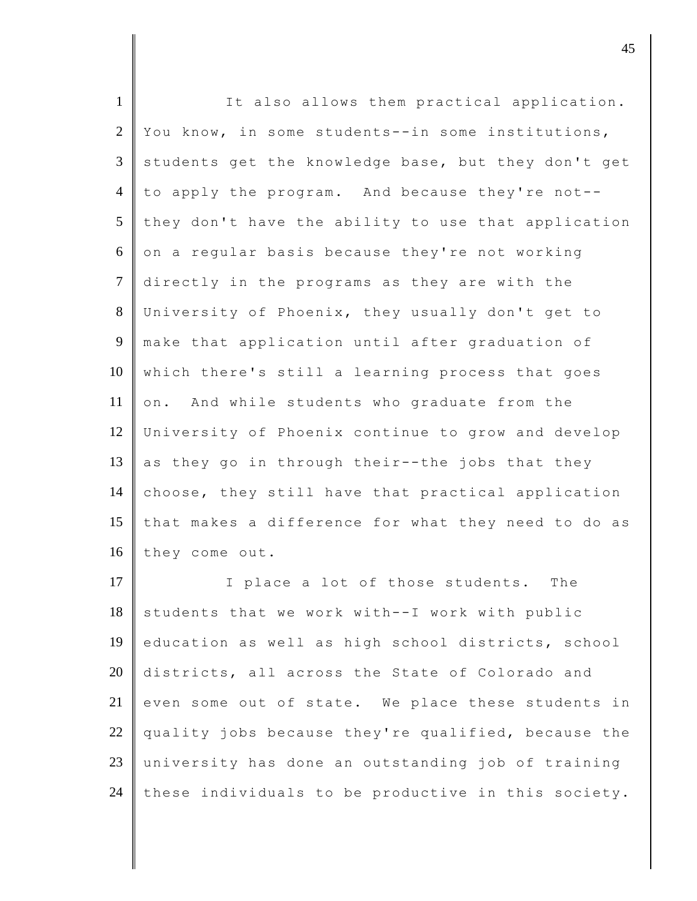| $\mathbf{1}$   | It also allows them practical application.          |
|----------------|-----------------------------------------------------|
| $\overline{2}$ | You know, in some students--in some institutions,   |
| 3              | students get the knowledge base, but they don't get |
| $\overline{4}$ | to apply the program. And because they're not--     |
| 5              | they don't have the ability to use that application |
| 6              | on a regular basis because they're not working      |
| $\tau$         | directly in the programs as they are with the       |
| 8              | University of Phoenix, they usually don't get to    |
| 9              | make that application until after graduation of     |
| 10             | which there's still a learning process that goes    |
| 11             | on. And while students who graduate from the        |
| 12             | University of Phoenix continue to grow and develop  |
| 13             | as they go in through their--the jobs that they     |
| 14             | choose, they still have that practical application  |
| 15             | that makes a difference for what they need to do as |
| 16             | they come out.                                      |
| 17             | I place a lot of those students. The                |
| 18             | students that we work with--I work with public      |
| 19             | education as well as high school districts, school  |
| 20             | districts, all across the State of Colorado and     |
| 21             | even some out of state. We place these students in  |
| 22             | quality jobs because they're qualified, because the |
| 23             | university has done an outstanding job of training  |
| 24             | these individuals to be productive in this society. |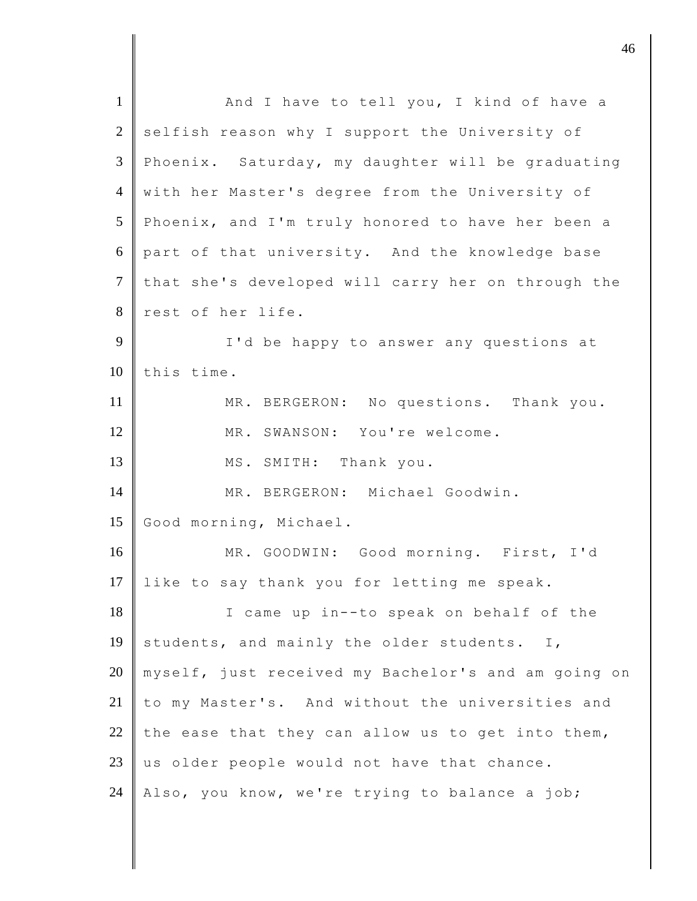| And I have to tell you, I kind of have a            |
|-----------------------------------------------------|
| selfish reason why I support the University of      |
| Phoenix. Saturday, my daughter will be graduating   |
| with her Master's degree from the University of     |
| Phoenix, and I'm truly honored to have her been a   |
| part of that university. And the knowledge base     |
| that she's developed will carry her on through the  |
| rest of her life.                                   |
| I'd be happy to answer any questions at             |
| this time.                                          |
| MR. BERGERON: No questions. Thank you.              |
| MR. SWANSON: You're welcome.                        |
| MS. SMITH: Thank you.                               |
|                                                     |
| MR. BERGERON: Michael Goodwin.                      |
| Good morning, Michael.                              |
| MR. GOODWIN: Good morning. First, I'd               |
| like to say thank you for letting me speak.         |
| I came up in--to speak on behalf of the             |
| students, and mainly the older students. I,         |
| myself, just received my Bachelor's and am going on |
| to my Master's. And without the universities and    |
| the ease that they can allow us to get into them,   |
| us older people would not have that chance.         |
| Also, you know, we're trying to balance a job;      |
|                                                     |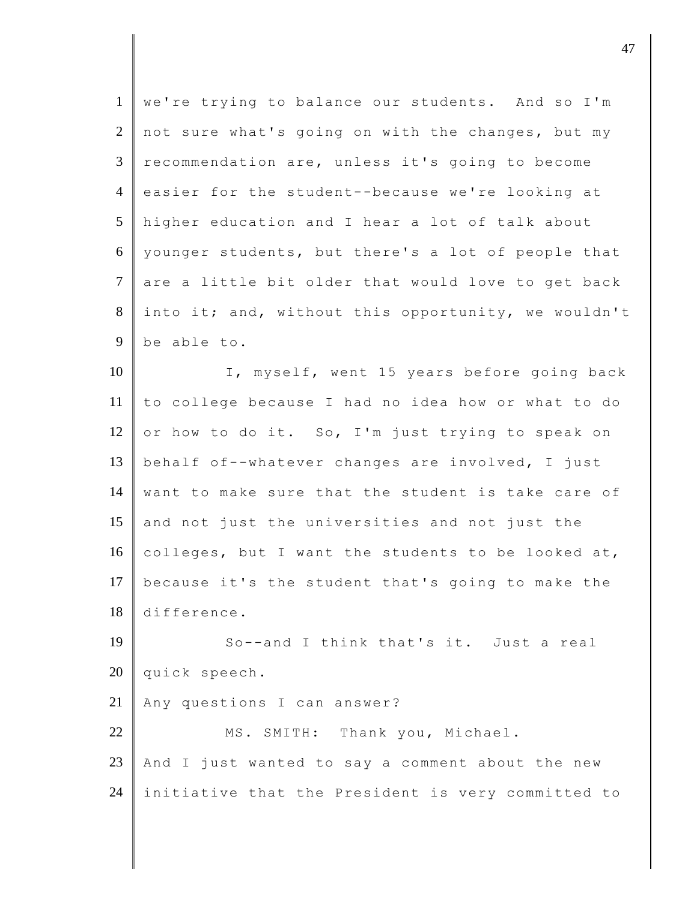| $\mathbf{1}$   | we're trying to balance our students. And so I'm    |
|----------------|-----------------------------------------------------|
| 2              | not sure what's going on with the changes, but my   |
| $\mathfrak{Z}$ | recommendation are, unless it's going to become     |
| $\overline{4}$ | easier for the student--because we're looking at    |
| 5              | higher education and I hear a lot of talk about     |
| 6              | younger students, but there's a lot of people that  |
| $\tau$         | are a little bit older that would love to get back  |
| 8              | into it; and, without this opportunity, we wouldn't |
| 9              | be able to.                                         |
| 10             | I, myself, went 15 years before going back          |
| 11             | to college because I had no idea how or what to do  |
| 12             | or how to do it. So, I'm just trying to speak on    |
| 13             | behalf of--whatever changes are involved, I just    |
| 14             | want to make sure that the student is take care of  |
| 15             | and not just the universities and not just the      |
| 16             | colleges, but I want the students to be looked at,  |
| 17             | because it's the student that's going to make the   |
| 18             | difference.                                         |
| 19             | So--and I think that's it. Just a real              |
| 20             | quick speech.                                       |
| 21             | Any questions I can answer?                         |
| 22             | MS. SMITH: Thank you, Michael.                      |
| 23             | And I just wanted to say a comment about the new    |
| 24             | initiative that the President is very committed to  |

denote the contract of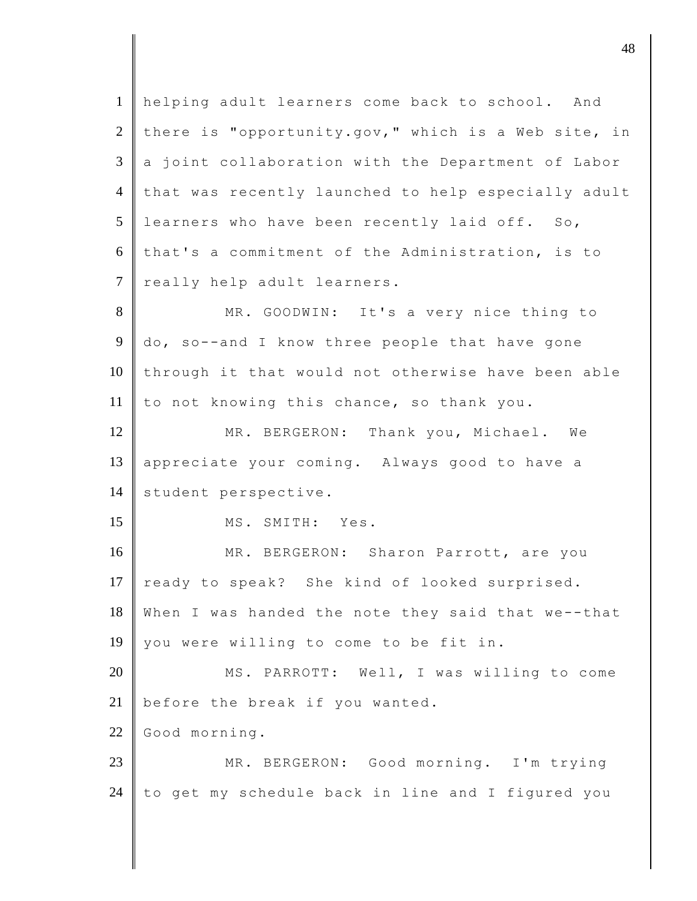1 helping adult learners come back to school. And 2 there is "opportunity.gov," which is a Web site, in  $3 \parallel a$  joint collaboration with the Department of Labor 4 that was recently launched to help especially adult  $5$  learners who have been recently laid off. So,  $6$  that's a commitment of the Administration, is to 7 really help adult learners. 8 MR. GOODWIN: It's a very nice thing to 9 do, so--and I know three people that have gone 10 through it that would not otherwise have been able 11 to not knowing this chance, so thank you. 12 MR. BERGERON: Thank you, Michael. We 13 appreciate your coming. Always good to have a 14 | student perspective. 15 MS. SMITH: Yes. 16 MR. BERGERON: Sharon Parrott, are you 17 ready to speak? She kind of looked surprised. 18 When I was handed the note they said that we--that 19 you were willing to come to be fit in. 20 MS. PARROTT: Well, I was willing to come 21  $\parallel$  before the break if you wanted. 22 Good morning. 23 MR. BERGERON: Good morning. I'm trying 24 to get my schedule back in line and I figured you

djective the contract of  $\overline{a}$  48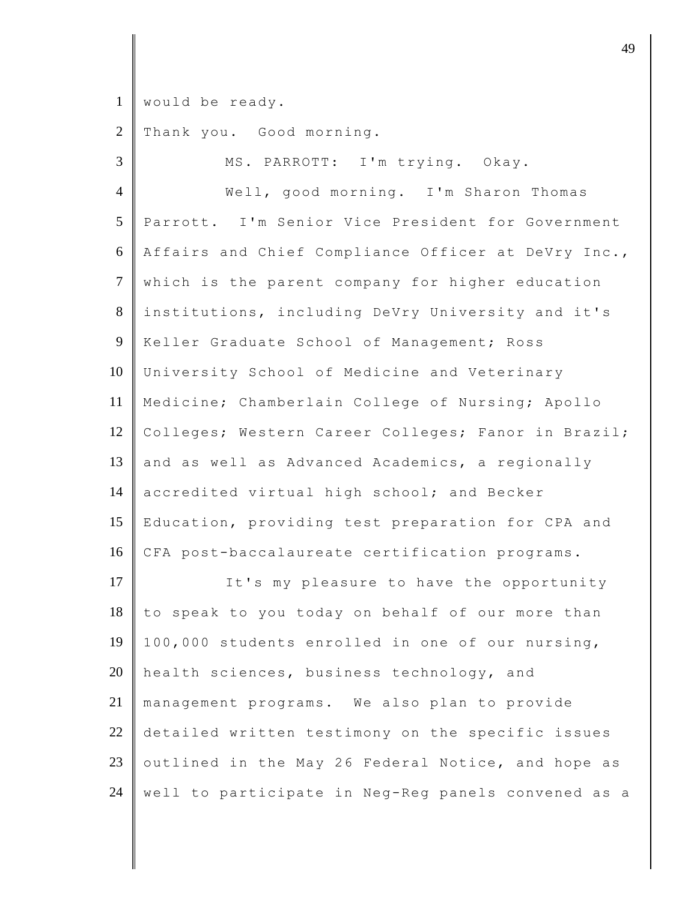would be ready.

2 Thank you. Good morning.

| $\overline{3}$  | MS. PARROTT: I'm trying. Okay.                      |
|-----------------|-----------------------------------------------------|
| $\overline{4}$  | Well, good morning. I'm Sharon Thomas               |
| 5               | Parrott. I'm Senior Vice President for Government   |
| 6               | Affairs and Chief Compliance Officer at DeVry Inc., |
| $7\phantom{.0}$ | which is the parent company for higher education    |
| 8               | institutions, including DeVry University and it's   |
| 9               | Keller Graduate School of Management; Ross          |
| 10              | University School of Medicine and Veterinary        |
| 11              | Medicine; Chamberlain College of Nursing; Apollo    |
| 12              | Colleges; Western Career Colleges; Fanor in Brazil; |
| 13              | and as well as Advanced Academics, a regionally     |
| 14              | accredited virtual high school; and Becker          |
| 15              | Education, providing test preparation for CPA and   |
| 16              | CFA post-baccalaureate certification programs.      |
| 17              | It's my pleasure to have the opportunity            |
| 18              | to speak to you today on behalf of our more than    |
| 19              | 100,000 students enrolled in one of our nursing,    |
| 20              | health sciences, business technology, and           |
| 21              | management programs. We also plan to provide        |
| 22              | detailed written testimony on the specific issues   |
| 23              | outlined in the May 26 Federal Notice, and hope as  |
| 24              | well to participate in Neg-Reg panels convened as a |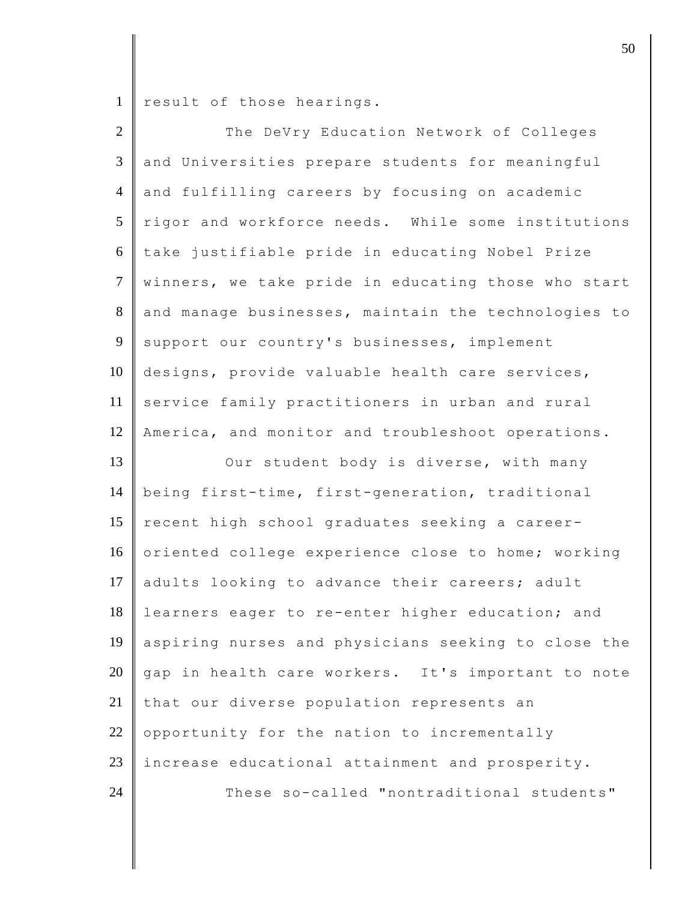1 result of those hearings.

| $\overline{2}$ | The DeVry Education Network of Colleges             |
|----------------|-----------------------------------------------------|
| $\mathfrak{Z}$ | and Universities prepare students for meaningful    |
| $\overline{4}$ | and fulfilling careers by focusing on academic      |
| 5              | rigor and workforce needs. While some institutions  |
| 6              | take justifiable pride in educating Nobel Prize     |
| $\overline{7}$ | winners, we take pride in educating those who start |
| 8              | and manage businesses, maintain the technologies to |
| 9              | support our country's businesses, implement         |
| 10             | designs, provide valuable health care services,     |
| 11             | service family practitioners in urban and rural     |
| 12             | America, and monitor and troubleshoot operations.   |
| 13             | Our student body is diverse, with many              |
| 14             | being first-time, first-generation, traditional     |
| 15             | recent high school graduates seeking a career-      |
| 16             | oriented college experience close to home; working  |
| 17             | adults looking to advance their careers; adult      |
| 18             | learners eager to re-enter higher education; and    |
| 19             | aspiring nurses and physicians seeking to close the |
| 20             | gap in health care workers. It's important to note  |
| 21             | that our diverse population represents an           |
| $22\,$         | opportunity for the nation to incrementally         |
| $23\,$         | increase educational attainment and prosperity.     |
| 24             | These so-called "nontraditional students"           |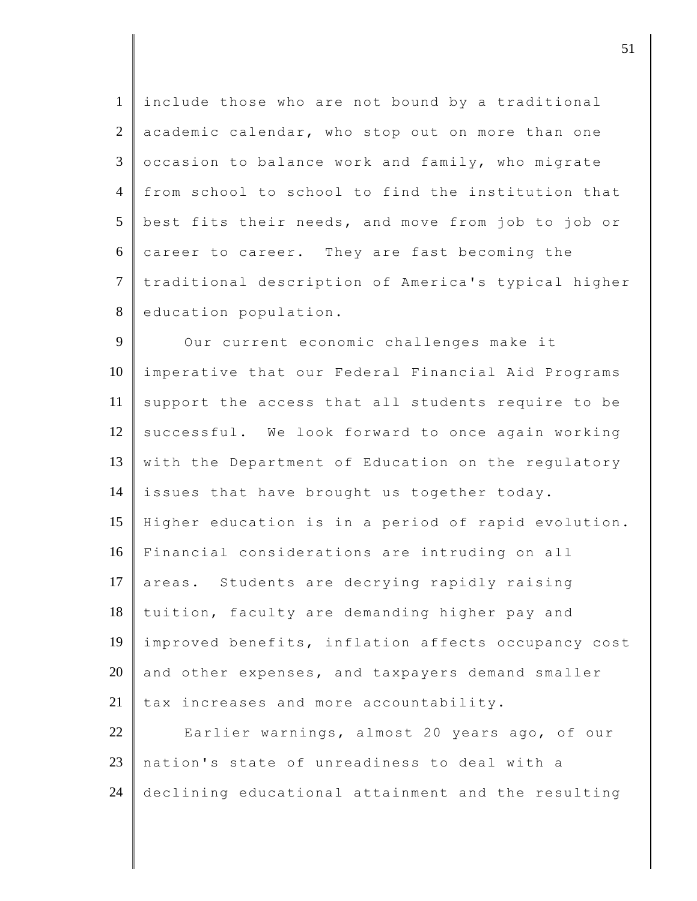1 include those who are not bound by a traditional  $2 \parallel$  academic calendar, who stop out on more than one  $3 \parallel$  occasion to balance work and family, who migrate 4 from school to school to find the institution that 5 best fits their needs, and move from job to job or  $6 \parallel$  career to career. They are fast becoming the 7 traditional description of America's typical higher 8 education population.

9 Our current economic challenges make it 10 imperative that our Federal Financial Aid Programs  $11$  support the access that all students require to be 12 successful. We look forward to once again working 13 with the Department of Education on the regulatory 14 issues that have brought us together today. 15 Higher education is in a period of rapid evolution. 16 Financial considerations are intruding on all 17 areas. Students are decrying rapidly raising 18 tuition, faculty are demanding higher pay and 19 improved benefits, inflation affects occupancy cost  $20$  and other expenses, and taxpayers demand smaller  $21$  tax increases and more accountability. 22 Earlier warnings, almost 20 years ago, of our 23 nation's state of unreadiness to deal with a

24 declining educational attainment and the resulting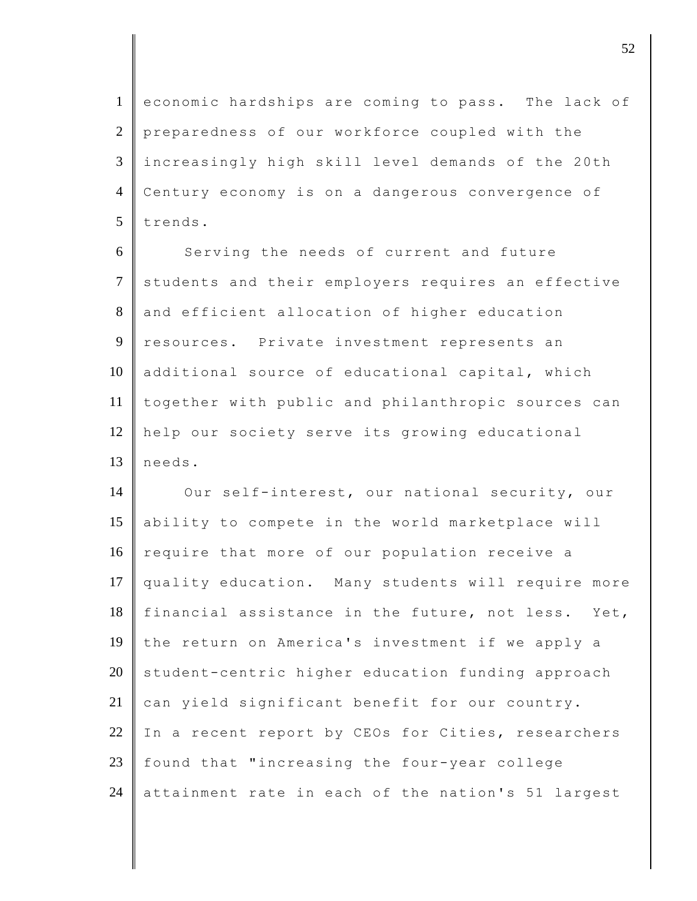1 economic hardships are coming to pass. The lack of 2 preparedness of our workforce coupled with the 3 increasingly high skill level demands of the 20th 4 Century economy is on a dangerous convergence of  $5$  trends.

6 Serving the needs of current and future 7 students and their employers requires an effective 8 and efficient allocation of higher education 9 resources. Private investment represents an 10 additional source of educational capital, which 11 together with public and philanthropic sources can 12 help our society serve its growing educational 13 needs.

14 Our self-interest, our national security, our 15 ability to compete in the world marketplace will 16 require that more of our population receive a 17 quality education. Many students will require more 18 | financial assistance in the future, not less. Yet, 19 the return on America's investment if we apply a  $20$  student-centric higher education funding approach  $21$  can yield significant benefit for our country. 22 In a recent report by CEOs for Cities, researchers  $23$  found that "increasing the four-year college 24 attainment rate in each of the nation's 51 largest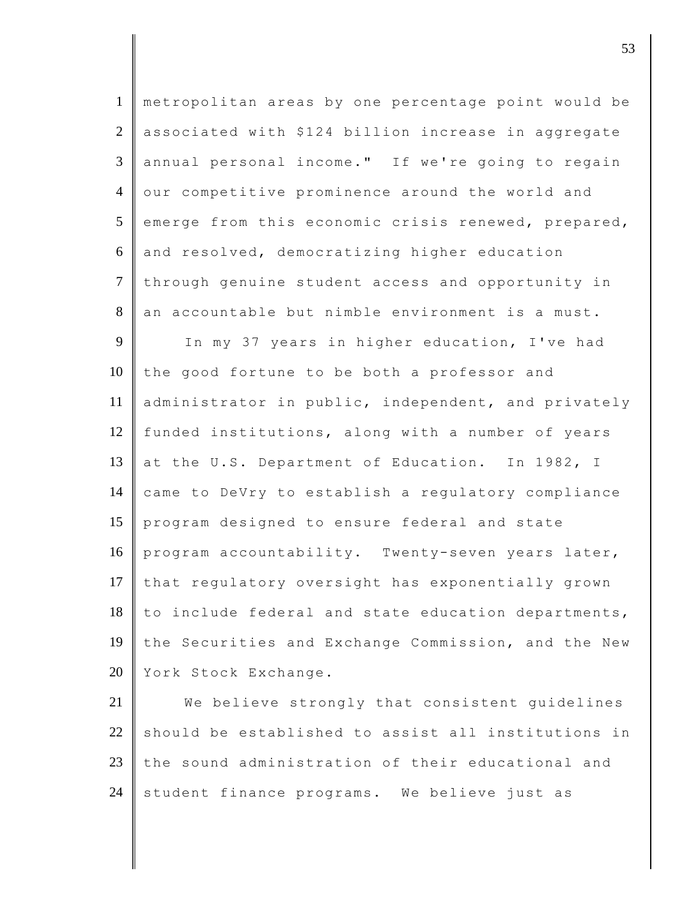| $\mathbf{1}$    | metropolitan areas by one percentage point would be |
|-----------------|-----------------------------------------------------|
| $\overline{2}$  | associated with \$124 billion increase in aggregate |
| 3               | annual personal income." If we're going to regain   |
| $\overline{4}$  | our competitive prominence around the world and     |
| $5\overline{)}$ | emerge from this economic crisis renewed, prepared, |
| 6               | and resolved, democratizing higher education        |
| $\overline{7}$  | through genuine student access and opportunity in   |
| 8               | an accountable but nimble environment is a must.    |
| 9               | In my 37 years in higher education, I've had        |
| 10              | the good fortune to be both a professor and         |
| 11              | administrator in public, independent, and privately |
| 12              | funded institutions, along with a number of years   |
| 13              | at the U.S. Department of Education. In 1982, I     |
| 14              | came to DeVry to establish a regulatory compliance  |
| 15              | program designed to ensure federal and state        |
| 16              | program accountability. Twenty-seven years later,   |
| 17              | that regulatory oversight has exponentially grown   |
| 18              | to include federal and state education departments, |
| 19              | the Securities and Exchange Commission, and the New |
| 20              | York Stock Exchange.                                |
| 21              | We believe strongly that consistent guidelines      |
| 22              | should be established to assist all institutions in |
| 23              | the sound administration of their educational and   |

24 student finance programs. We believe just as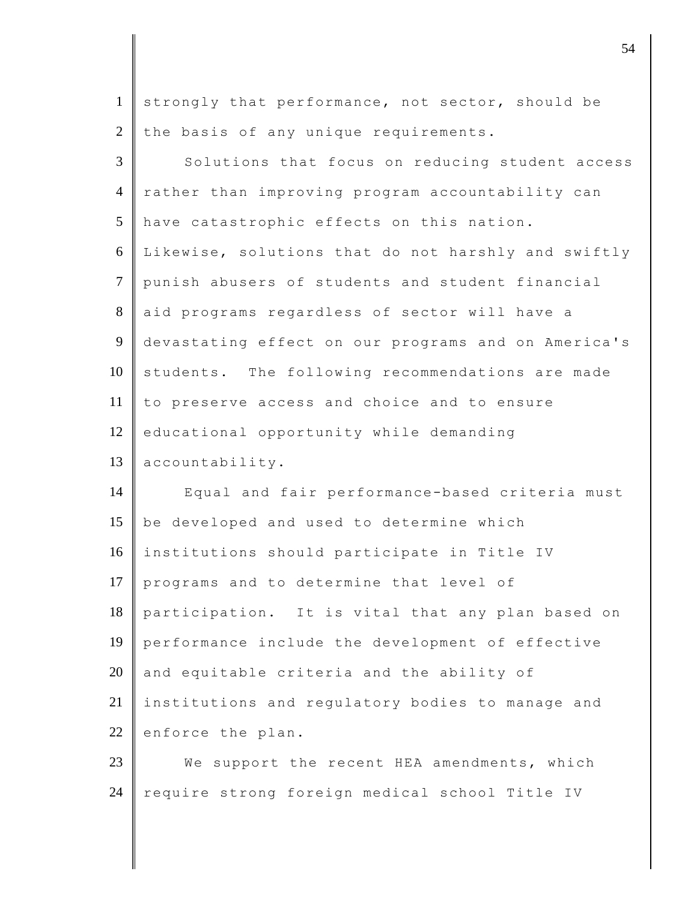1 strongly that performance, not sector, should be 2 the basis of any unique requirements.

 $3 \parallel$  Solutions that focus on reducing student access 4 rather than improving program accountability can 5 have catastrophic effects on this nation. 6 Likewise, solutions that do not harshly and swiftly 7 punish abusers of students and student financial 8 aid programs regardless of sector will have a 9 devastating effect on our programs and on America's 10 students. The following recommendations are made 11 to preserve access and choice and to ensure 12 educational opportunity while demanding 13 accountability.

14 Equal and fair performance-based criteria must 15 be developed and used to determine which 16 institutions should participate in Title IV 17 programs and to determine that level of 18 participation. It is vital that any plan based on 19 performance include the development of effective  $20$  and equitable criteria and the ability of 21 institutions and regulatory bodies to manage and 22 enforce the plan.

23 We support the recent HEA amendments, which 24 require strong foreign medical school Title IV

djective terms of  $54$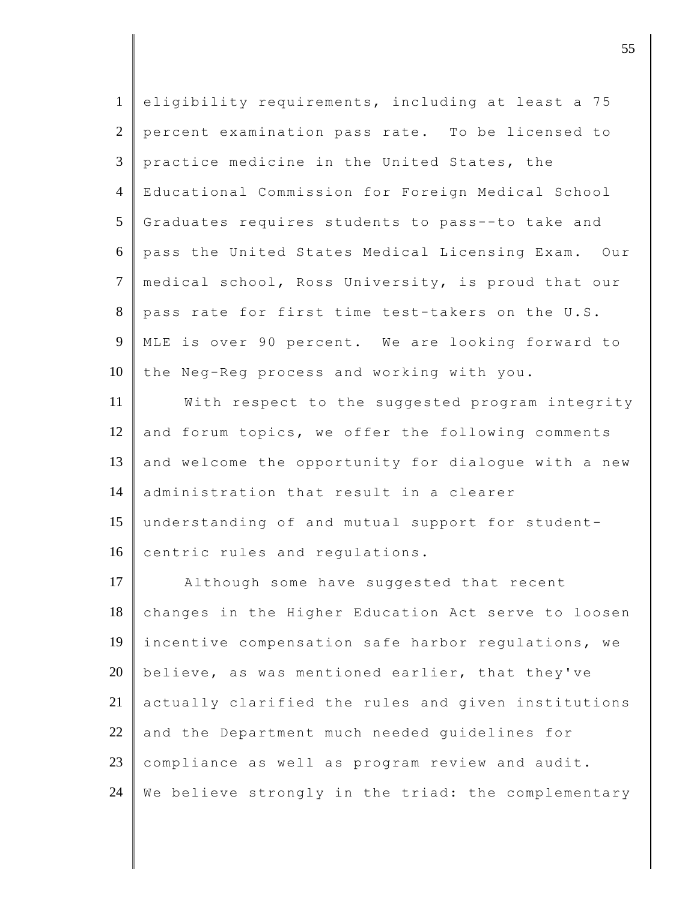| $\mathbf{1}$   | eligibility requirements, including at least a 75   |
|----------------|-----------------------------------------------------|
| $\overline{2}$ | percent examination pass rate. To be licensed to    |
| 3              | practice medicine in the United States, the         |
| $\overline{4}$ | Educational Commission for Foreign Medical School   |
| 5              | Graduates requires students to pass--to take and    |
| 6              | pass the United States Medical Licensing Exam. Our  |
| $\tau$         | medical school, Ross University, is proud that our  |
| 8              | pass rate for first time test-takers on the U.S.    |
| 9              | MLE is over 90 percent. We are looking forward to   |
| 10             | the Neg-Reg process and working with you.           |
| 11             | With respect to the suggested program integrity     |
| 12             | and forum topics, we offer the following comments   |
| 13             | and welcome the opportunity for dialogue with a new |
| 14             | administration that result in a clearer             |
| 15             | understanding of and mutual support for student-    |
| 16             | centric rules and regulations.                      |
| 17             | Although some have suggested that recent            |
| 18             | changes in the Higher Education Act serve to loosen |
| 19             | incentive compensation safe harbor regulations, we  |
| 20             | believe, as was mentioned earlier, that they've     |
| 21             | actually clarified the rules and given institutions |
| 22             | and the Department much needed guidelines for       |
| 23             | compliance as well as program review and audit.     |
| 24             | We believe strongly in the triad: the complementary |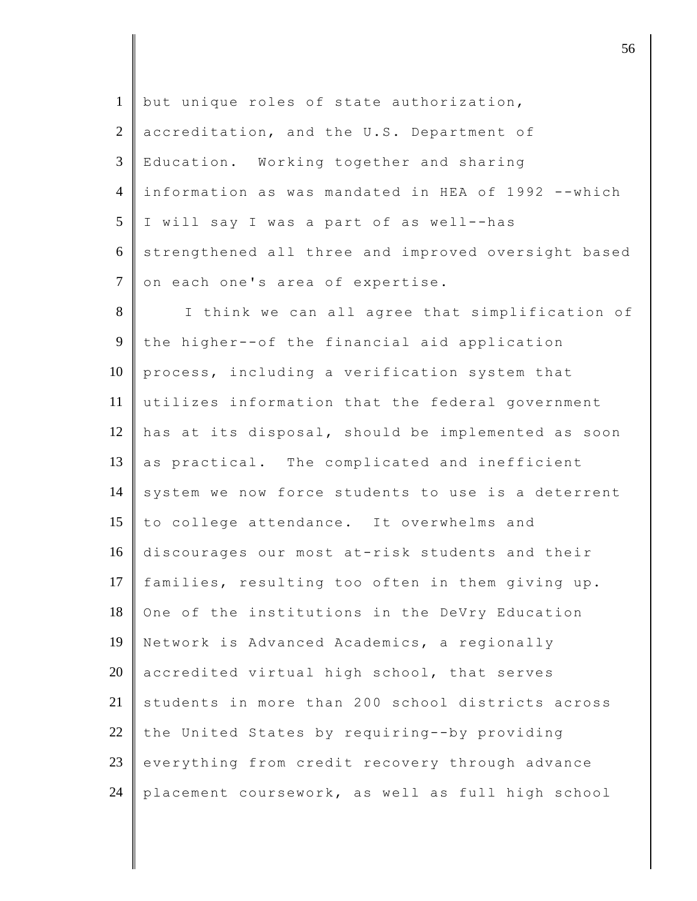| $\mathbf{1}$   | but unique roles of state authorization,            |
|----------------|-----------------------------------------------------|
| $\overline{2}$ | accreditation, and the U.S. Department of           |
| 3              | Education. Working together and sharing             |
| $\overline{4}$ | information as was mandated in HEA of 1992 --which  |
| 5              | I will say I was a part of as well--has             |
| 6              | strengthened all three and improved oversight based |
| $\tau$         | on each one's area of expertise.                    |
| 8              | I think we can all agree that simplification of     |
| 9              | the higher--of the financial aid application        |
| 10             | process, including a verification system that       |
| 11             | utilizes information that the federal government    |
| 12             | has at its disposal, should be implemented as soon  |
| 13             | as practical. The complicated and inefficient       |
| 14             | system we now force students to use is a deterrent  |
| 15             | to college attendance. It overwhelms and            |
| 16             | discourages our most at-risk students and their     |
| 17             | families, resulting too often in them giving up.    |
| 18             | One of the institutions in the DeVry Education      |
| 19             | Network is Advanced Academics, a regionally         |
| 20             | accredited virtual high school, that serves         |
| 21             | students in more than 200 school districts across   |
| 22             | the United States by requiring--by providing        |
| 23             | everything from credit recovery through advance     |
| 24             | placement coursework, as well as full high school   |

discrete the set of  $\sim$  56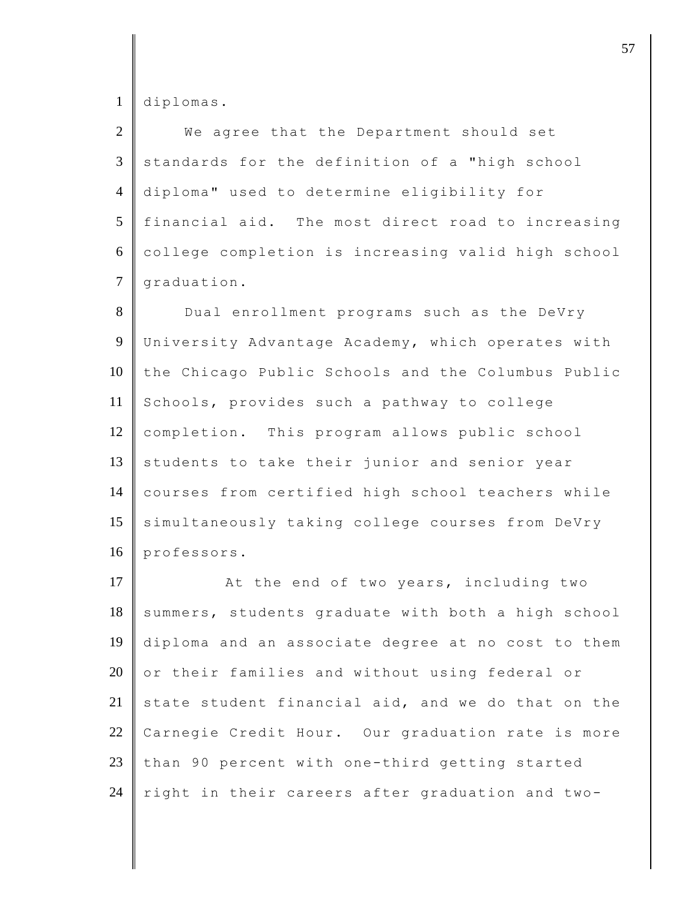diplomas.

| $\overline{2}$ | We agree that the Department should set            |
|----------------|----------------------------------------------------|
| 3              | standards for the definition of a "high school     |
| $\overline{4}$ | diploma" used to determine eligibility for         |
| 5              | financial aid. The most direct road to increasing  |
| 6              | college completion is increasing valid high school |
| $\overline{7}$ | graduation.                                        |
| 8              | Dual enrollment programs such as the DeVry         |
| 9              | University Advantage Academy, which operates with  |
| 10             | the Chicago Public Schools and the Columbus Public |
| 11             | Schools, provides such a pathway to college        |
| 12             | completion. This program allows public school      |
| 13             | students to take their junior and senior year      |
| 14             | courses from certified high school teachers while  |
| 15             | simultaneously taking college courses from DeVry   |
| 16             | professors.                                        |
| 17             | At the end of two years, including two             |
| 18             | summers, students graduate with both a high school |
| 19             | diploma and an associate degree at no cost to them |
| 20             | or their families and without using federal or     |
| 21             | state student financial aid, and we do that on the |
| 22             | Carnegie Credit Hour. Our graduation rate is more  |
| 23             | than 90 percent with one-third getting started     |
| 24             | right in their careers after graduation and two-   |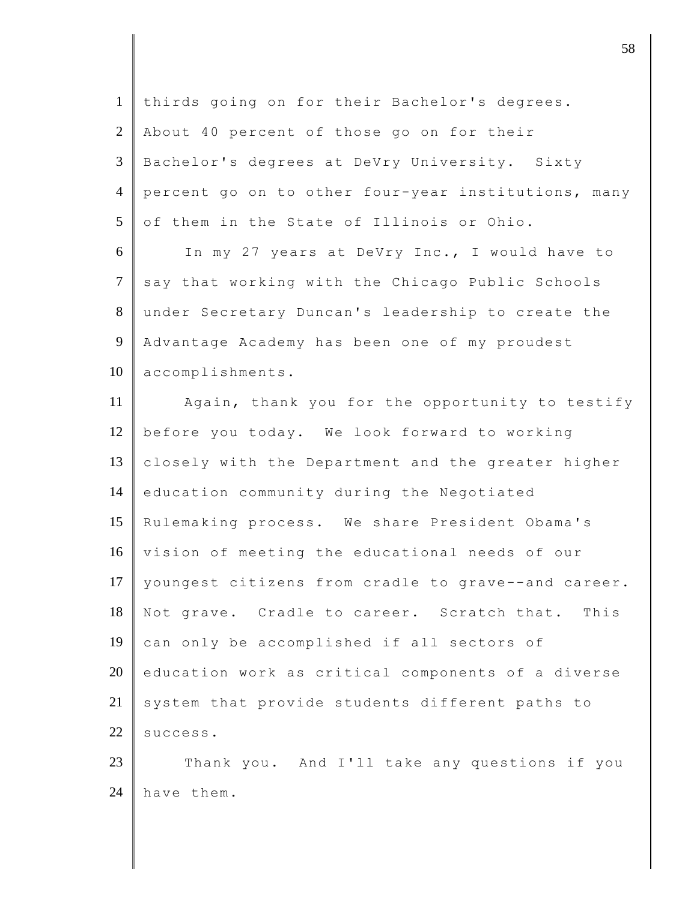| $\mathbf{1}$   | thirds going on for their Bachelor's degrees.       |
|----------------|-----------------------------------------------------|
| 2              | About 40 percent of those go on for their           |
| 3              | Bachelor's degrees at DeVry University. Sixty       |
| $\overline{4}$ | percent go on to other four-year institutions, many |
| 5              | of them in the State of Illinois or Ohio.           |
| 6              | In my 27 years at DeVry Inc., I would have to       |
| $\tau$         | say that working with the Chicago Public Schools    |
| 8              | under Secretary Duncan's leadership to create the   |
| 9              | Advantage Academy has been one of my proudest       |
| 10             | accomplishments.                                    |
| 11             | Again, thank you for the opportunity to testify     |
| 12             | before you today. We look forward to working        |
| 13             | closely with the Department and the greater higher  |
| 14             | education community during the Negotiated           |
| 15             | Rulemaking process. We share President Obama's      |
| 16             | vision of meeting the educational needs of our      |
| 17             | youngest citizens from cradle to grave--and career. |
| 18             | Not grave. Cradle to career. Scratch that. This     |
| 19             | can only be accomplished if all sectors of          |
| 20             | education work as critical components of a diverse  |
| 21             | system that provide students different paths to     |
| 22             | success.                                            |
| 23             | Thank you. And I'll take any questions if you       |
| 24             | have them.                                          |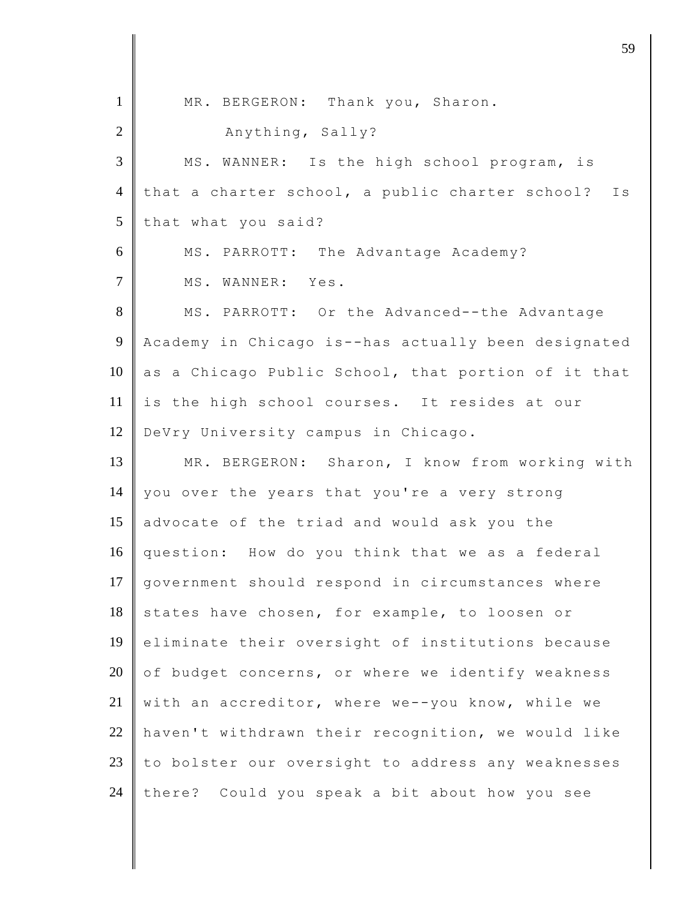| $\mathbf{1}$   | MR. BERGERON: Thank you, Sharon.                    |
|----------------|-----------------------------------------------------|
| $\overline{2}$ | Anything, Sally?                                    |
| 3              | MS. WANNER: Is the high school program, is          |
| $\overline{4}$ | that a charter school, a public charter school? Is  |
| 5              | that what you said?                                 |
| 6              | MS. PARROTT: The Advantage Academy?                 |
| $\overline{7}$ | MS. WANNER: Yes.                                    |
| 8              | MS. PARROTT: Or the Advanced--the Advantage         |
| $\overline{9}$ | Academy in Chicago is--has actually been designated |
| 10             | as a Chicago Public School, that portion of it that |
| 11             | is the high school courses. It resides at our       |
| 12             | DeVry University campus in Chicago.                 |
| 13             | MR. BERGERON: Sharon, I know from working with      |
| 14             | you over the years that you're a very strong        |
| 15             | advocate of the triad and would ask you the         |
| 16             | question: How do you think that we as a federal     |
| 17             | government should respond in circumstances where    |
| 18             | states have chosen, for example, to loosen or       |
| 19             | eliminate their oversight of institutions because   |
| 20             | of budget concerns, or where we identify weakness   |
| 21             | with an accreditor, where we--you know, while we    |
| 22             | haven't withdrawn their recognition, we would like  |
| 23             | to bolster our oversight to address any weaknesses  |
| 24             | there? Could you speak a bit about how you see      |

djective terms of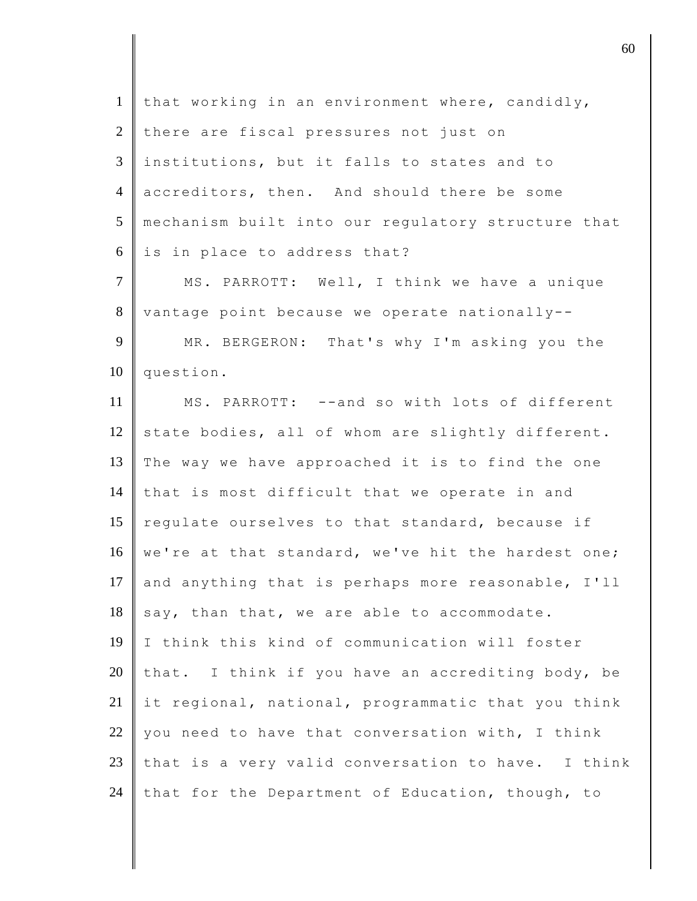| $\mathbf{1}$   | that working in an environment where, candidly,    |
|----------------|----------------------------------------------------|
| $\overline{2}$ | there are fiscal pressures not just on             |
| 3              | institutions, but it falls to states and to        |
| $\overline{4}$ | accreditors, then. And should there be some        |
| 5              | mechanism built into our regulatory structure that |
| 6              | is in place to address that?                       |
| $\tau$         | MS. PARROTT: Well, I think we have a unique        |
| $8\,$          | vantage point because we operate nationally--      |
| 9              | MR. BERGERON: That's why I'm asking you the        |
| 10             | question.                                          |
| 11             | MS. PARROTT: --and so with lots of different       |
| 12             | state bodies, all of whom are slightly different.  |
| 13             | The way we have approached it is to find the one   |
| 14             | that is most difficult that we operate in and      |
| 15             | regulate ourselves to that standard, because if    |
| 16             | we're at that standard, we've hit the hardest one; |
| 17             | and anything that is perhaps more reasonable, I'll |
| 18             | say, than that, we are able to accommodate.        |
| 19             | I think this kind of communication will foster     |
| 20             | that. I think if you have an accrediting body, be  |
| 21             | it regional, national, programmatic that you think |
| 22             | you need to have that conversation with, I think   |
| 23             | that is a very valid conversation to have. I think |
| 24             | that for the Department of Education, though, to   |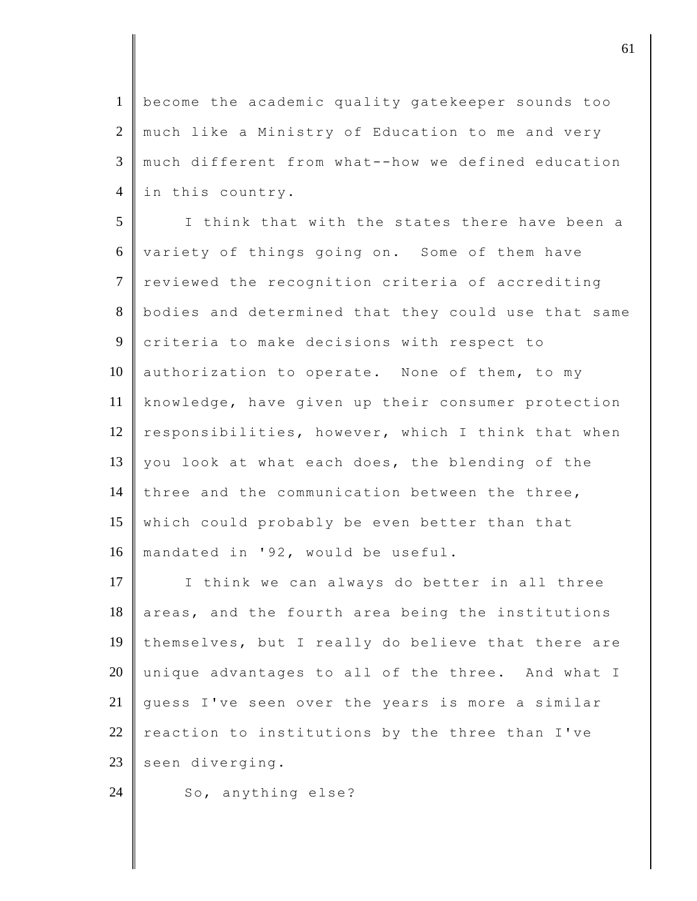1 become the academic quality gatekeeper sounds too 2 much like a Ministry of Education to me and very 3 much different from what--how we defined education 4 | in this country.

5 I think that with the states there have been a 6 variety of things going on. Some of them have 7 reviewed the recognition criteria of accrediting 8 bodies and determined that they could use that same 9 criteria to make decisions with respect to 10 authorization to operate. None of them, to my 11 knowledge, have given up their consumer protection 12 responsibilities, however, which I think that when 13 you look at what each does, the blending of the 14 three and the communication between the three, 15 which could probably be even better than that 16 mandated in '92, would be useful.

17 I think we can always do better in all three  $18$  areas, and the fourth area being the institutions 19 | themselves, but I really do believe that there are  $20$  unique advantages to all of the three. And what I 21 guess I've seen over the years is more a similar 22 reaction to institutions by the three than I've 23 seen diverging.

24 So, anything else?

denote the contract of  $\overline{61}$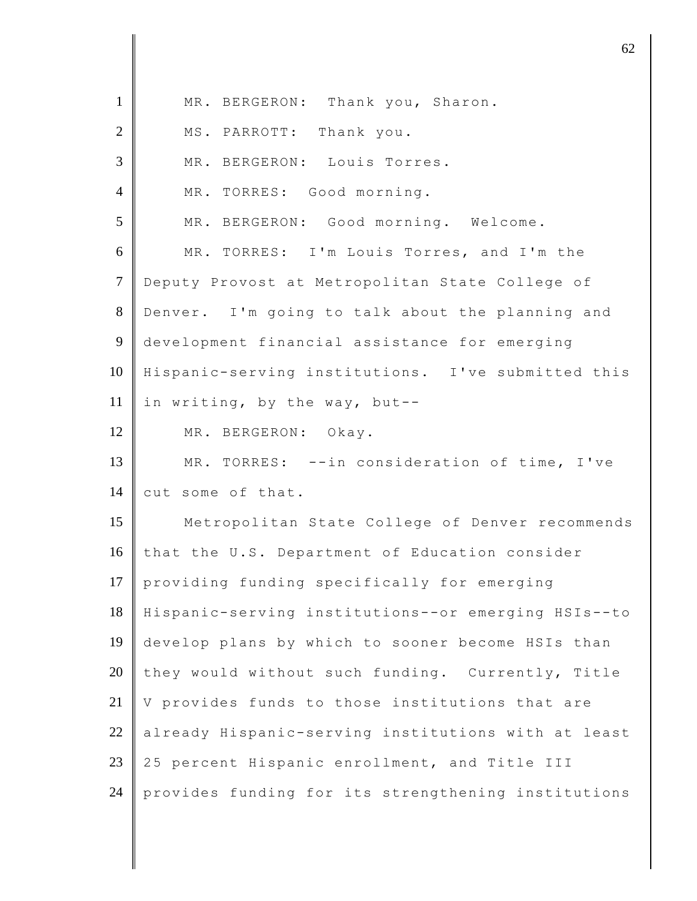| $\mathbf{1}$   | MR. BERGERON: Thank you, Sharon.                    |
|----------------|-----------------------------------------------------|
| $\mathbf{2}$   | MS. PARROTT: Thank you.                             |
| $\mathfrak{Z}$ | MR. BERGERON: Louis Torres.                         |
| $\overline{4}$ | MR. TORRES: Good morning.                           |
| 5              | MR. BERGERON: Good morning. Welcome.                |
| 6              | MR. TORRES: I'm Louis Torres, and I'm the           |
| $\tau$         | Deputy Provost at Metropolitan State College of     |
| $8\,$          | Denver. I'm going to talk about the planning and    |
| 9              | development financial assistance for emerging       |
| 10             | Hispanic-serving institutions. I've submitted this  |
| 11             | in writing, by the way, but--                       |
| 12             | MR. BERGERON: Okay.                                 |
| 13             | MR. TORRES: -- in consideration of time, I've       |
| 14             | cut some of that.                                   |
| 15             | Metropolitan State College of Denver recommends     |
| 16             | that the U.S. Department of Education consider      |
| 17             | providing funding specifically for emerging         |
| 18             | Hispanic-serving institutions--or emerging HSIs--to |
| 19             | develop plans by which to sooner become HSIs than   |
| 20             | they would without such funding. Currently, Title   |
| 21             | V provides funds to those institutions that are     |
| 22             | already Hispanic-serving institutions with at least |
| 23             | 25 percent Hispanic enrollment, and Title III       |
| 24             | provides funding for its strengthening institutions |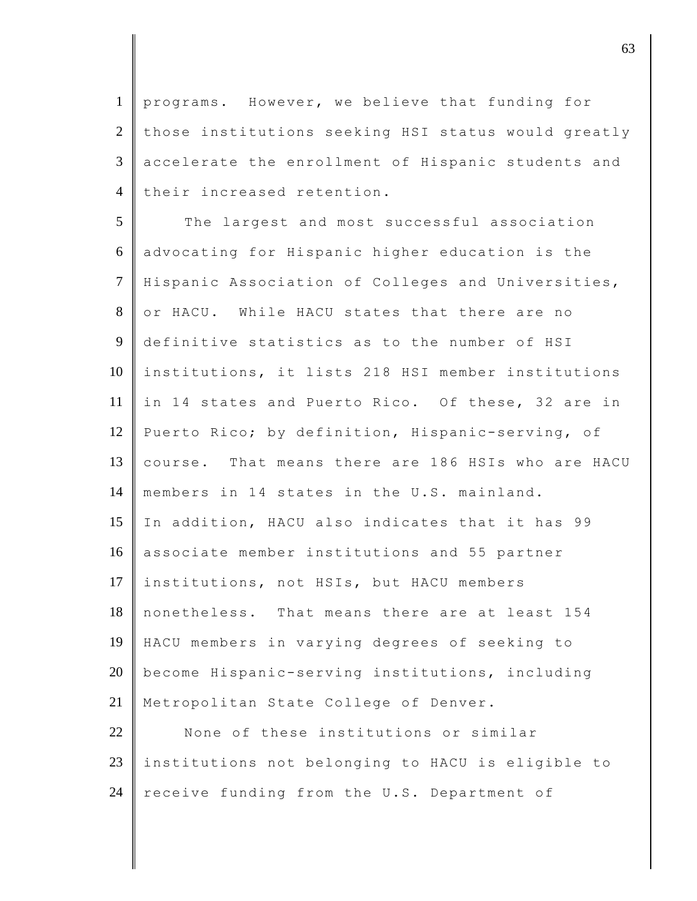programs. However, we believe that funding for those institutions seeking HSI status would greatly accelerate the enrollment of Hispanic students and 4 their increased retention.

5 The largest and most successful association 6 advocating for Hispanic higher education is the 7 Hispanic Association of Colleges and Universities, 8 or HACU. While HACU states that there are no 9 definitive statistics as to the number of HSI 10 institutions, it lists 218 HSI member institutions 11 in 14 states and Puerto Rico. Of these, 32 are in 12 Puerto Rico; by definition, Hispanic-serving, of 13 course. That means there are 186 HSIs who are HACU 14 members in 14 states in the U.S. mainland. 15 In addition, HACU also indicates that it has 99 16 associate member institutions and 55 partner 17 institutions, not HSIs, but HACU members 18 nonetheless. That means there are at least 154 19 HACU members in varying degrees of seeking to 20 become Hispanic-serving institutions, including 21 | Metropolitan State College of Denver. 22 None of these institutions or similar

23 institutions not belonging to HACU is eligible to 24 receive funding from the U.S. Department of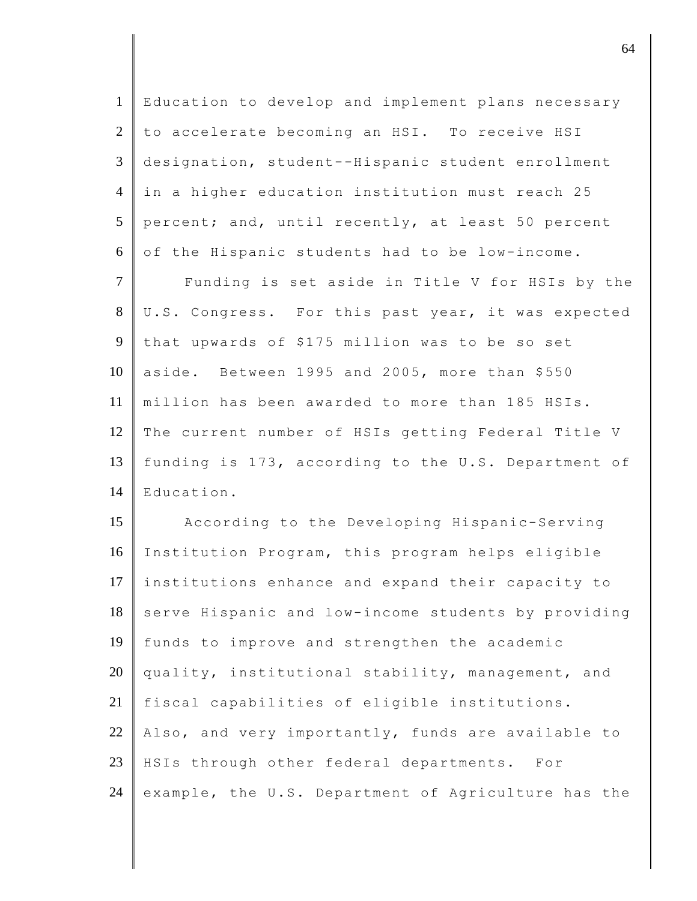| $\mathbf{1}$   | Education to develop and implement plans necessary  |
|----------------|-----------------------------------------------------|
| $\overline{2}$ | to accelerate becoming an HSI. To receive HSI       |
| 3              | designation, student--Hispanic student enrollment   |
| $\overline{4}$ | in a higher education institution must reach 25     |
| 5              | percent; and, until recently, at least 50 percent   |
| 6              | of the Hispanic students had to be low-income.      |
| $\tau$         | Funding is set aside in Title V for HSIs by the     |
| 8              | U.S. Congress. For this past year, it was expected  |
| 9              | that upwards of \$175 million was to be so set      |
| 10             | aside. Between 1995 and 2005, more than \$550       |
| 11             | million has been awarded to more than 185 HSIs.     |
| 12             | The current number of HSIs getting Federal Title V  |
| 13             | funding is 173, according to the U.S. Department of |
| 14             | Education.                                          |
| 15             | According to the Developing Hispanic-Serving        |
| 16             | Institution Program, this program helps eligible    |
| 17             | institutions enhance and expand their capacity to   |
| 18             | serve Hispanic and low-income students by providing |
| 19             | funds to improve and strengthen the academic        |
| 20             | quality, institutional stability, management, and   |
| 21             | fiscal capabilities of eligible institutions.       |
| 22             | Also, and very importantly, funds are available to  |
| 23             | HSIs through other federal departments. For         |
| 24             | example, the U.S. Department of Agriculture has the |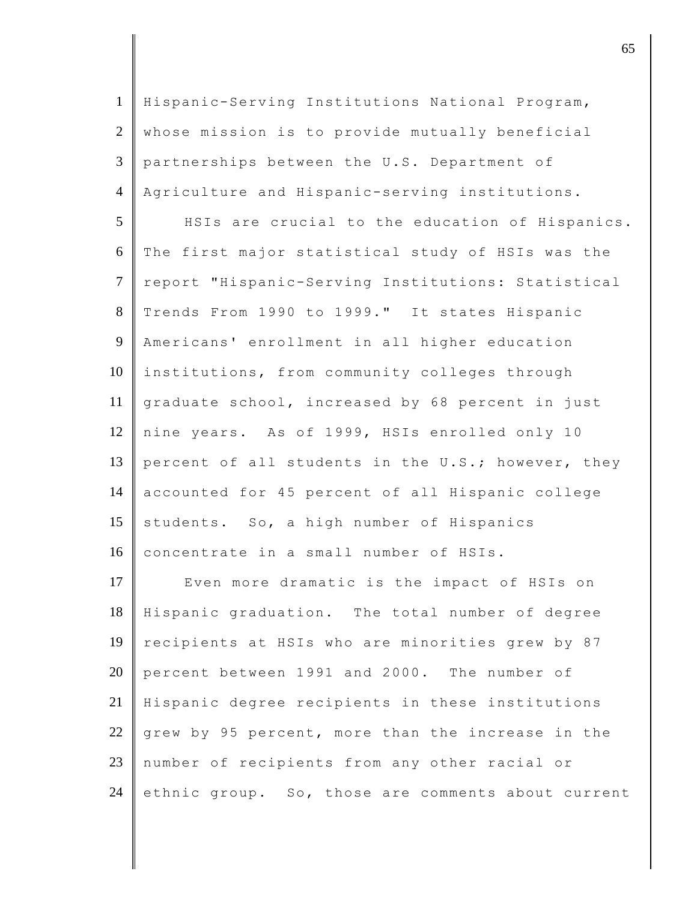| $\mathbf{1}$   | Hispanic-Serving Institutions National Program,    |
|----------------|----------------------------------------------------|
| $\overline{2}$ | whose mission is to provide mutually beneficial    |
| 3              | partnerships between the U.S. Department of        |
| $\overline{4}$ | Agriculture and Hispanic-serving institutions.     |
| 5              | HSIs are crucial to the education of Hispanics.    |
| 6              | The first major statistical study of HSIs was the  |
| $\tau$         | report "Hispanic-Serving Institutions: Statistical |
| $8\,$          | Trends From 1990 to 1999." It states Hispanic      |
| 9              | Americans' enrollment in all higher education      |
| 10             | institutions, from community colleges through      |
| 11             | graduate school, increased by 68 percent in just   |
| 12             | nine years. As of 1999, HSIs enrolled only 10      |
| 13             | percent of all students in the U.S.; however, they |
| 14             | accounted for 45 percent of all Hispanic college   |
| 15             | students. So, a high number of Hispanics           |
| 16             | concentrate in a small number of HSIs.             |
| 17             | Even more dramatic is the impact of HSIs on        |
| 18             | Hispanic graduation. The total number of degree    |
| 19             | recipients at HSIs who are minorities grew by 87   |
| 20             | percent between 1991 and 2000. The number of       |
| 21             | Hispanic degree recipients in these institutions   |
| 22             | grew by 95 percent, more than the increase in the  |
| 23             | number of recipients from any other racial or      |
| 24             | ethnic group. So, those are comments about current |

discrete the contract of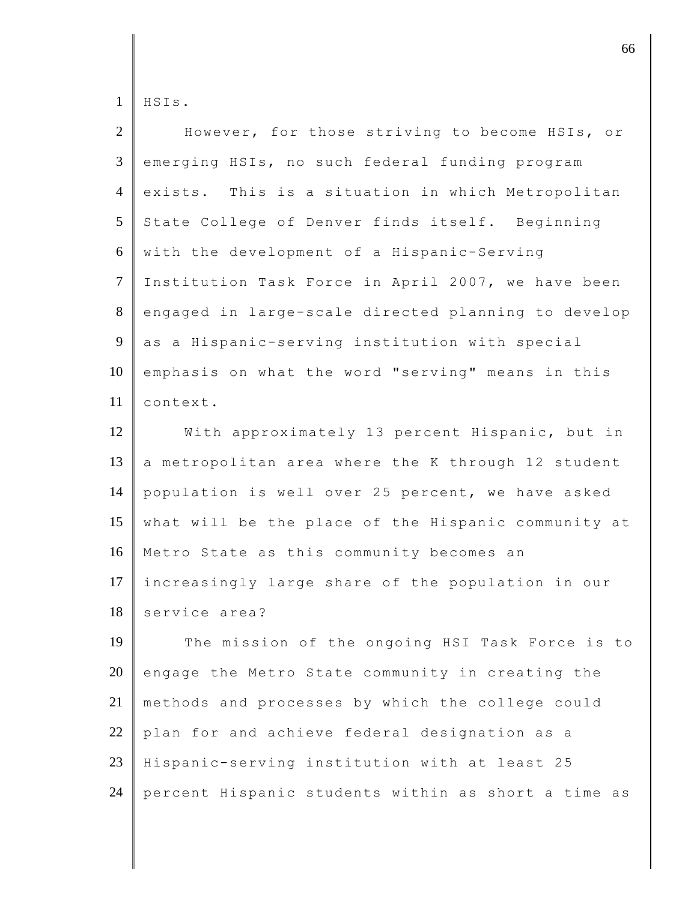HSIs.

| $\overline{2}$ | However, for those striving to become HSIs, or      |
|----------------|-----------------------------------------------------|
| 3              | emerging HSIs, no such federal funding program      |
| $\overline{4}$ | exists. This is a situation in which Metropolitan   |
| 5              | State College of Denver finds itself. Beginning     |
| 6              | with the development of a Hispanic-Serving          |
| $\overline{7}$ | Institution Task Force in April 2007, we have been  |
| 8              | engaged in large-scale directed planning to develop |
| 9              | as a Hispanic-serving institution with special      |
| 10             | emphasis on what the word "serving" means in this   |
| 11             | context.                                            |
| 12             | With approximately 13 percent Hispanic, but in      |
| 13             | a metropolitan area where the K through 12 student  |
| 14             | population is well over 25 percent, we have asked   |
| 15             | what will be the place of the Hispanic community at |
| 16             | Metro State as this community becomes an            |
| 17             | increasingly large share of the population in our   |
| 18             | service area?                                       |
| 19             | The mission of the ongoing HSI Task Force is to     |
| 20             | engage the Metro State community in creating the    |
| 21             | methods and processes by which the college could    |
| 22             | plan for and achieve federal designation as a       |
| 23             | Hispanic-serving institution with at least 25       |
| 24             | percent Hispanic students within as short a time as |

discrete the contract of  $\sim$  66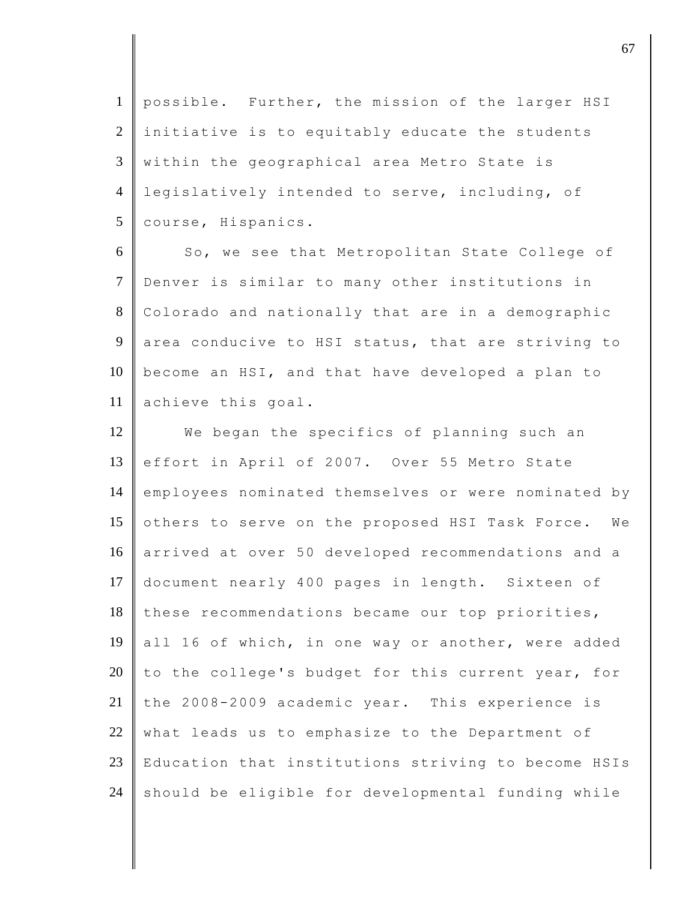possible. Further, the mission of the larger HSI initiative is to equitably educate the students within the geographical area Metro State is legislatively intended to serve, including, of 5 | course, Hispanics.

6 So, we see that Metropolitan State College of 7 Denver is similar to many other institutions in 8 Colorado and nationally that are in a demographic 9 area conducive to HSI status, that are striving to 10 become an HSI, and that have developed a plan to 11 achieve this goal.

12 We began the specifics of planning such an 13 effort in April of 2007. Over 55 Metro State 14 employees nominated themselves or were nominated by 15 others to serve on the proposed HSI Task Force. We 16 arrived at over 50 developed recommendations and a 17 document nearly 400 pages in length. Sixteen of 18 these recommendations became our top priorities, 19 all 16 of which, in one way or another, were added 20 to the college's budget for this current year, for 21 the 2008-2009 academic year. This experience is  $22$  what leads us to emphasize to the Department of 23 Education that institutions striving to become HSIs  $24$  should be eligible for developmental funding while

discrete the contract of  $\sim$  67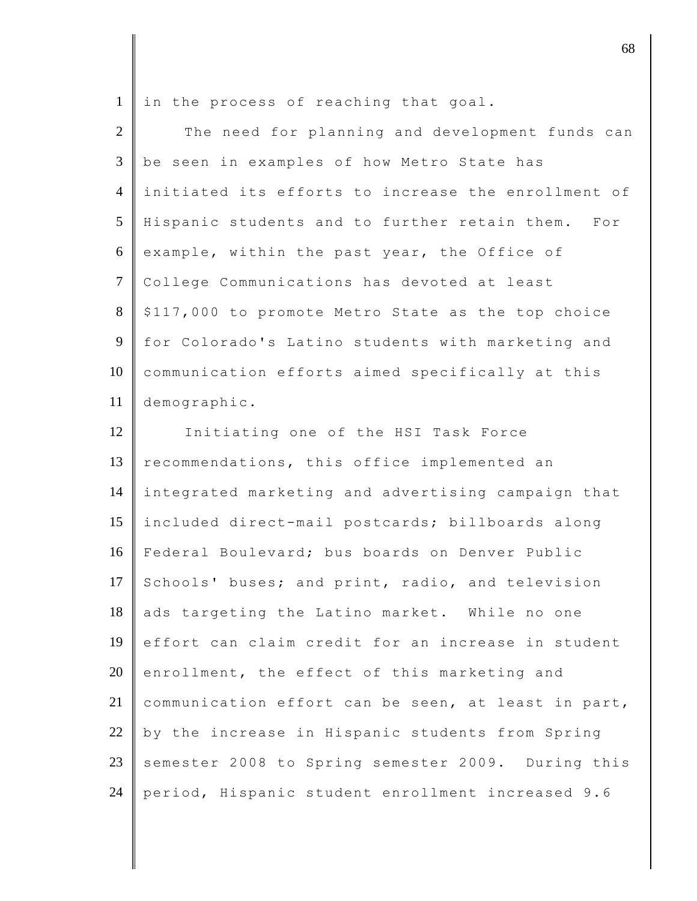|  |  |  |  |  | $1 \parallel$ in the process of reaching that goal. |  |  |
|--|--|--|--|--|-----------------------------------------------------|--|--|
|--|--|--|--|--|-----------------------------------------------------|--|--|

I

| $\overline{2}$ | The need for planning and development funds can              |
|----------------|--------------------------------------------------------------|
| 3              | be seen in examples of how Metro State has                   |
| $\overline{4}$ | initiated its efforts to increase the enrollment of          |
| 5              | Hispanic students and to further retain them.<br>$F \circ r$ |
| 6              | example, within the past year, the Office of                 |
| $\tau$         | College Communications has devoted at least                  |
| 8              | \$117,000 to promote Metro State as the top choice           |
| 9              | for Colorado's Latino students with marketing and            |
| 10             | communication efforts aimed specifically at this             |
| 11             | demographic.                                                 |
| 12             | Initiating one of the HSI Task Force                         |
| 13             | recommendations, this office implemented an                  |
| 14             | integrated marketing and advertising campaign that           |
| 15             | included direct-mail postcards; billboards along             |
| 16             | Federal Boulevard; bus boards on Denver Public               |
| 17             | Schools' buses; and print, radio, and television             |
| 18             | ads targeting the Latino market. While no one                |
| 19             | effort can claim credit for an increase in student           |
| 20             | enrollment, the effect of this marketing and                 |
| 21             | communication effort can be seen, at least in part,          |
| 22             | by the increase in Hispanic students from Spring             |
| 23             | semester 2008 to Spring semester 2009. During this           |
| 24             | period, Hispanic student enrollment increased 9.6            |

denote the contract of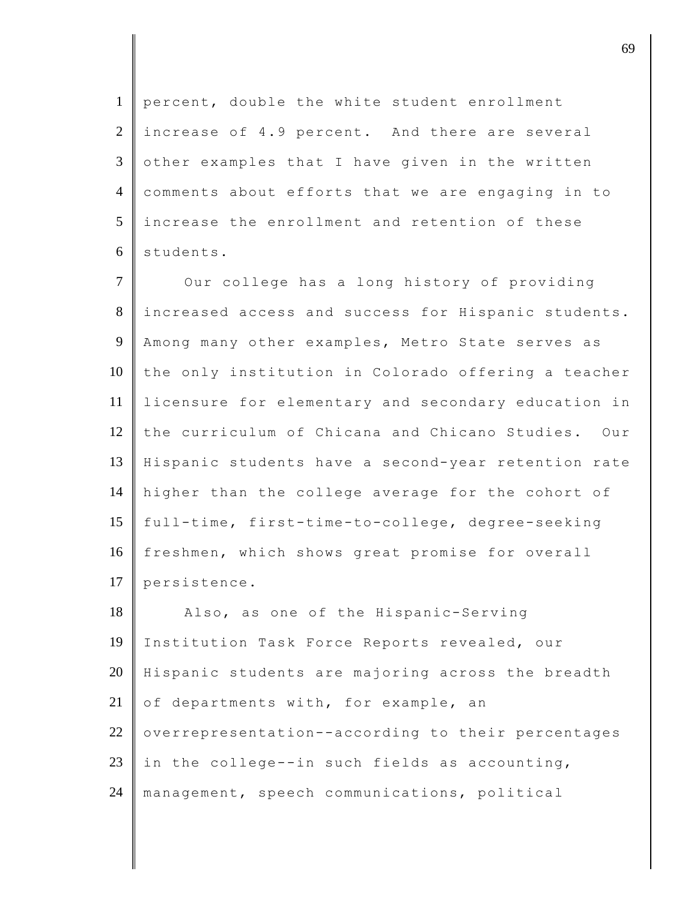percent, double the white student enrollment increase of 4.9 percent. And there are several  $3 \parallel$  other examples that I have given in the written 4 comments about efforts that we are engaging in to increase the enrollment and retention of these students.

7 Our college has a long history of providing increased access and success for Hispanic students. Among many other examples, Metro State serves as the only institution in Colorado offering a teacher licensure for elementary and secondary education in the curriculum of Chicana and Chicano Studies. Our Hispanic students have a second-year retention rate higher than the college average for the cohort of 15 full-time, first-time-to-college, degree-seeking 16 freshmen, which shows great promise for overall 17 persistence.

18 Also, as one of the Hispanic-Serving 19 Institution Task Force Reports revealed, our 20 Hispanic students are majoring across the breadth 21 of departments with, for example, an  $22$  overrepresentation--according to their percentages 23 in the college--in such fields as accounting, 24 management, speech communications, political

discrete the contract of  $\theta$  69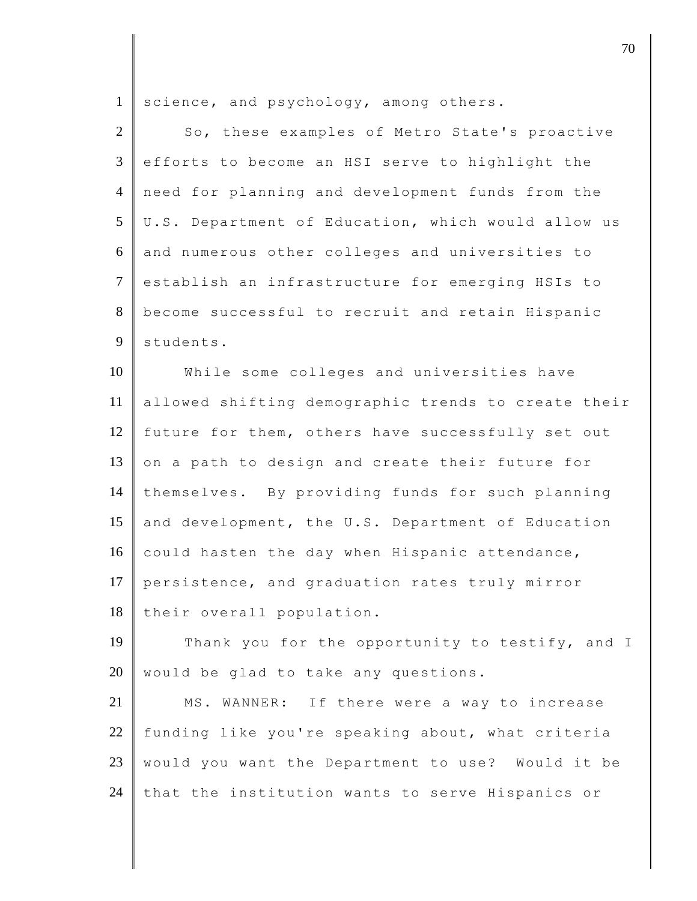1 science, and psychology, among others.

| $\overline{2}$ | So, these examples of Metro State's proactive       |
|----------------|-----------------------------------------------------|
| 3              | efforts to become an HSI serve to highlight the     |
| $\overline{4}$ | need for planning and development funds from the    |
| 5              | U.S. Department of Education, which would allow us  |
| 6              | and numerous other colleges and universities to     |
| $\tau$         | establish an infrastructure for emerging HSIs to    |
| 8              | become successful to recruit and retain Hispanic    |
| 9              | students.                                           |
| 10             | While some colleges and universities have           |
| 11             | allowed shifting demographic trends to create their |
| 12             | future for them, others have successfully set out   |
| 13             | on a path to design and create their future for     |
| 14             | themselves. By providing funds for such planning    |
| 15             | and development, the U.S. Department of Education   |
| 16             | could hasten the day when Hispanic attendance,      |
| 17             | persistence, and graduation rates truly mirror      |
| 18             | their overall population.                           |
| 19             | Thank you for the opportunity to testify, and I     |
| 20             | would be glad to take any questions.                |
| 21             | MS. WANNER: If there were a way to increase         |
| 22             | funding like you're speaking about, what criteria   |
| 23             | would you want the Department to use? Would it be   |
| 24             | that the institution wants to serve Hispanics or    |

discrete the contract of  $\overline{70}$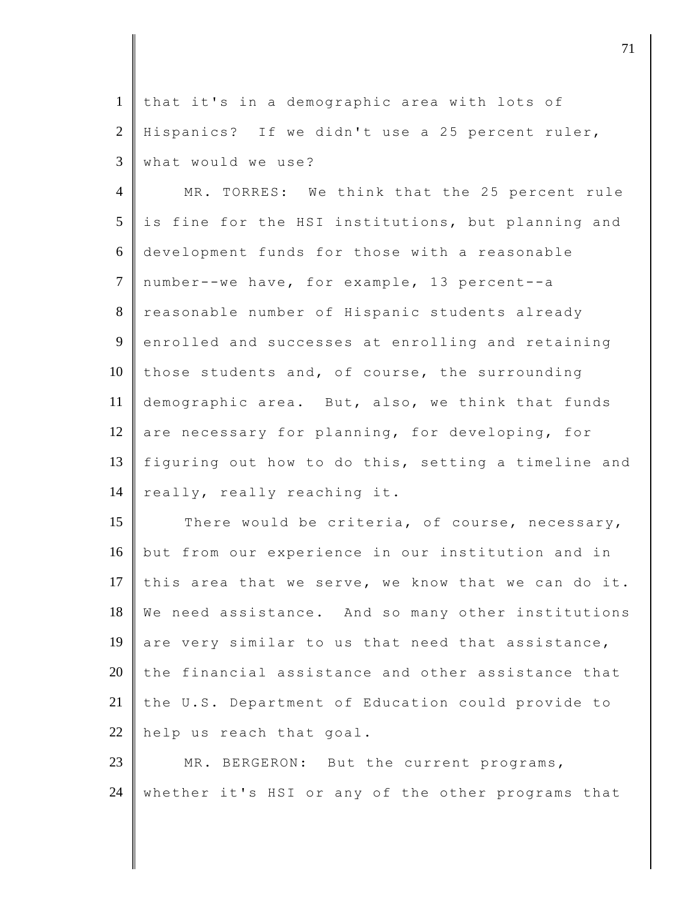1 that it's in a demographic area with lots of 2 Hispanics? If we didn't use a 25 percent ruler, 3 what would we use?

4 MR. TORRES: We think that the 25 percent rule  $5$  is fine for the HSI institutions, but planning and 6 development funds for those with a reasonable 7 number--we have, for example, 13 percent--a 8 reasonable number of Hispanic students already 9 enrolled and successes at enrolling and retaining 10 those students and, of course, the surrounding 11 demographic area. But, also, we think that funds 12 are necessary for planning, for developing, for 13 figuring out how to do this, setting a timeline and 14 | really, really reaching it.

15 There would be criteria, of course, necessary, 16 but from our experience in our institution and in 17 this area that we serve, we know that we can do it. 18 We need assistance. And so many other institutions 19 are very similar to us that need that assistance, 20 the financial assistance and other assistance that 21 the U.S. Department of Education could provide to 22 help us reach that goal.

23 MR. BERGERON: But the current programs, 24 whether it's HSI or any of the other programs that

djective terms of  $\overline{a}$  71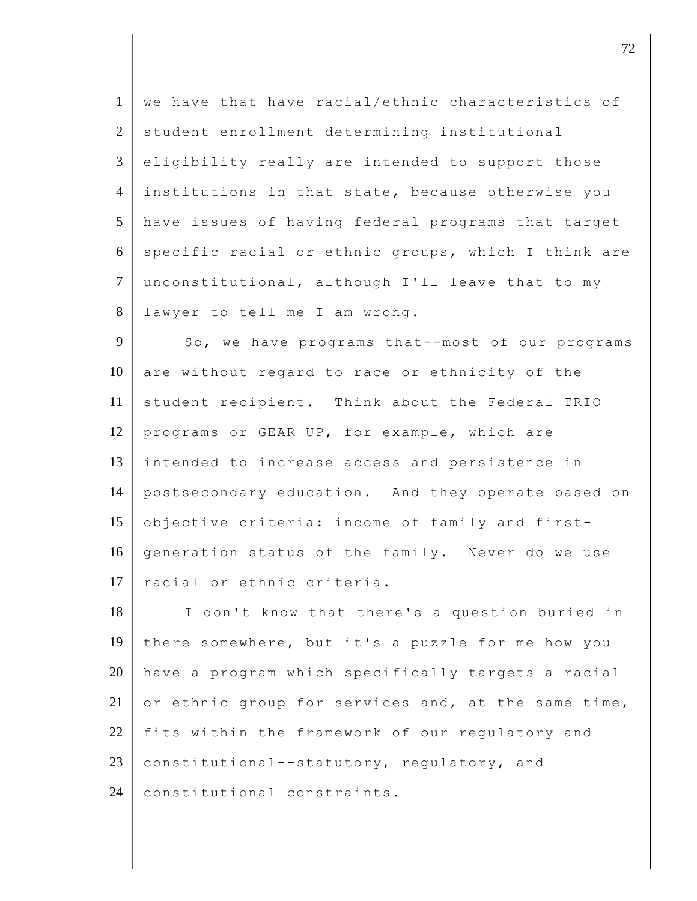1 we have that have racial/ethnic characteristics of 2 student enrollment determining institutional  $3 \parallel$  eligibility really are intended to support those 4 institutions in that state, because otherwise you 5 have issues of having federal programs that target 6 specific racial or ethnic groups, which I think are 7 unconstitutional, although I'll leave that to my 8 lawyer to tell me I am wrong.

9 So, we have programs that--most of our programs 10 are without regard to race or ethnicity of the 11 student recipient. Think about the Federal TRIO 12 programs or GEAR UP, for example, which are 13 intended to increase access and persistence in 14 postsecondary education. And they operate based on 15 objective criteria: income of family and first-16 generation status of the family. Never do we use 17 racial or ethnic criteria.

18 I don't know that there's a question buried in 19 there somewhere, but it's a puzzle for me how you 20 have a program which specifically targets a racial 21 or ethnic group for services and, at the same time, 22 fits within the framework of our regulatory and 23 constitutional--statutory, regulatory, and 24 | constitutional constraints.

discrete the contract of  $\overline{72}$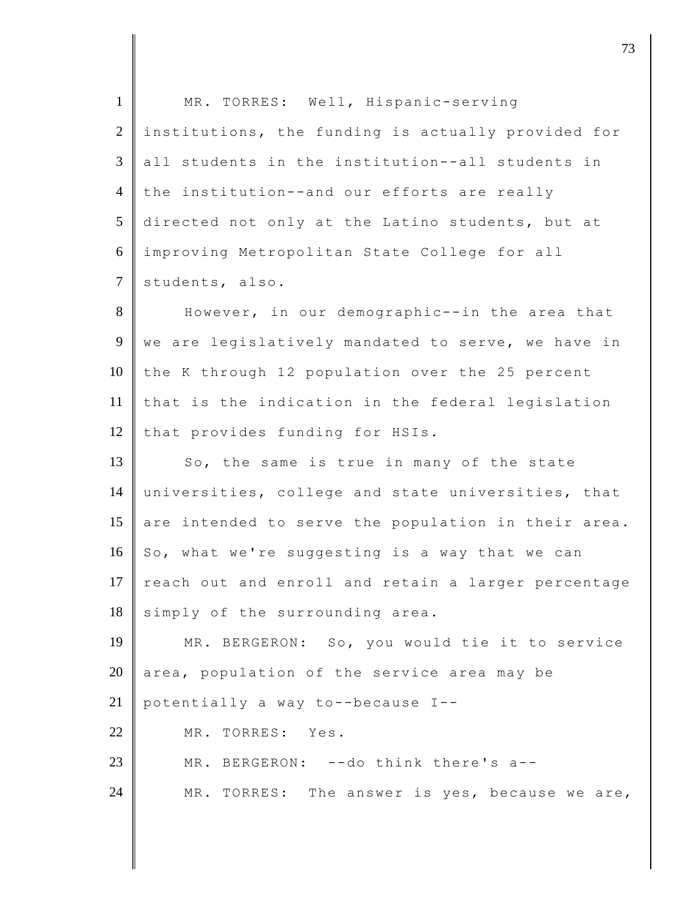| $\mathbf{1}$   | MR. TORRES: Well, Hispanic-serving                  |
|----------------|-----------------------------------------------------|
| 2              | institutions, the funding is actually provided for  |
| 3              | all students in the institution--all students in    |
| $\overline{4}$ | the institution--and our efforts are really         |
| 5              | directed not only at the Latino students, but at    |
| 6              | improving Metropolitan State College for all        |
| $\tau$         | students, also.                                     |
| 8              | However, in our demographic--in the area that       |
| 9              | we are legislatively mandated to serve, we have in  |
| 10             | the K through 12 population over the 25 percent     |
| 11             | that is the indication in the federal legislation   |
| 12             | that provides funding for HSIs.                     |
| 13             | So, the same is true in many of the state           |
| 14             | universities, college and state universities, that  |
| 15             | are intended to serve the population in their area. |
| 16             | So, what we're suggesting is a way that we can      |
| 17             | reach out and enroll and retain a larger percentage |
| 18             | simply of the surrounding area.                     |
| 19             | MR. BERGERON: So, you would tie it to service       |
| 20             | area, population of the service area may be         |
| 21             | potentially a way to--because I--                   |
| 22             | MR. TORRES: Yes.                                    |
| 23             | BERGERON: -- do think there's a--<br>MR.            |
| 24             | MR. TORRES: The answer is yes, because we are,      |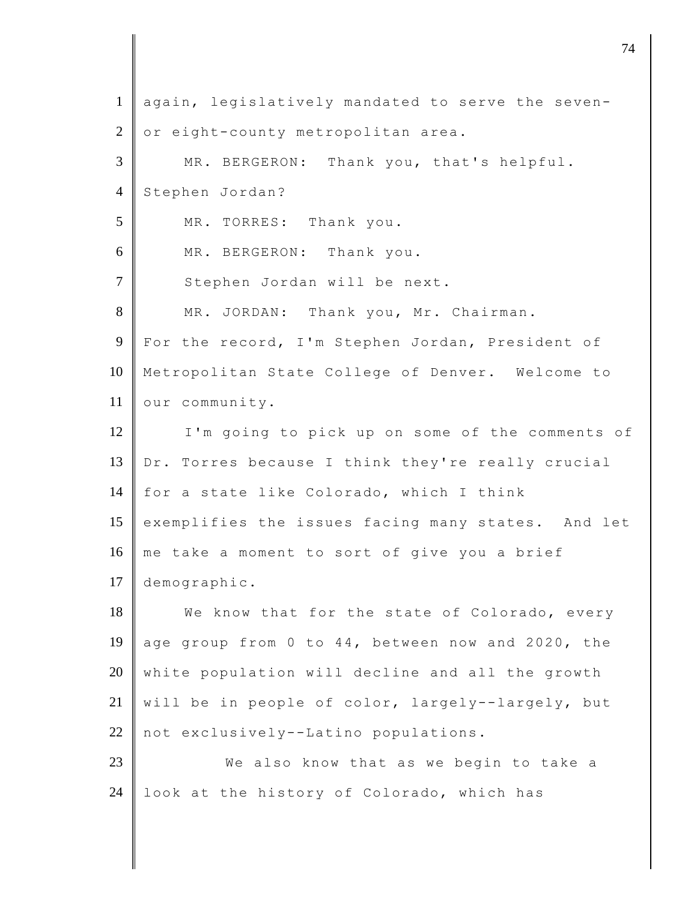| $\mathbf{1}$   | again, legislatively mandated to serve the seven-  |
|----------------|----------------------------------------------------|
| $\overline{2}$ | or eight-county metropolitan area.                 |
| 3              | MR. BERGERON: Thank you, that's helpful.           |
| $\overline{4}$ | Stephen Jordan?                                    |
| 5              | MR. TORRES: Thank you.                             |
| 6              | MR. BERGERON: Thank you.                           |
| $\tau$         | Stephen Jordan will be next.                       |
| 8              | MR. JORDAN: Thank you, Mr. Chairman.               |
| 9              | For the record, I'm Stephen Jordan, President of   |
| 10             | Metropolitan State College of Denver. Welcome to   |
| 11             | our community.                                     |
| 12             | I'm going to pick up on some of the comments of    |
| 13             | Dr. Torres because I think they're really crucial  |
| 14             | for a state like Colorado, which I think           |
| 15             | exemplifies the issues facing many states. And let |
| 16             | me take a moment to sort of give you a brief       |
|                | 17   demographic.                                  |
| 18             | We know that for the state of Colorado, every      |
| 19             | age group from 0 to 44, between now and 2020, the  |
| 20             | white population will decline and all the growth   |
| 21             | will be in people of color, largely--largely, but  |
| 22             | not exclusively--Latino populations.               |
| 23             | We also know that as we begin to take a            |
| 24             | look at the history of Colorado, which has         |
|                |                                                    |

djective terms of  $\overline{a}$  74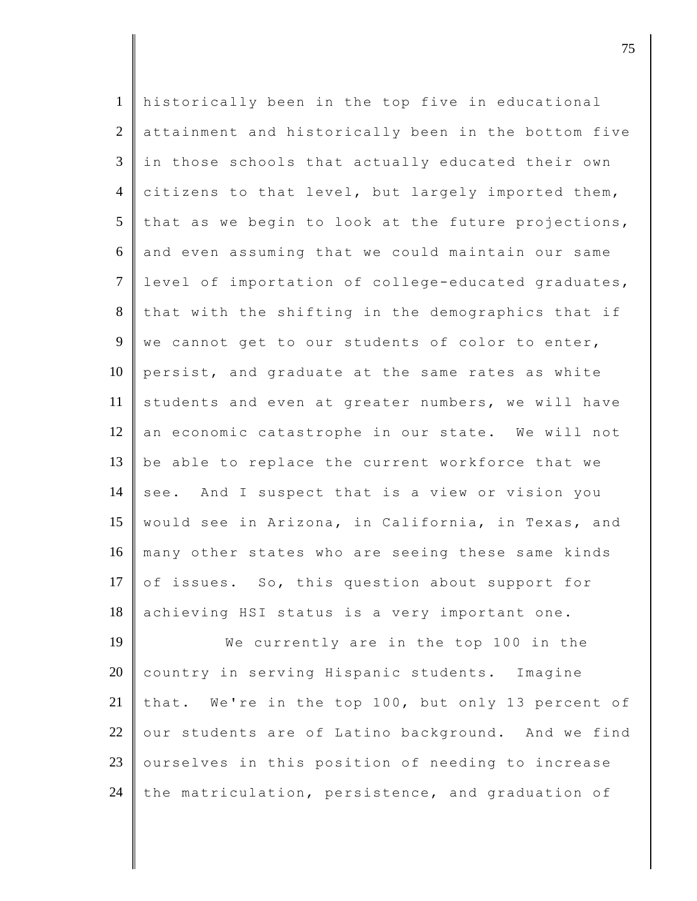| $\mathbf{1}$   | historically been in the top five in educational    |
|----------------|-----------------------------------------------------|
| $\overline{2}$ | attainment and historically been in the bottom five |
| 3              | in those schools that actually educated their own   |
| $\overline{4}$ | citizens to that level, but largely imported them,  |
| 5              | that as we begin to look at the future projections, |
| 6              | and even assuming that we could maintain our same   |
| $\overline{7}$ | level of importation of college-educated graduates, |
| 8              | that with the shifting in the demographics that if  |
| 9              | we cannot get to our students of color to enter,    |
| 10             | persist, and graduate at the same rates as white    |
| 11             | students and even at greater numbers, we will have  |
|                |                                                     |
| 12             | an economic catastrophe in our state. We will not   |
| 13             | be able to replace the current workforce that we    |
| 14             | see. And I suspect that is a view or vision you     |
| 15             | would see in Arizona, in California, in Texas, and  |
| 16             | many other states who are seeing these same kinds   |
| 17             | of issues. So, this question about support for      |
| 18             | achieving HSI status is a very important one.       |
| 19             | We currently are in the top 100 in the              |
| 20             | country in serving Hispanic students. Imagine       |
| 21             | that. We're in the top 100, but only 13 percent of  |
| 22             | our students are of Latino background. And we find  |
| 23             | ourselves in this position of needing to increase   |
| 24             | the matriculation, persistence, and graduation of   |

discrete the contract of  $\overline{75}$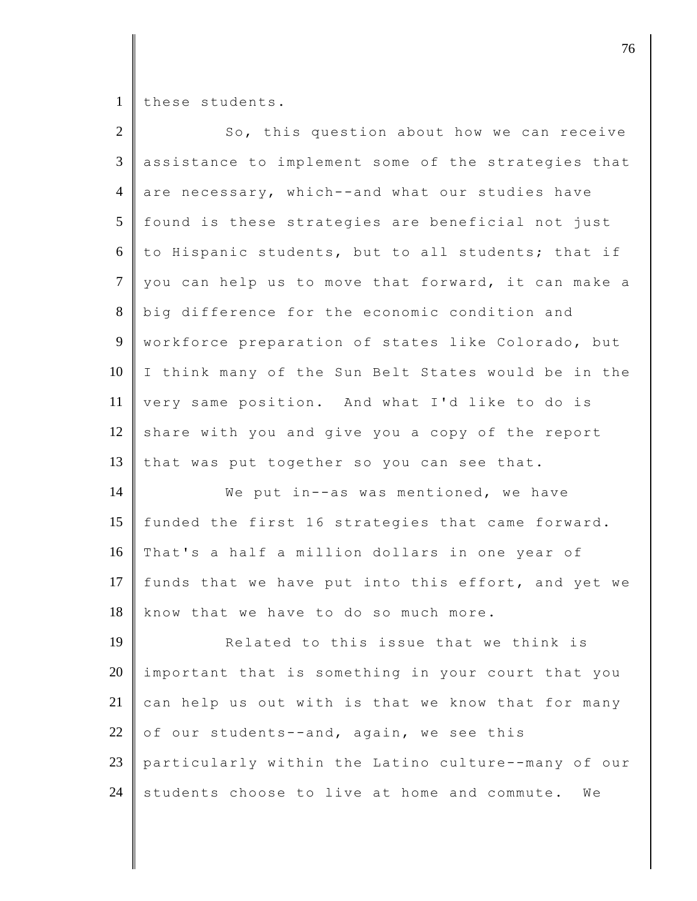1 these students.

| $\overline{2}$ | So, this question about how we can receive          |
|----------------|-----------------------------------------------------|
| 3              | assistance to implement some of the strategies that |
| $\overline{4}$ | are necessary, which--and what our studies have     |
| 5              | found is these strategies are beneficial not just   |
| 6              | to Hispanic students, but to all students; that if  |
| $\overline{7}$ | you can help us to move that forward, it can make a |
| 8              | big difference for the economic condition and       |
| 9              | workforce preparation of states like Colorado, but  |
| 10             | I think many of the Sun Belt States would be in the |
| 11             | very same position. And what I'd like to do is      |
| 12             | share with you and give you a copy of the report    |
| 13             | that was put together so you can see that.          |
| 14             | We put in--as was mentioned, we have                |
| 15             | funded the first 16 strategies that came forward.   |
| 16             | That's a half a million dollars in one year of      |
| 17             | funds that we have put into this effort, and yet we |
| 18             | know that we have to do so much more.               |
| 19             | Related to this issue that we think is              |
| 20             | important that is something in your court that you  |
| 21             | can help us out with is that we know that for many  |
| 22             | of our students--and, again, we see this            |
| $23\,$         | particularly within the Latino culture--many of our |
| 24             | students choose to live at home and commute.<br>We  |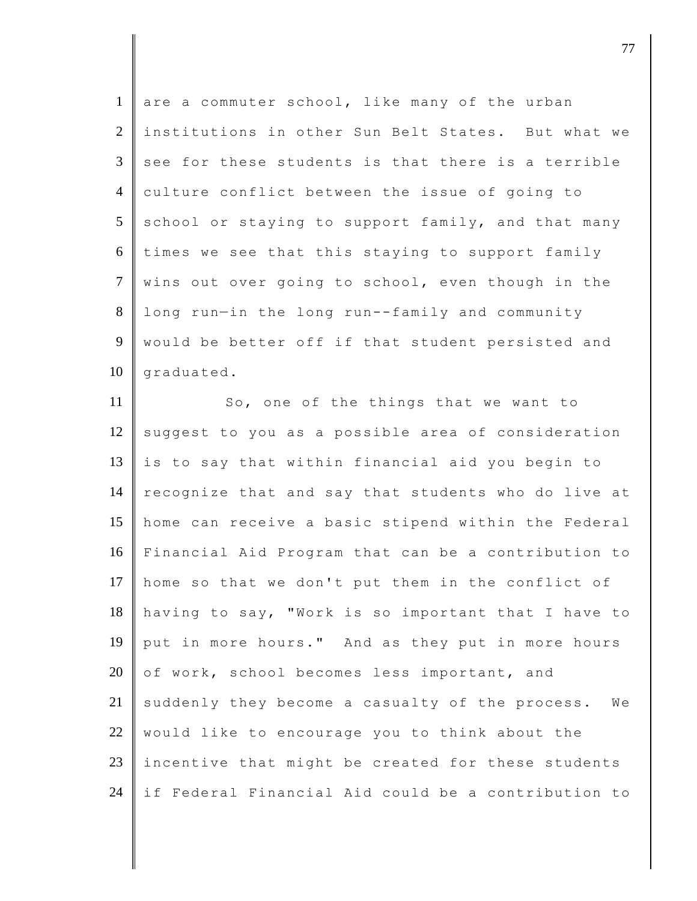| are a commuter school, like many of the urban       |
|-----------------------------------------------------|
| institutions in other Sun Belt States. But what we  |
| see for these students is that there is a terrible  |
| culture conflict between the issue of going to      |
| school or staying to support family, and that many  |
| times we see that this staying to support family    |
| wins out over going to school, even though in the   |
| long run-in the long run--family and community      |
| would be better off if that student persisted and   |
| graduated.                                          |
| So, one of the things that we want to               |
| suggest to you as a possible area of consideration  |
| is to say that within financial aid you begin to    |
| recognize that and say that students who do live at |
| home can receive a basic stipend within the Federal |
| Financial Aid Program that can be a contribution to |
| home so that we don't put them in the conflict of   |
| having to say, "Work is so important that I have to |
| put in more hours." And as they put in more hours   |
| of work, school becomes less important, and         |
| suddenly they become a casualty of the process. We  |
| would like to encourage you to think about the      |
|                                                     |

23 incentive that might be created for these students if Federal Financial Aid could be a contribution to

djective terms of the contract of the contract of  $\overline{a}$  77  $\overline{a}$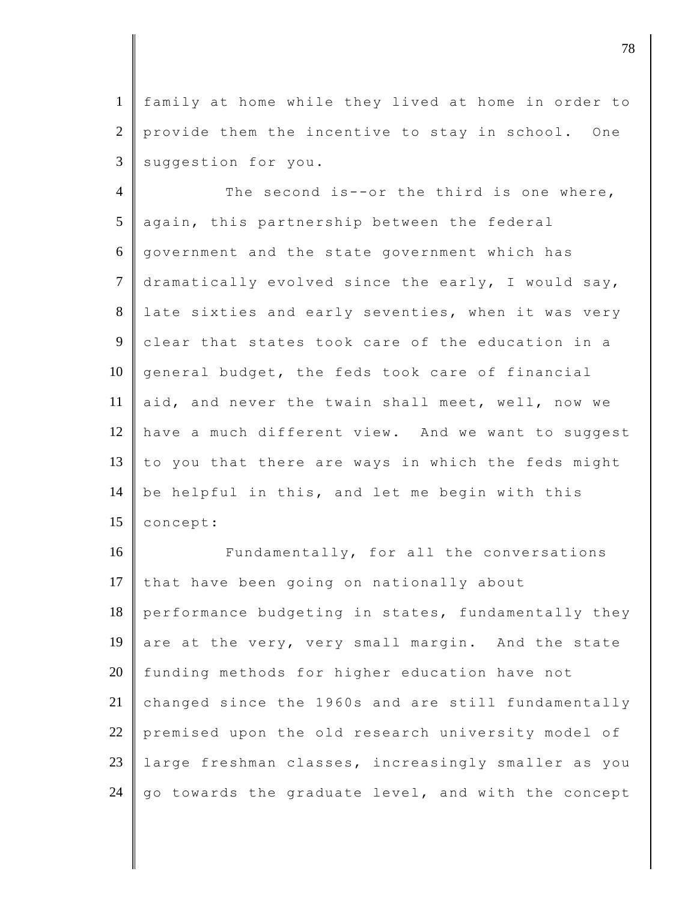1 family at home while they lived at home in order to 2 provide them the incentive to stay in school. One  $3$  suggestion for you.

4 The second is--or the third is one where,  $5$  again, this partnership between the federal 6 government and the state government which has 7 dramatically evolved since the early, I would say, 8 late sixties and early seventies, when it was very 9 clear that states took care of the education in a  $10$  general budget, the feds took care of financial 11 aid, and never the twain shall meet, well, now we 12 have a much different view. And we want to suggest 13  $\parallel$  to you that there are ways in which the feds might 14 be helpful in this, and let me begin with this 15 **concept:** 

16 Fundamentally, for all the conversations 17 that have been going on nationally about 18 performance budgeting in states, fundamentally they 19 are at the very, very small margin. And the state 20 funding methods for higher education have not 21 changed since the 1960s and are still fundamentally 22 premised upon the old research university model of 23 large freshman classes, increasingly smaller as you 24  $\,$  go towards the graduate level, and with the concept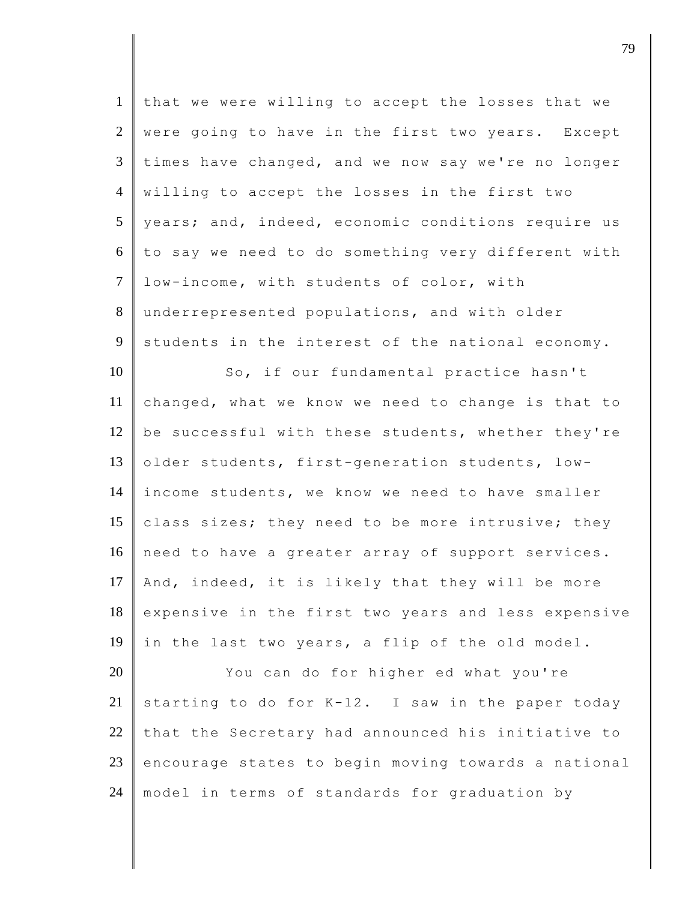| $\mathbf{1}$   | that we were willing to accept the losses that we   |
|----------------|-----------------------------------------------------|
| $\overline{2}$ | were going to have in the first two years. Except   |
| $\mathfrak{Z}$ | times have changed, and we now say we're no longer  |
| $\overline{4}$ | willing to accept the losses in the first two       |
| 5 <sup>5</sup> | years; and, indeed, economic conditions require us  |
| 6              | to say we need to do something very different with  |
| $\tau$         | low-income, with students of color, with            |
| 8              | underrepresented populations, and with older        |
| 9              | students in the interest of the national economy.   |
| 10             | So, if our fundamental practice hasn't              |
| 11             | changed, what we know we need to change is that to  |
| 12             | be successful with these students, whether they're  |
| 13             | older students, first-generation students, low-     |
| 14             | income students, we know we need to have smaller    |
| 15             | class sizes; they need to be more intrusive; they   |
| 16             | need to have a greater array of support services.   |
| 17             | And, indeed, it is likely that they will be more    |
| 18             | expensive in the first two years and less expensive |
| 19             | in the last two years, a flip of the old model.     |
| 20             | You can do for higher ed what you're                |
| 21             | starting to do for K-12. I saw in the paper today   |
| 22             | that the Secretary had announced his initiative to  |
| 23             | encourage states to begin moving towards a national |
| 24             | model in terms of standards for graduation by       |

djective terms of the contract of  $\overline{a}$  79  $\overline{a}$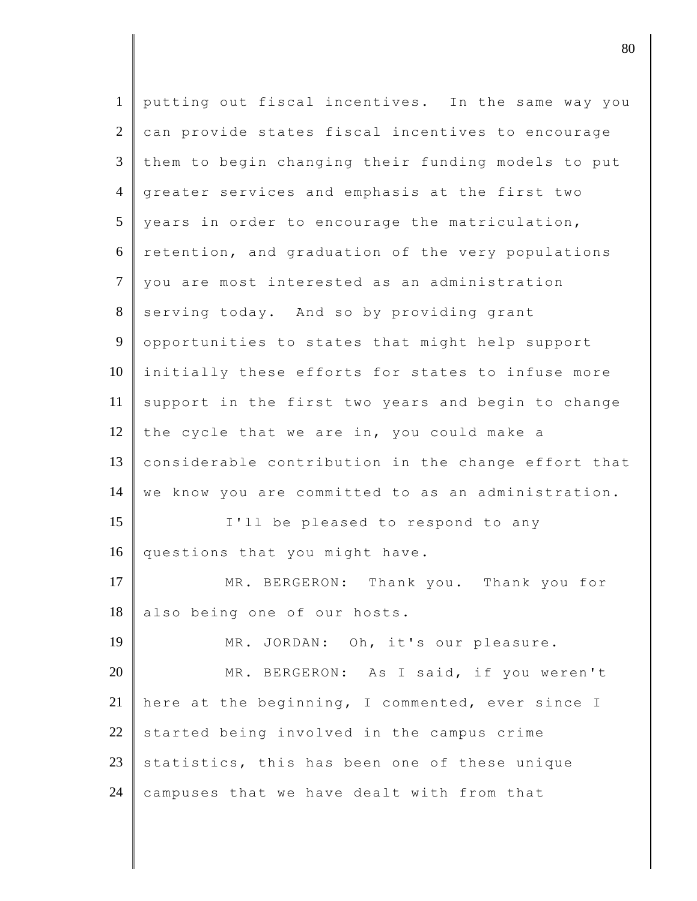| $\mathbf{1}$   | putting out fiscal incentives. In the same way you  |
|----------------|-----------------------------------------------------|
| $\overline{2}$ | can provide states fiscal incentives to encourage   |
| $\overline{3}$ | them to begin changing their funding models to put  |
| $\overline{4}$ | greater services and emphasis at the first two      |
| 5              | years in order to encourage the matriculation,      |
| 6              | retention, and graduation of the very populations   |
| $\overline{7}$ | you are most interested as an administration        |
| 8              | serving today. And so by providing grant            |
| 9              | opportunities to states that might help support     |
| 10             | initially these efforts for states to infuse more   |
| 11             | support in the first two years and begin to change  |
| 12             | the cycle that we are in, you could make a          |
| 13             | considerable contribution in the change effort that |
| 14             | we know you are committed to as an administration.  |
| 15             | I'll be pleased to respond to any                   |
| 16             | questions that you might have.                      |
| 17             | MR. BERGERON: Thank you. Thank you for              |
| 18             | also being one of our hosts.                        |
| 19             | MR. JORDAN: Oh, it's our pleasure.                  |
| 20             | MR. BERGERON: As I said, if you weren't             |
| 21             | here at the beginning, I commented, ever since I    |
| 22             | started being involved in the campus crime          |
| 23             | statistics, this has been one of these unique       |
| 24             | campuses that we have dealt with from that          |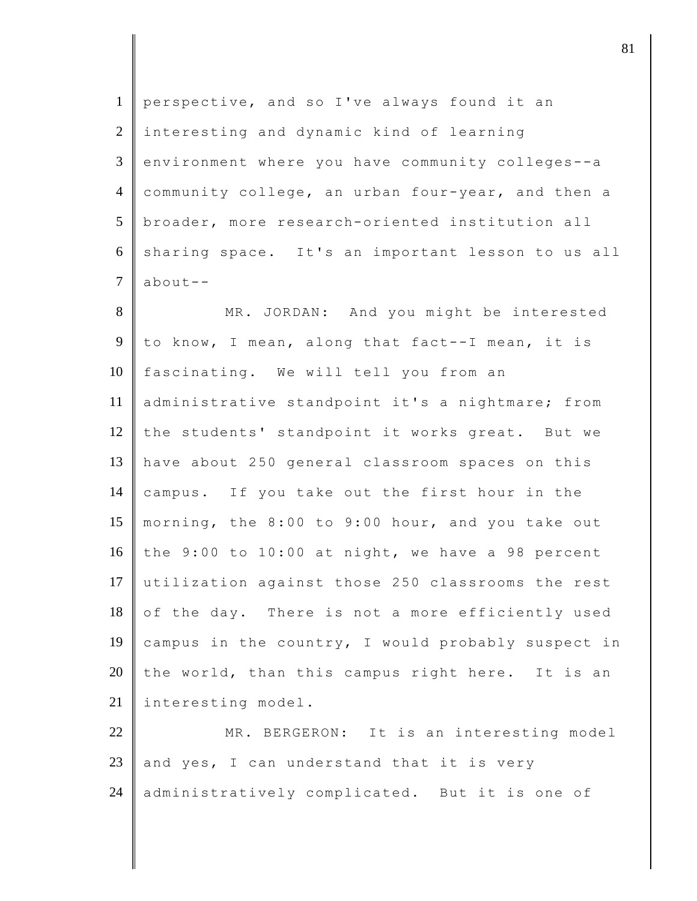| $\mathbf{1}$   | perspective, and so I've always found it an        |
|----------------|----------------------------------------------------|
| $\mathbf{2}$   | interesting and dynamic kind of learning           |
| 3              | environment where you have community colleges--a   |
| $\overline{4}$ | community college, an urban four-year, and then a  |
| 5              | broader, more research-oriented institution all    |
| 6              | sharing space. It's an important lesson to us all  |
| $\overline{7}$ | $about--$                                          |
| 8              | MR. JORDAN: And you might be interested            |
| 9              | to know, I mean, along that fact--I mean, it is    |
| 10             | fascinating. We will tell you from an              |
| 11             | administrative standpoint it's a nightmare; from   |
| 12             | the students' standpoint it works great. But we    |
| 13             | have about 250 general classroom spaces on this    |
| 14             | campus. If you take out the first hour in the      |
| 15             | morning, the 8:00 to 9:00 hour, and you take out   |
| 16             | the 9:00 to 10:00 at night, we have a 98 percent   |
| 17             | utilization against those 250 classrooms the rest  |
| 18             | of the day. There is not a more efficiently used   |
| 19             | campus in the country, I would probably suspect in |
| 20             | the world, than this campus right here. It is an   |
| 21             | interesting model.                                 |
| 22             | MR. BERGERON: It is an interesting model           |
| 23             | and yes, I can understand that it is very          |
| 24             | administratively complicated. But it is one of     |
|                |                                                    |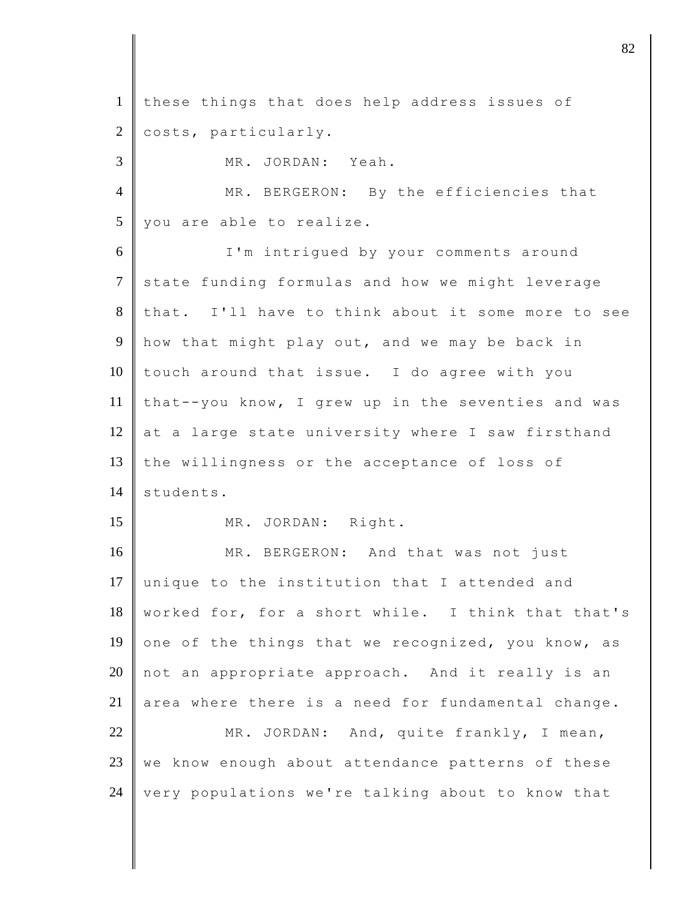1 these things that does help address issues of 2 costs, particularly. 3 MR. JORDAN: Yeah. 4 MR. BERGERON: By the efficiencies that  $5 \parallel$  you are able to realize. 6 I'm intrigued by your comments around 7 state funding formulas and how we might leverage 8 that. I'll have to think about it some more to see 9 how that might play out, and we may be back in 10 touch around that issue. I do agree with you 11 | that--you know, I grew up in the seventies and was 12 at a large state university where I saw firsthand 13 the willingness or the acceptance of loss of 14 students. 15 MR. JORDAN: Right. 16 MR. BERGERON: And that was not just 17 unique to the institution that I attended and 18 worked for, for a short while. I think that that's 19 one of the things that we recognized, you know, as 20  $\parallel$  not an appropriate approach. And it really is an 21 area where there is a need for fundamental change. 22 MR. JORDAN: And, quite frankly, I mean,  $23$  we know enough about attendance patterns of these 24 very populations we're talking about to know that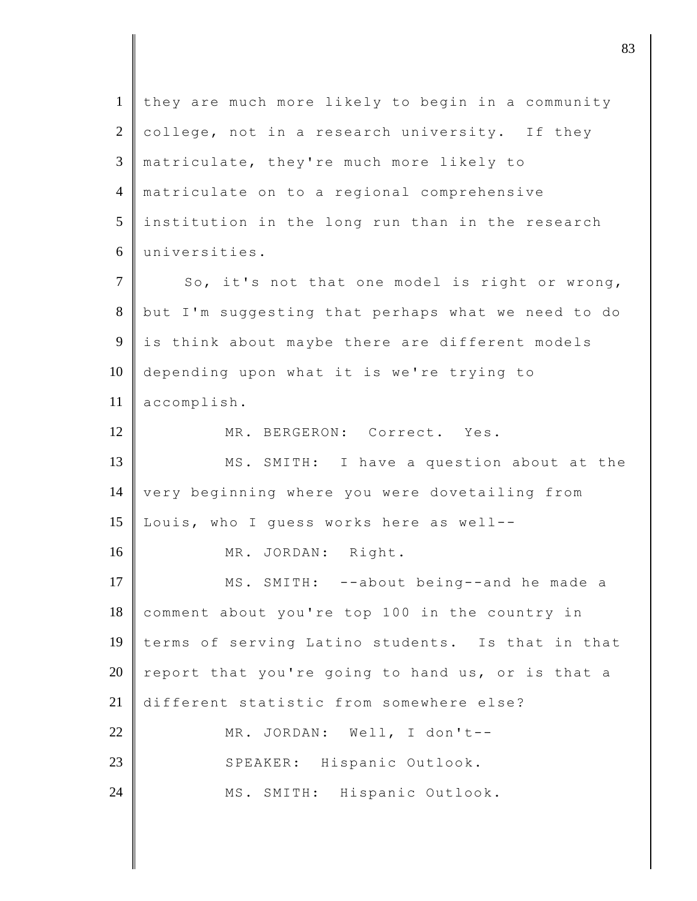| $\mathbf{1}$   | they are much more likely to begin in a community  |
|----------------|----------------------------------------------------|
| $\mathfrak{2}$ | college, not in a research university. If they     |
| 3              | matriculate, they're much more likely to           |
| $\overline{4}$ | matriculate on to a regional comprehensive         |
| 5              | institution in the long run than in the research   |
| 6              | universities.                                      |
| $\overline{7}$ | So, it's not that one model is right or wrong,     |
| $8\,$          | but I'm suggesting that perhaps what we need to do |
| 9              | is think about maybe there are different models    |
| 10             | depending upon what it is we're trying to          |
| 11             | accomplish.                                        |
| 12             | MR. BERGERON: Correct. Yes.                        |
| 13             | MS. SMITH: I have a question about at the          |
| 14             | very beginning where you were dovetailing from     |
| 15             | Louis, who I guess works here as well--            |
| 16             | MR. JORDAN: Right.                                 |
| 17             | SMITH: --about being--and he made a<br>MS.         |
| 18             | comment about you're top 100 in the country in     |
| 19             | terms of serving Latino students. Is that in that  |
| 20             | report that you're going to hand us, or is that a  |
| 21             | different statistic from somewhere else?           |
| 22             | MR. JORDAN: Well, I don't--                        |
| 23             | SPEAKER: Hispanic Outlook.                         |
|                |                                                    |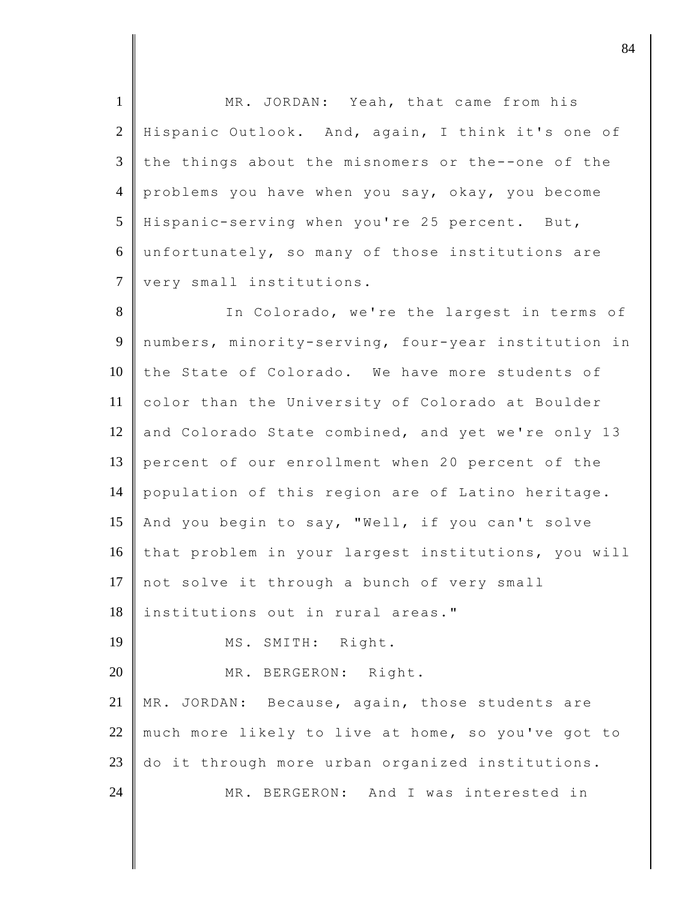1 MR. JORDAN: Yeah, that came from his 2 Hispanic Outlook. And, again, I think it's one of 3 the things about the misnomers or the--one of the 4 problems you have when you say, okay, you become 5 Hispanic-serving when you're 25 percent. But, 6 unfortunately, so many of those institutions are 7 very small institutions.

8 || In Colorado, we're the largest in terms of 9 numbers, minority-serving, four-year institution in 10 the State of Colorado. We have more students of 11 color than the University of Colorado at Boulder 12 and Colorado State combined, and yet we're only 13 13 percent of our enrollment when 20 percent of the 14 population of this region are of Latino heritage. 15 | And you begin to say, "Well, if you can't solve 16 that problem in your largest institutions, you will 17 not solve it through a bunch of very small 18 institutions out in rural areas." 19 MS. SMITH: Right. 20 MR. BERGERON: Right. 21 | MR. JORDAN: Because, again, those students are 22 much more likely to live at home, so you've got to 23 do it through more urban organized institutions. 24 MR. BERGERON: And I was interested in

djective terms of  $\overline{84}$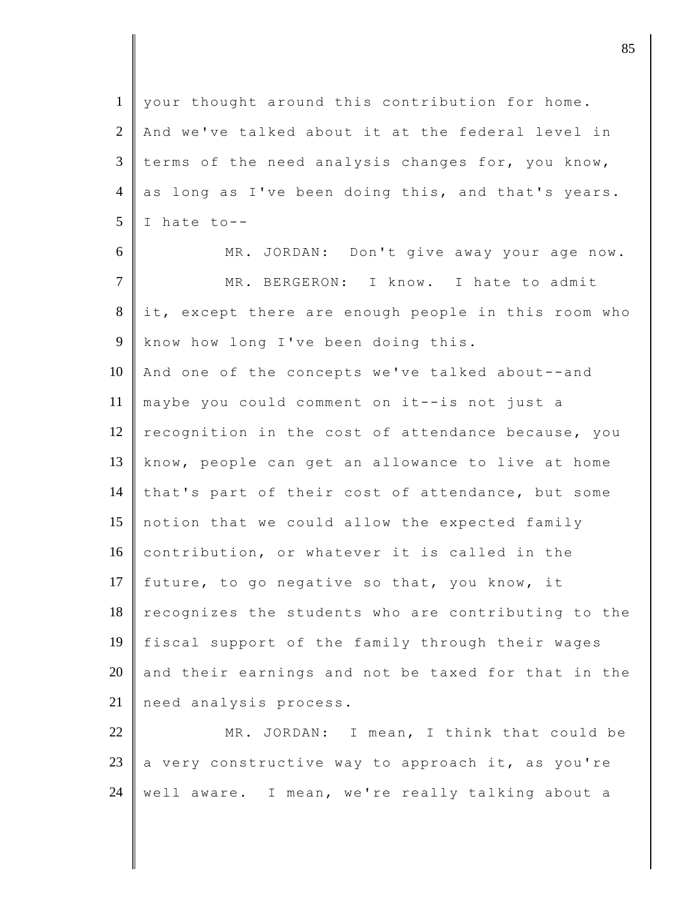1 your thought around this contribution for home. 2 And we've talked about it at the federal level in 3 terms of the need analysis changes for, you know, 4 as long as I've been doing this, and that's years.  $5 \parallel$  I hate to--6 MR. JORDAN: Don't give away your age now. 7 MR. BERGERON: I know. I hate to admit 8 it, except there are enough people in this room who 9 know how long I've been doing this. 10 And one of the concepts we've talked about--and 11 maybe you could comment on it--is not just a 12 recognition in the cost of attendance because, you 13 know, people can get an allowance to live at home 14 that's part of their cost of attendance, but some 15 notion that we could allow the expected family 16 contribution, or whatever it is called in the 17 future, to go negative so that, you know, it  $18$  recognizes the students who are contributing to the 19 fiscal support of the family through their wages  $20$  and their earnings and not be taxed for that in the 21 need analysis process. 22 MR. JORDAN: I mean, I think that could be 23  $\parallel$  a very constructive way to approach it, as you're

24 | well aware. I mean, we're really talking about a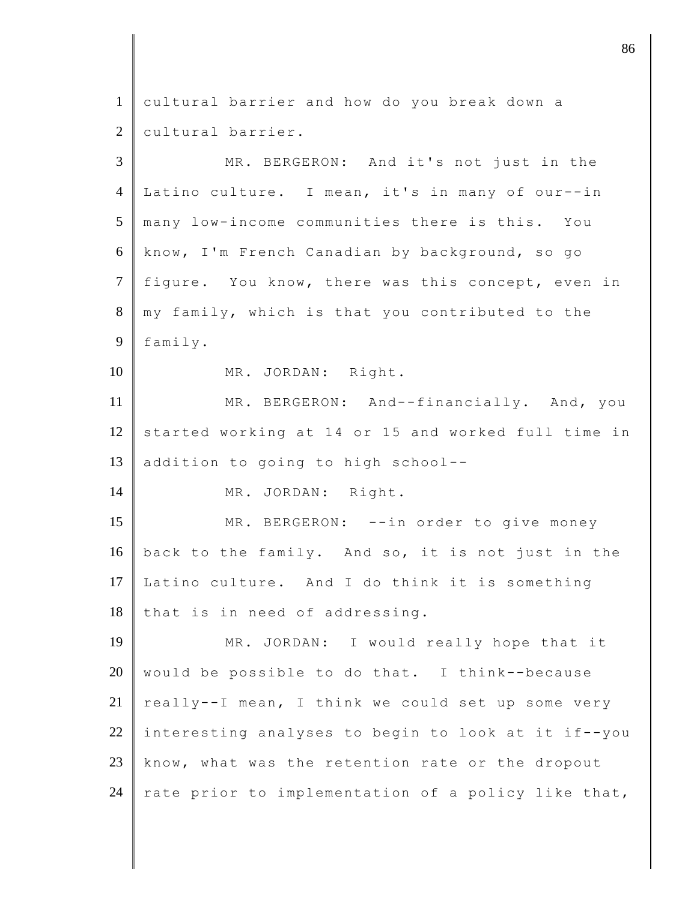| $\mathbf{1}$   | cultural barrier and how do you break down a        |
|----------------|-----------------------------------------------------|
| $\overline{2}$ | cultural barrier.                                   |
| 3              | MR. BERGERON: And it's not just in the              |
| $\overline{4}$ | Latino culture. I mean, it's in many of our--in     |
| 5              | many low-income communities there is this. You      |
| 6              | know, I'm French Canadian by background, so go      |
| $\tau$         | fiqure. You know, there was this concept, even in   |
| 8              | my family, which is that you contributed to the     |
| 9              | family.                                             |
| 10             | MR. JORDAN: Right.                                  |
| 11             | MR. BERGERON: And--financially. And, you            |
| 12             | started working at 14 or 15 and worked full time in |
| 13             | addition to going to high school--                  |
| 14             | MR. JORDAN: Right.                                  |
| 15             | MR. BERGERON: --in order to give money              |
| 16             | back to the family. And so, it is not just in the   |
| 17             | Latino culture. And I do think it is something      |
| 18             | that is in need of addressing.                      |
| 19             | JORDAN: I would really hope that it<br>MR.          |
| 20             | would be possible to do that. I think--because      |
| 21             | really--I mean, I think we could set up some very   |
| 22             | interesting analyses to begin to look at it if--you |
| 23             | know, what was the retention rate or the dropout    |
| 24             | rate prior to implementation of a policy like that, |

discrete the set of  $\sim$  86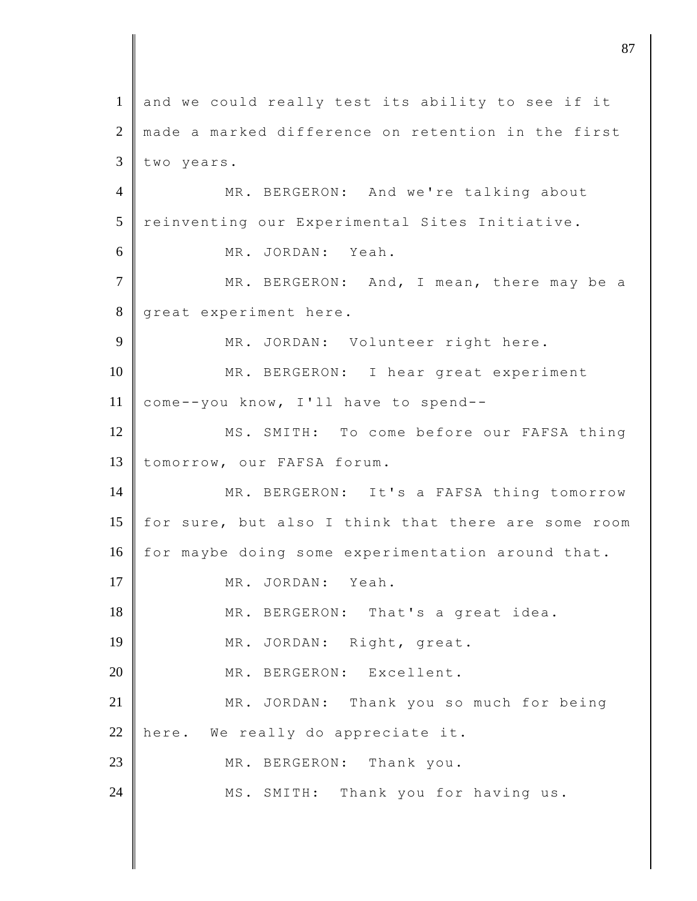1 and we could really test its ability to see if it 2 made a marked difference on retention in the first  $3$  two years. 4 MR. BERGERON: And we're talking about 5 reinventing our Experimental Sites Initiative. 6 MR. JORDAN: Yeah. 7 MR. BERGERON: And, I mean, there may be a 8 great experiment here. 9 MR. JORDAN: Volunteer right here. 10 MR. BERGERON: I hear great experiment 11 come--you know, I'll have to spend--12 MS. SMITH: To come before our FAFSA thing 13 tomorrow, our FAFSA forum. 14 | MR. BERGERON: It's a FAFSA thing tomorrow 15 for sure, but also I think that there are some room 16 for maybe doing some experimentation around that. 17 MR. JORDAN: Yeah. 18 MR. BERGERON: That's a great idea. 19 MR. JORDAN: Right, great. 20 MR. BERGERON: Excellent. 21 MR. JORDAN: Thank you so much for being 22 here. We really do appreciate it. 23 MR. BERGERON: Thank you. 24 MS. SMITH: Thank you for having us.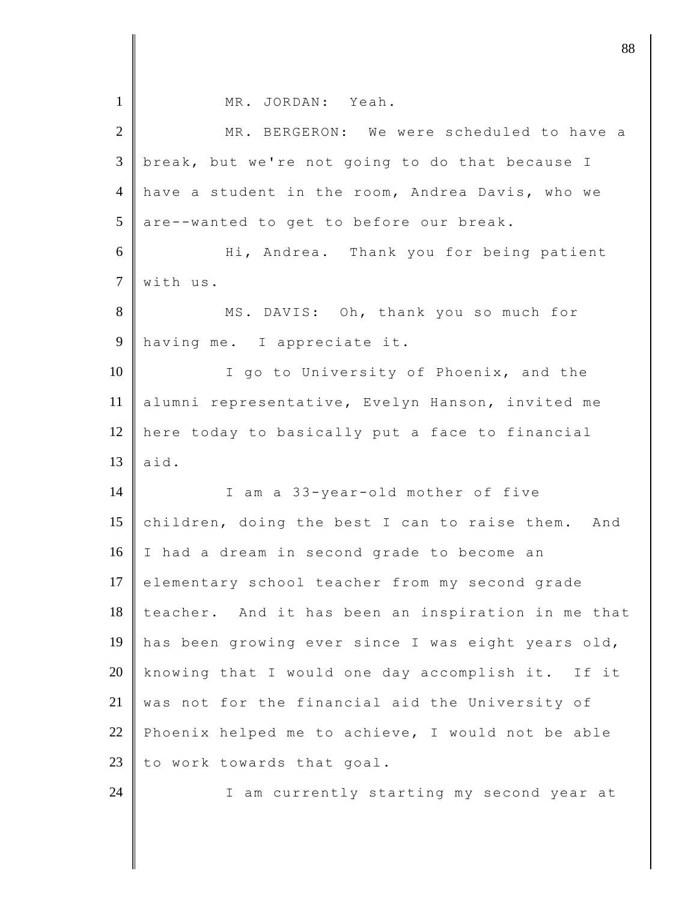| $\mathbf{1}$   | MR. JORDAN: Yeah.                                    |
|----------------|------------------------------------------------------|
| $\overline{2}$ | MR. BERGERON: We were scheduled to have a            |
| $\mathfrak{Z}$ | break, but we're not going to do that because I      |
| $\overline{4}$ | have a student in the room, Andrea Davis, who we     |
| 5              | are--wanted to get to before our break.              |
| 6              | Hi, Andrea. Thank you for being patient              |
| $\overline{7}$ | with us.                                             |
| 8              | MS. DAVIS: Oh, thank you so much for                 |
| 9              | having me. I appreciate it.                          |
| 10             | I go to University of Phoenix, and the               |
| 11             | alumni representative, Evelyn Hanson, invited me     |
| 12             | here today to basically put a face to financial      |
| 13             | aid.                                                 |
| 14             | I am a 33-year-old mother of five                    |
| 15             | children, doing the best I can to raise them.<br>And |
| 16             | I had a dream in second grade to become an           |
| 17             | elementary school teacher from my second grade       |
| 18             | teacher. And it has been an inspiration in me that   |
| 19             | has been growing ever since I was eight years old,   |
| 20             | knowing that I would one day accomplish it.<br>If it |
| 21             | was not for the financial aid the University of      |
| 22             | Phoenix helped me to achieve, I would not be able    |
| 23             | to work towards that goal.                           |
| 24             | I am currently starting my second year at            |
|                |                                                      |

djective the set of  $\sim$  88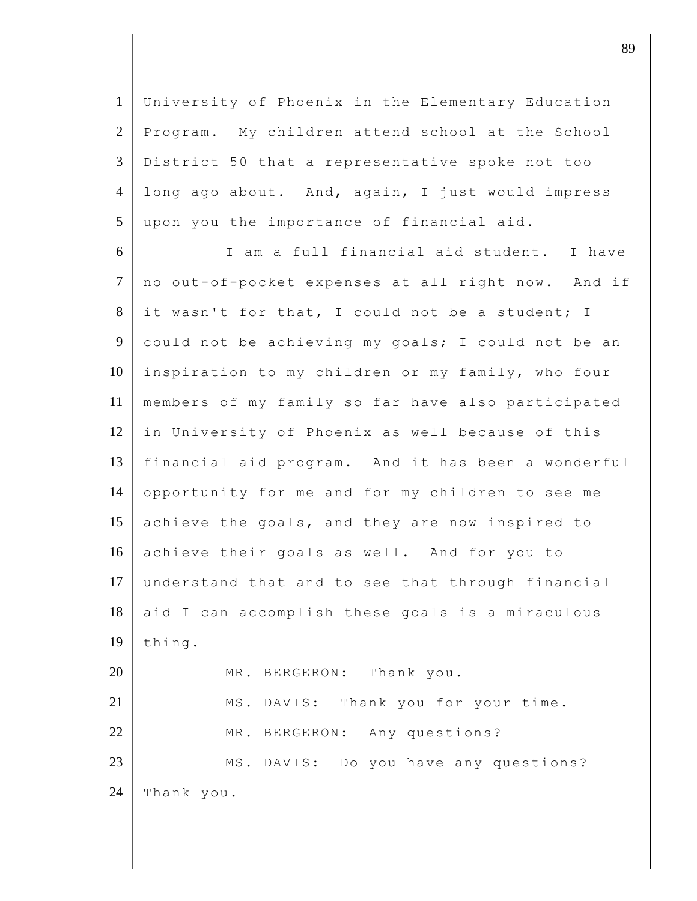University of Phoenix in the Elementary Education 2 Program. My children attend school at the School District 50 that a representative spoke not too long ago about. And, again, I just would impress upon you the importance of financial aid.

6 I am a full financial aid student. I have 7 no out-of-pocket expenses at all right now. And if  $8$  it wasn't for that, I could not be a student; I 9 could not be achieving my goals; I could not be an 10 inspiration to my children or my family, who four 11 members of my family so far have also participated 12 in University of Phoenix as well because of this 13 financial aid program. And it has been a wonderful 14 opportunity for me and for my children to see me 15 achieve the goals, and they are now inspired to 16 achieve their goals as well. And for you to 17 understand that and to see that through financial  $18$  aid I can accomplish these goals is a miraculous  $19$  thing. 20 MR. BERGERON: Thank you. 21 | MS. DAVIS: Thank you for your time. 22 MR. BERGERON: Any questions? 23 MS. DAVIS: Do you have any questions? 24 Thank you.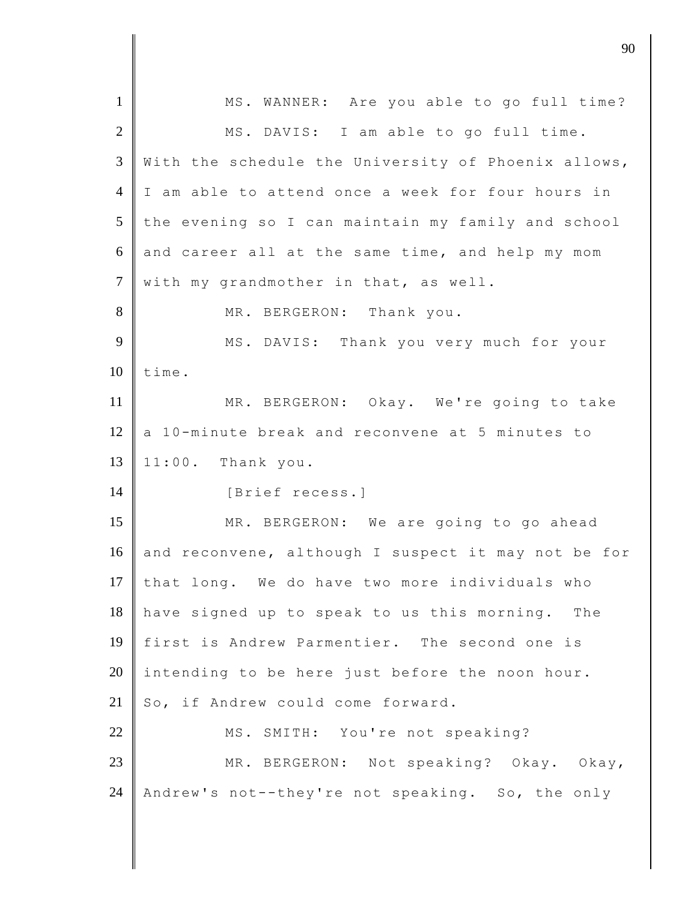| $\mathbf{1}$   | MS. WANNER: Are you able to go full time?           |
|----------------|-----------------------------------------------------|
| $\overline{2}$ | MS. DAVIS: I am able to go full time.               |
| 3              | With the schedule the University of Phoenix allows, |
| $\overline{4}$ | I am able to attend once a week for four hours in   |
| 5              | the evening so I can maintain my family and school  |
| 6              | and career all at the same time, and help my mom    |
| $\tau$         | with my grandmother in that, as well.               |
| 8              | MR. BERGERON: Thank you.                            |
| 9              | MS. DAVIS: Thank you very much for your             |
| 10             | time.                                               |
| 11             | MR. BERGERON: Okay. We're going to take             |
| 12             | a 10-minute break and reconvene at 5 minutes to     |
| 13             | 11:00. Thank you.                                   |
| 14             | [Brief recess.]                                     |
| 15             | MR. BERGERON: We are going to go ahead              |
| 16             | and reconvene, although I suspect it may not be for |
| 17             | that long. We do have two more individuals who      |
| 18             | have signed up to speak to us this morning.<br>The  |
| 19             | first is Andrew Parmentier. The second one is       |
| 20             | intending to be here just before the noon hour.     |
| 21             | So, if Andrew could come forward.                   |
| 22             | MS. SMITH: You're not speaking?                     |
| 23             | MR. BERGERON: Not speaking? Okay. Okay,             |
| 24             | Andrew's not--they're not speaking. So, the only    |
|                |                                                     |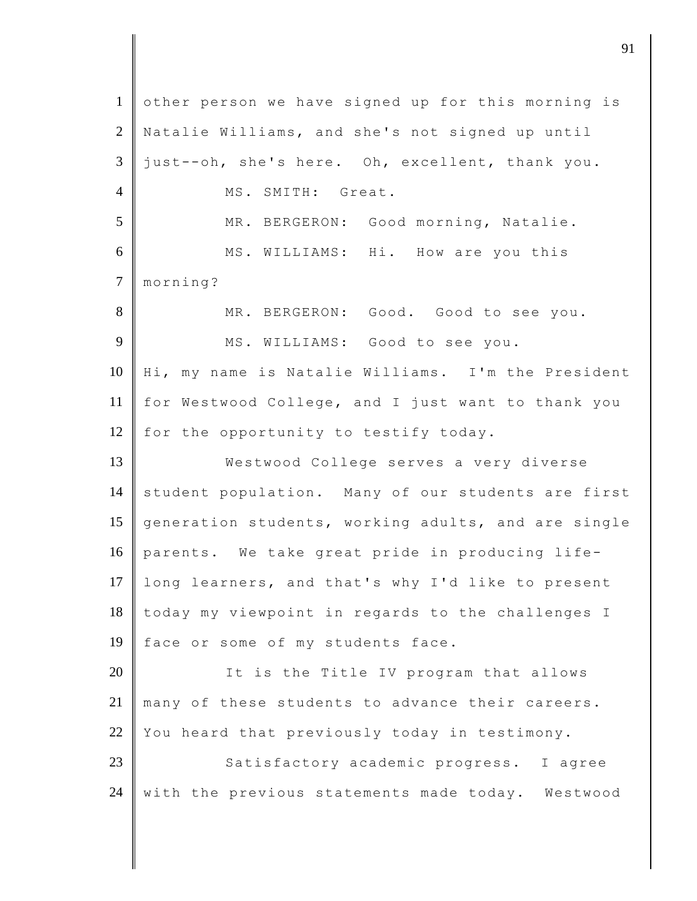1 other person we have signed up for this morning is 2 Natalie Williams, and she's not signed up until  $3 \parallel$  just--oh, she's here. Oh, excellent, thank you. 4 MS. SMITH: Great. 5 MR. BERGERON: Good morning, Natalie. 6 MS. WILLIAMS: Hi. How are you this 7 morning? 8 MR. BERGERON: Good. Good to see you. 9 MS. WILLIAMS: Good to see you. 10 Hi, my name is Natalie Williams. I'm the President 11 for Westwood College, and I just want to thank you 12 for the opportunity to testify today. 13 Westwood College serves a very diverse 14 student population. Many of our students are first 15 generation students, working adults, and are single 16 parents. We take great pride in producing life-17 long learners, and that's why I'd like to present 18 today my viewpoint in regards to the challenges I 19 face or some of my students face. 20 **I** It is the Title IV program that allows 21 many of these students to advance their careers. 22 You heard that previously today in testimony. 23 Satisfactory academic progress. I agree  $24$  with the previous statements made today. Westwood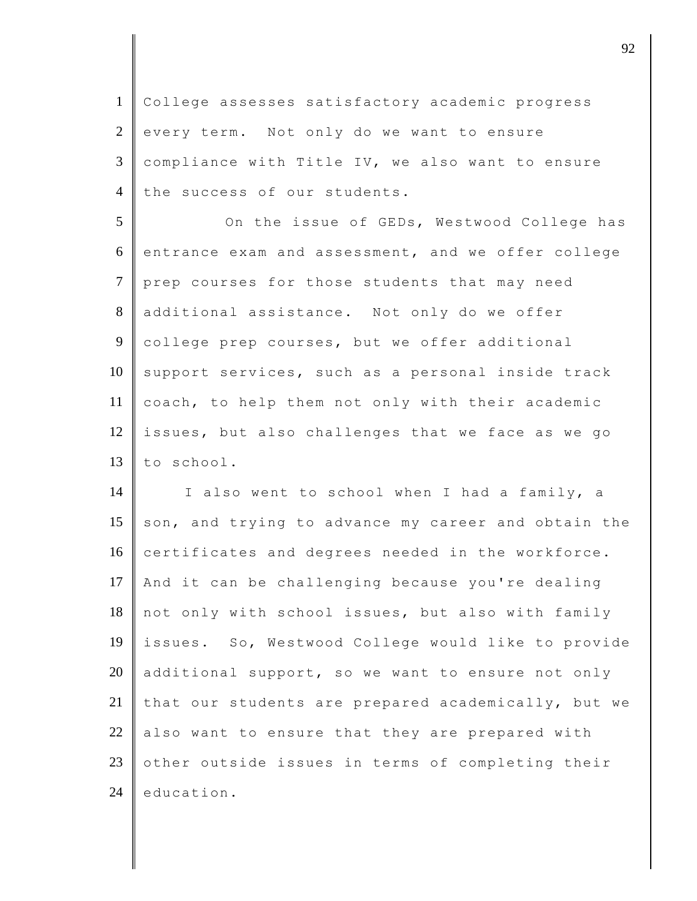1 College assesses satisfactory academic progress  $2$  every term. Not only do we want to ensure  $3 \parallel$  compliance with Title IV, we also want to ensure 4 the success of our students.

5 On the issue of GEDs, Westwood College has 6 entrance exam and assessment, and we offer college 7 prep courses for those students that may need 8 additional assistance. Not only do we offer 9 college prep courses, but we offer additional  $10$  support services, such as a personal inside track 11 coach, to help them not only with their academic 12  $\parallel$  issues, but also challenges that we face as we go 13 to school.

14 I also went to school when I had a family, a 15 son, and trying to advance my career and obtain the 16 certificates and degrees needed in the workforce. 17 And it can be challenging because you're dealing 18 not only with school issues, but also with family 19 issues. So, Westwood College would like to provide 20 additional support, so we want to ensure not only 21 that our students are prepared academically, but we  $22$  also want to ensure that they are prepared with  $23$  other outside issues in terms of completing their  $24$  education.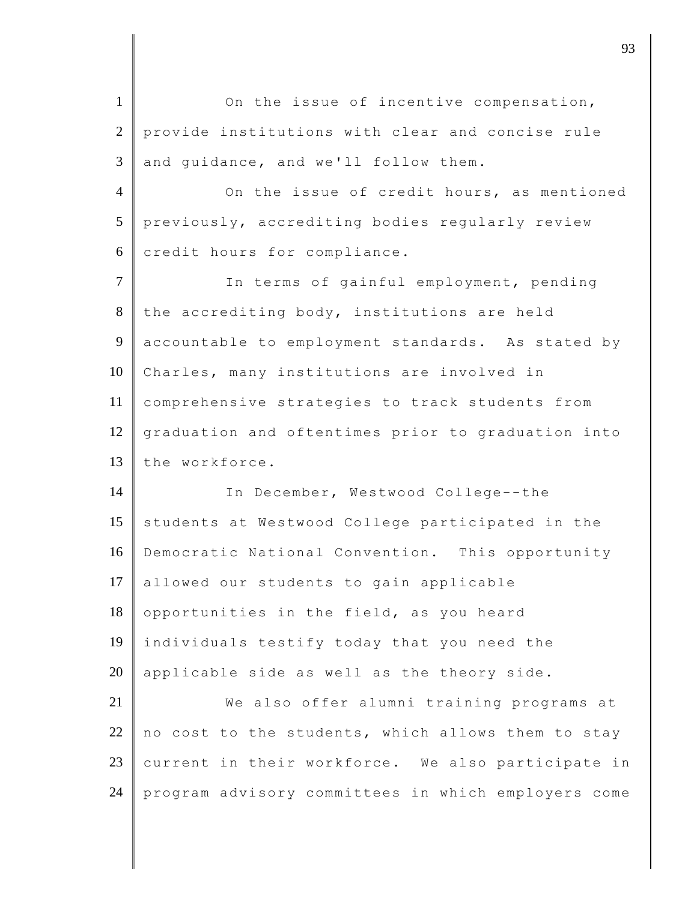1 On the issue of incentive compensation, 2 provide institutions with clear and concise rule  $3$  and quidance, and we'll follow them. 4 On the issue of credit hours, as mentioned 5 previously, accrediting bodies regularly review  $6$  credit hours for compliance. 7 | In terms of gainful employment, pending  $8$  the accrediting body, institutions are held 9 accountable to employment standards. As stated by 10 Charles, many institutions are involved in 11 comprehensive strategies to track students from 12 graduation and oftentimes prior to graduation into 13 the workforce. 14 In December, Westwood College--the 15 students at Westwood College participated in the 16 Democratic National Convention. This opportunity 17 allowed our students to gain applicable 18 opportunities in the field, as you heard 19 individuals testify today that you need the 20 | applicable side as well as the theory side. 21 We also offer alumni training programs at 22 no cost to the students, which allows them to stay 23 current in their workforce. We also participate in 24 program advisory committees in which employers come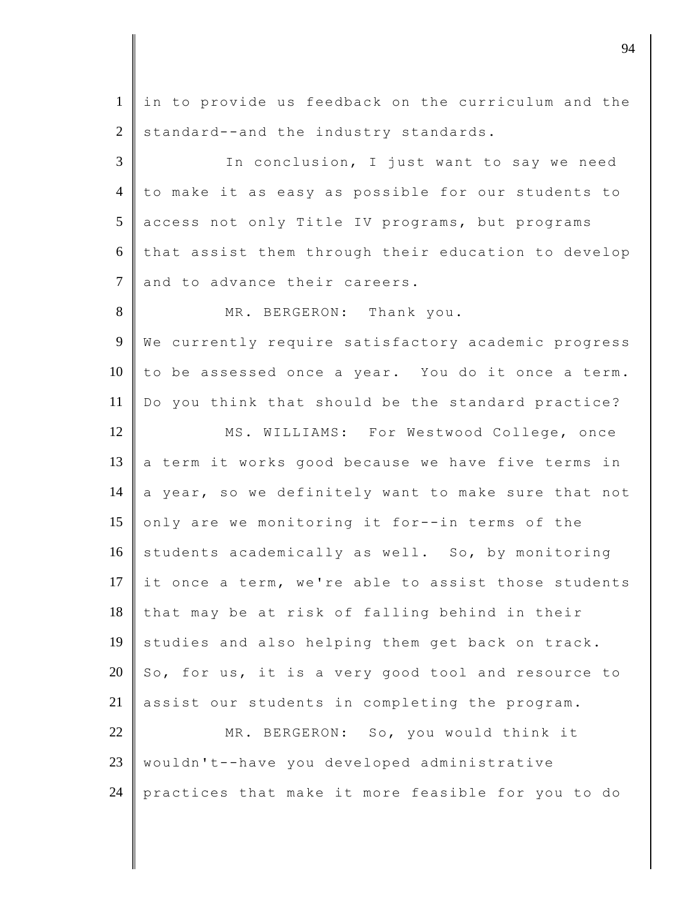1 in to provide us feedback on the curriculum and the  $2$  standard--and the industry standards.

3 In conclusion, I just want to say we need 4 to make it as easy as possible for our students to 5 access not only Title IV programs, but programs  $6$  that assist them through their education to develop 7 and to advance their careers.

8 MR. BERGERON: Thank you. 9 We currently require satisfactory academic progress  $10$  to be assessed once a year. You do it once a term. 11 Do you think that should be the standard practice? 12 MS. WILLIAMS: For Westwood College, once  $13$  a term it works good because we have five terms in 14 a year, so we definitely want to make sure that not

15 only are we monitoring it for--in terms of the 16 students academically as well. So, by monitoring 17 it once a term, we're able to assist those students  $18$  that may be at risk of falling behind in their 19 studies and also helping them get back on track. 20  $\parallel$  So, for us, it is a very good tool and resource to 21 assist our students in completing the program.

22 MR. BERGERON: So, you would think it 23 wouldn't--have you developed administrative 24 practices that make it more feasible for you to do

djective to the contract of  $\theta$  94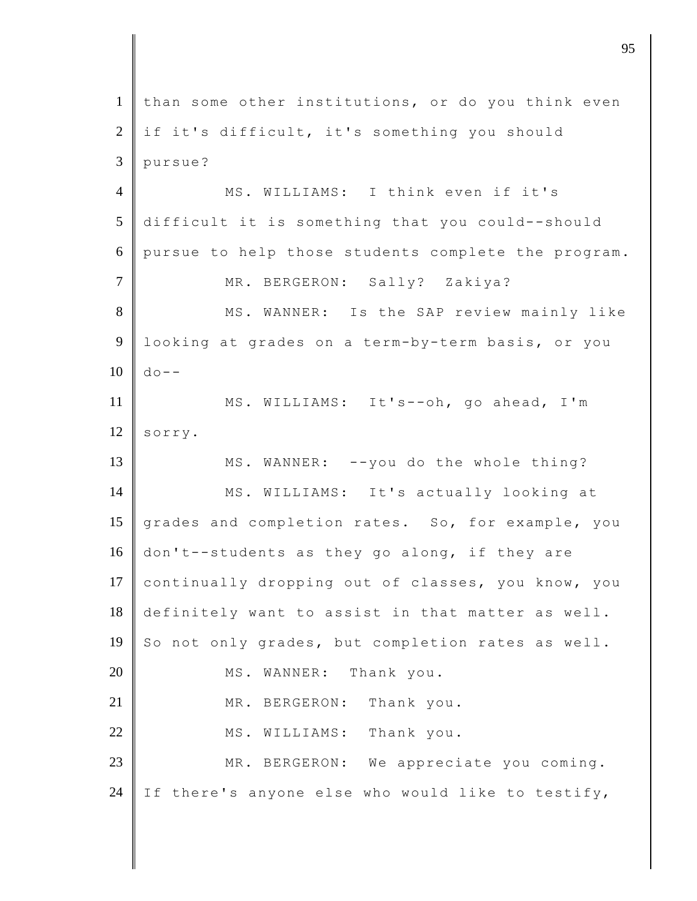| than some other institutions, or do you think even<br>if it's difficult, it's something you should<br>pursue?<br>MS. WILLIAMS: I think even if it's<br>difficult it is something that you could--should<br>pursue to help those students complete the program.<br>MR. BERGERON: Sally? Zakiya?<br>MS. WANNER: Is the SAP review mainly like<br>looking at grades on a term-by-term basis, or you<br>$d \circ -$<br>MS. WILLIAMS: It's--oh, go ahead, I'm<br>sorry. |
|--------------------------------------------------------------------------------------------------------------------------------------------------------------------------------------------------------------------------------------------------------------------------------------------------------------------------------------------------------------------------------------------------------------------------------------------------------------------|
|                                                                                                                                                                                                                                                                                                                                                                                                                                                                    |
|                                                                                                                                                                                                                                                                                                                                                                                                                                                                    |
|                                                                                                                                                                                                                                                                                                                                                                                                                                                                    |
|                                                                                                                                                                                                                                                                                                                                                                                                                                                                    |
|                                                                                                                                                                                                                                                                                                                                                                                                                                                                    |
|                                                                                                                                                                                                                                                                                                                                                                                                                                                                    |
|                                                                                                                                                                                                                                                                                                                                                                                                                                                                    |
|                                                                                                                                                                                                                                                                                                                                                                                                                                                                    |
|                                                                                                                                                                                                                                                                                                                                                                                                                                                                    |
|                                                                                                                                                                                                                                                                                                                                                                                                                                                                    |
|                                                                                                                                                                                                                                                                                                                                                                                                                                                                    |
|                                                                                                                                                                                                                                                                                                                                                                                                                                                                    |
| MS. WANNER: -- you do the whole thing?                                                                                                                                                                                                                                                                                                                                                                                                                             |
| MS. WILLIAMS: It's actually looking at                                                                                                                                                                                                                                                                                                                                                                                                                             |
| grades and completion rates. So, for example, you                                                                                                                                                                                                                                                                                                                                                                                                                  |
| don't--students as they go along, if they are                                                                                                                                                                                                                                                                                                                                                                                                                      |
| continually dropping out of classes, you know, you                                                                                                                                                                                                                                                                                                                                                                                                                 |
| definitely want to assist in that matter as well.                                                                                                                                                                                                                                                                                                                                                                                                                  |
| So not only grades, but completion rates as well.                                                                                                                                                                                                                                                                                                                                                                                                                  |
| WANNER: Thank you.<br>MS.                                                                                                                                                                                                                                                                                                                                                                                                                                          |
| MR. BERGERON:<br>Thank you.                                                                                                                                                                                                                                                                                                                                                                                                                                        |
| MS. WILLIAMS: Thank you.                                                                                                                                                                                                                                                                                                                                                                                                                                           |
|                                                                                                                                                                                                                                                                                                                                                                                                                                                                    |
| MR. BERGERON: We appreciate you coming.                                                                                                                                                                                                                                                                                                                                                                                                                            |
|                                                                                                                                                                                                                                                                                                                                                                                                                                                                    |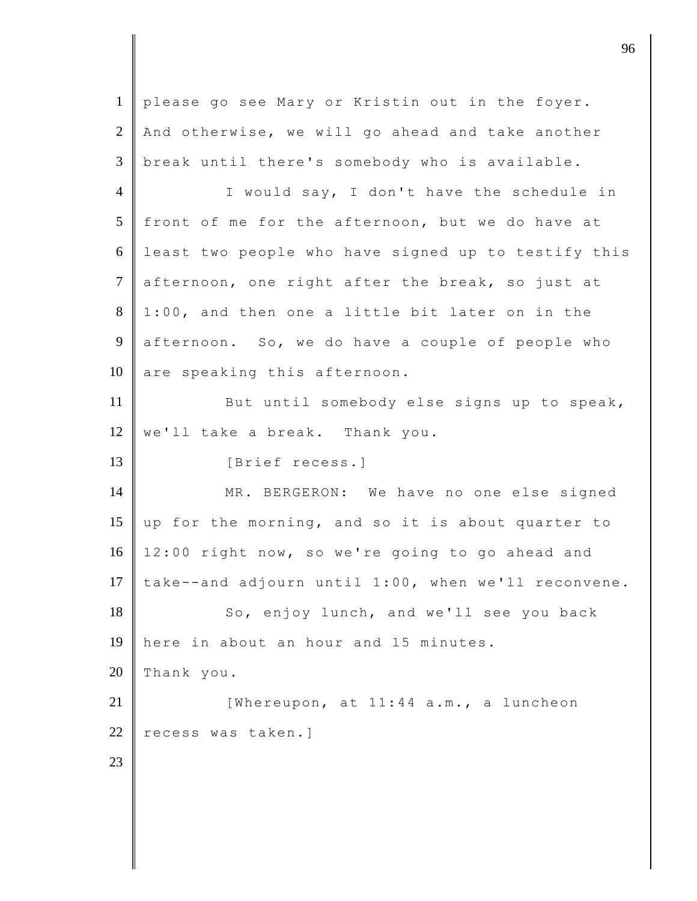1 please go see Mary or Kristin out in the foyer.  $2 \parallel$  And otherwise, we will go ahead and take another 3 break until there's somebody who is available. 4 I would say, I don't have the schedule in 5 front of me for the afternoon, but we do have at 6 least two people who have signed up to testify this  $7$  afternoon, one right after the break, so just at  $8 \parallel 1:00$ , and then one a little bit later on in the 9 afternoon. So, we do have a couple of people who  $10$  are speaking this afternoon. 11 But until somebody else signs up to speak,  $12 \parallel$  we'll take a break. Thank you. 13 | [Brief recess.] 14 | MR. BERGERON: We have no one else signed 15 up for the morning, and so it is about quarter to 16 12:00 right now, so we're going to go ahead and 17  $\vert$  take--and adjourn until 1:00, when we'll reconvene. 18 So, enjoy lunch, and we'll see you back 19 here in about an hour and 15 minutes. 20 Thank you. 21  $\parallel$  [Whereupon, at 11:44 a.m., a luncheon 22 recess was taken.] 23

discrete the contract of  $\overline{96}$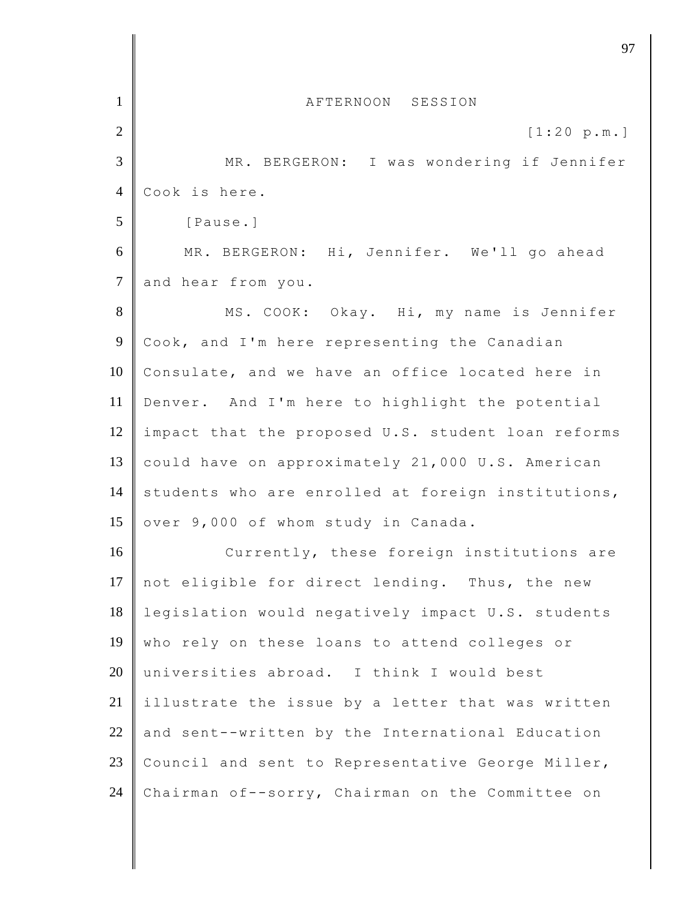| $\mathbf{1}$   | AFTERNOON SESSION                                  |
|----------------|----------------------------------------------------|
| $\overline{2}$ | [1:20 p.m.]                                        |
| 3              | MR. BERGERON: I was wondering if Jennifer          |
| $\overline{4}$ | Cook is here.                                      |
| 5              | [Pause.]                                           |
| 6              | MR. BERGERON: Hi, Jennifer. We'll go ahead         |
| $\tau$         | and hear from you.                                 |
| 8              | MS. COOK: Okay. Hi, my name is Jennifer            |
| $\overline{9}$ | Cook, and I'm here representing the Canadian       |
| 10             | Consulate, and we have an office located here in   |
| 11             | Denver. And I'm here to highlight the potential    |
| 12             | impact that the proposed U.S. student loan reforms |
| 13             | could have on approximately 21,000 U.S. American   |
| 14             | students who are enrolled at foreign institutions, |
| 15             | over 9,000 of whom study in Canada.                |
| 16             | Currently, these foreign institutions are          |
| 17             | not eligible for direct lending. Thus, the new     |
| 18             | legislation would negatively impact U.S. students  |
| 19             | who rely on these loans to attend colleges or      |
| 20             | universities abroad. I think I would best          |
| 21             | illustrate the issue by a letter that was written  |
| $22\,$         | and sent--written by the International Education   |
| 23             | Council and sent to Representative George Miller,  |
| 24             | Chairman of--sorry, Chairman on the Committee on   |

discrete the set of  $\overline{97}$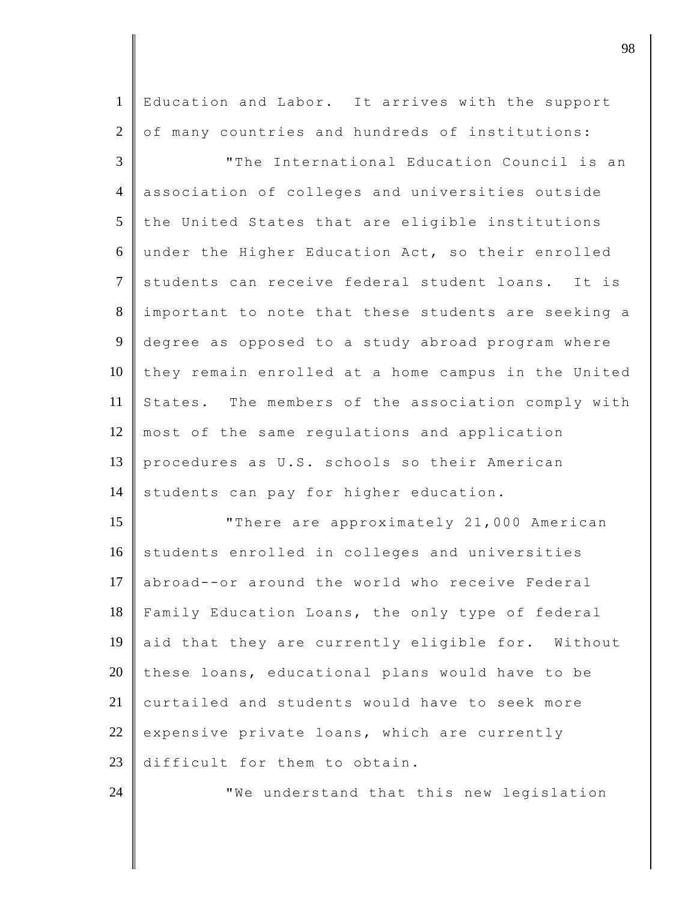| $\mathbf{1}$   | Education and Labor. It arrives with the support    |
|----------------|-----------------------------------------------------|
| $\mathfrak{2}$ | of many countries and hundreds of institutions:     |
| 3              | "The International Education Council is an          |
| $\overline{4}$ | association of colleges and universities outside    |
| 5              | the United States that are eligible institutions    |
| 6              | under the Higher Education Act, so their enrolled   |
| $\overline{7}$ | students can receive federal student loans. It is   |
| $8\,$          | important to note that these students are seeking a |
| $\overline{9}$ | degree as opposed to a study abroad program where   |
| 10             | they remain enrolled at a home campus in the United |
| 11             | States. The members of the association comply with  |
| 12             | most of the same regulations and application        |
| 13             | procedures as U.S. schools so their American        |
| 14             | students can pay for higher education.              |
| 15             | "There are approximately 21,000 American            |
| 16             | students enrolled in colleges and universities      |
| 17             | abroad--or around the world who receive Federal     |
| 18             | Family Education Loans, the only type of federal    |
| 19             | aid that they are currently eligible for. Without   |
| 20             | these loans, educational plans would have to be     |
| 21             | curtailed and students would have to seek more      |
| 22             | expensive private loans, which are currently        |
| 23             | difficult for them to obtain.                       |
| 24             | "We understand that this new legislation            |

djective terms of  $\overline{98}$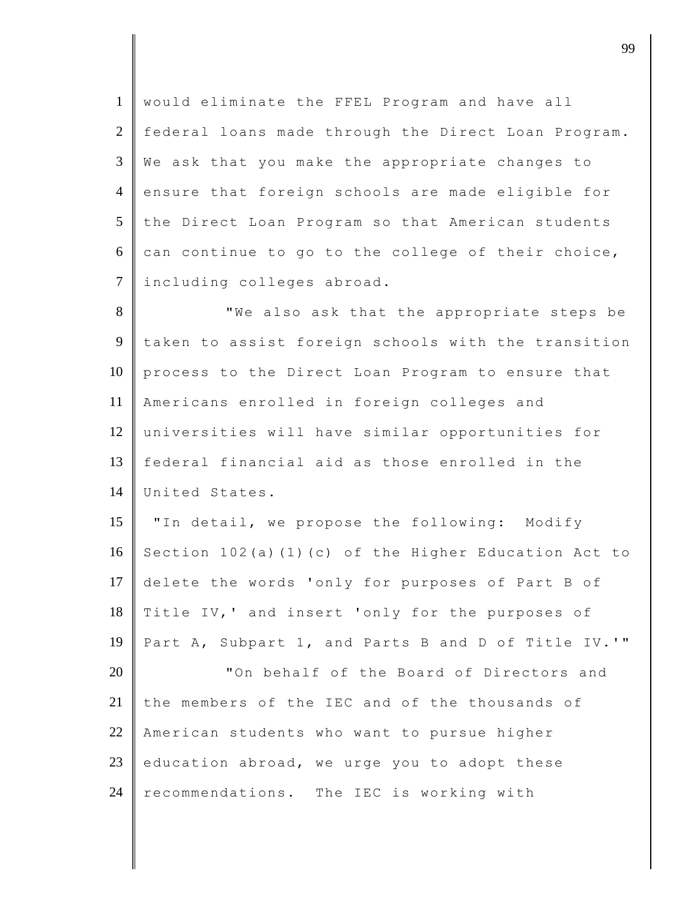1 would eliminate the FFEL Program and have all 2 federal loans made through the Direct Loan Program.  $3 \parallel$  We ask that you make the appropriate changes to 4 ensure that foreign schools are made eligible for 5 the Direct Loan Program so that American students  $6 \parallel$  can continue to go to the college of their choice, 7 including colleges abroad.

8 We also ask that the appropriate steps be 9 taken to assist foreign schools with the transition 10 process to the Direct Loan Program to ensure that 11 Americans enrolled in foreign colleges and 12 universities will have similar opportunities for 13 federal financial aid as those enrolled in the 14 United States.

15 **W** "In detail, we propose the following: Modify 16 Section 102(a)(1)(c) of the Higher Education Act to 17 delete the words 'only for purposes of Part B of 18 Title IV,' and insert 'only for the purposes of 19 Part A, Subpart 1, and Parts B and D of Title IV.'"

20 **The State I** of the Board of Directors and 21 the members of the IEC and of the thousands of 22 American students who want to pursue higher 23 education abroad, we urge you to adopt these 24 recommendations. The IEC is working with

djective to the contract of the contract of the contract of the contract of the contract of the contract of the contract of the contract of the contract of the contract of the contract of the contract of the contract of t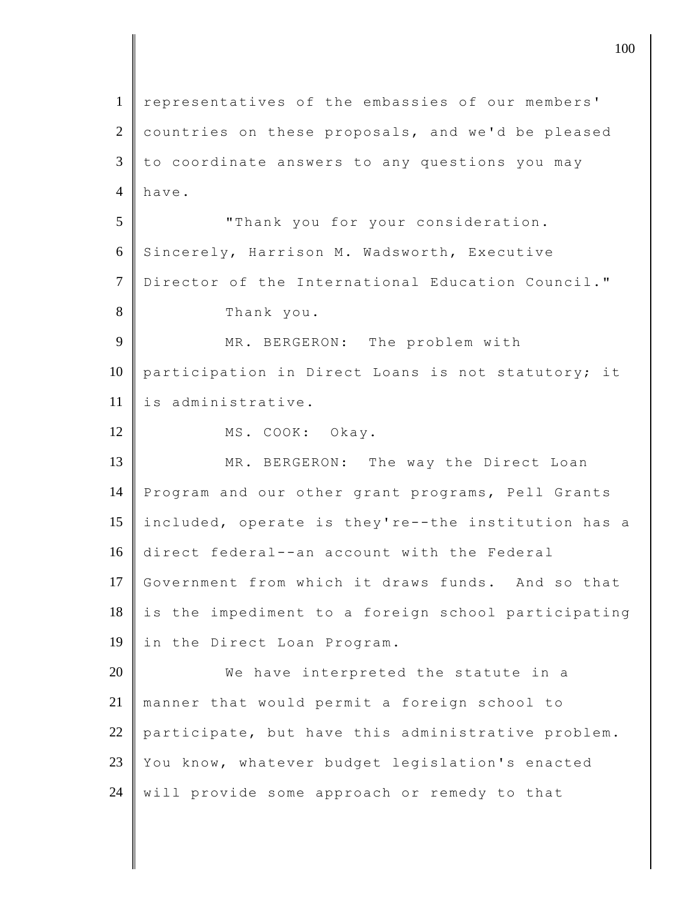1 representatives of the embassies of our members' 2 countries on these proposals, and we'd be pleased  $3 \parallel$  to coordinate answers to any questions you may 4 have. 5 **T** Thank you for your consideration. 6 Sincerely, Harrison M. Wadsworth, Executive 7 Director of the International Education Council." 8 Thank you. 9 MR. BERGERON: The problem with 10 participation in Direct Loans is not statutory; it 11 is administrative. 12 MS. COOK: Okay. 13 MR. BERGERON: The way the Direct Loan 14 Program and our other grant programs, Pell Grants 15 included, operate is they're--the institution has a 16 direct federal--an account with the Federal 17 Government from which it draws funds. And so that  $18$  is the impediment to a foreign school participating 19 in the Direct Loan Program. 20 We have interpreted the statute in a 21 manner that would permit a foreign school to 22 participate, but have this administrative problem. 23 You know, whatever budget legislation's enacted 24 will provide some approach or remedy to that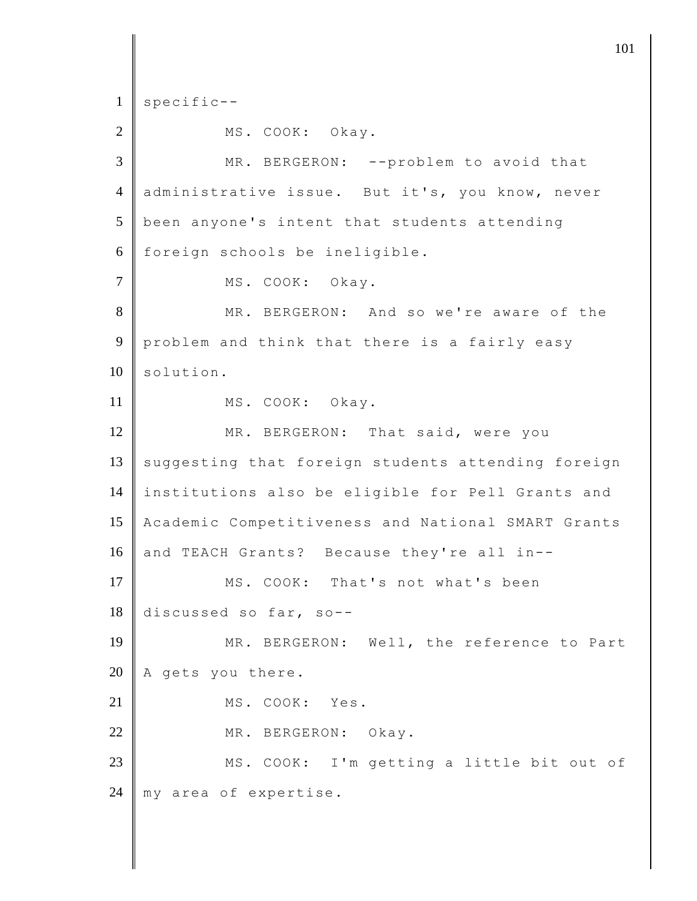$1 \parallel$  specific--2 MS. COOK: Okay. 3 MR. BERGERON: --problem to avoid that 4 administrative issue. But it's, you know, never  $5$  been anyone's intent that students attending 6 foreign schools be ineligible. 7 MS. COOK: Okay. 8 MR. BERGERON: And so we're aware of the 9 problem and think that there is a fairly easy  $10 \parallel$  solution. 11 MS. COOK: Okay. 12 MR. BERGERON: That said, were you  $13$  suggesting that foreign students attending foreign 14 institutions also be eligible for Pell Grants and 15 Academic Competitiveness and National SMART Grants 16 and TEACH Grants? Because they're all in--17 MS. COOK: That's not what's been 18 discussed so far, so-- 19 MR. BERGERON: Well, the reference to Part 20  $\parallel$  A gets you there. 21 MS. COOK: Yes. 22 MR. BERGERON: Okay. 23 | MS. COOK: I'm getting a little bit out of 24 | my area of expertise.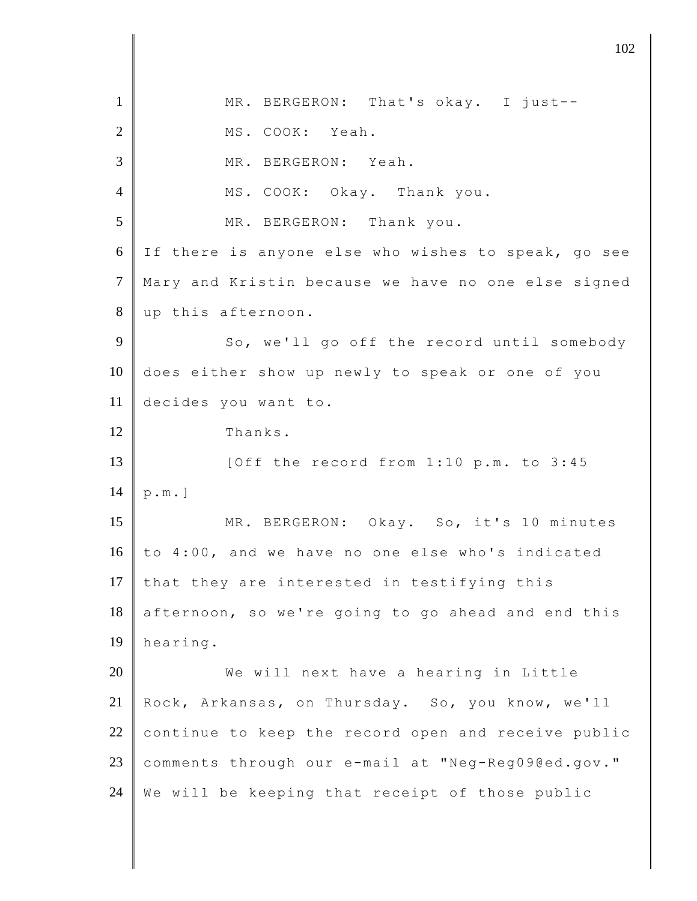1 MR. BERGERON: That's okay. I just-- 2 MS. COOK: Yeah. 3 MR. BERGERON: Yeah. 4 MS. COOK: Okay. Thank you. 5 MR. BERGERON: Thank you. 6 If there is anyone else who wishes to speak, go see 7 Mary and Kristin because we have no one else signed 8 up this afternoon. 9 So, we'll go off the record until somebody 10 does either show up newly to speak or one of you 11 decides you want to. 12 Thanks. 13 | [Off the record from 1:10 p.m. to 3:45 14  $[p.m.]$ 15 MR. BERGERON: Okay. So, it's 10 minutes 16 to 4:00, and we have no one else who's indicated 17 that they are interested in testifying this  $18$  afternoon, so we're going to go ahead and end this 19 hearing. 20 We will next have a hearing in Little 21 Rock, Arkansas, on Thursday. So, you know, we'll 22 continue to keep the record open and receive public 23 comments through our e-mail at ["Neg-Reg09@ed.gov.](mailto:negreg09@ed.gov)" 24 We will be keeping that receipt of those public